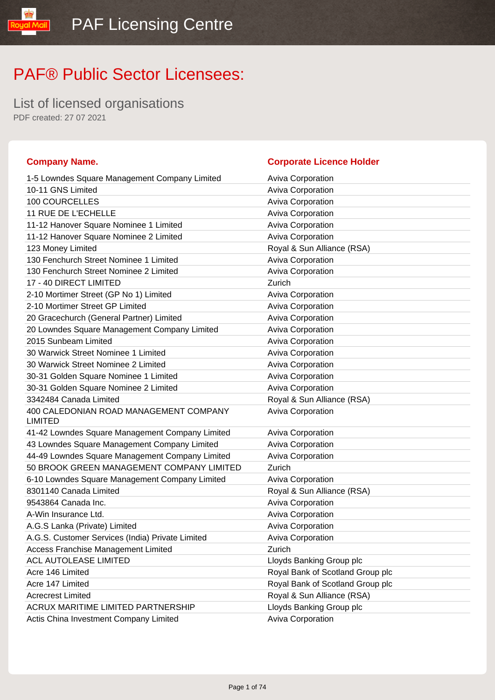List of licensed organisations PDF created: 27 07 2021

### **Company Name. Corporate Licence Holder** 1-5 Lowndes Square Management Company Limited Aviva Corporation 10-11 GNS Limited **Aviva Corporation Aviva Corporation** 100 COURCELLES Aviva Corporation 11 RUE DE L'ECHELLE Aviva Corporation 11-12 Hanover Square Nominee 1 Limited Aviva Corporation 11-12 Hanover Square Nominee 2 Limited Aviva Corporation 123 Money Limited **Royal & Sun Alliance (RSA)** 130 Fenchurch Street Nominee 1 Limited Aviva Corporation 130 Fenchurch Street Nominee 2 Limited Aviva Corporation 17 - 40 DIRECT LIMITED Zurich 2-10 Mortimer Street (GP No 1) Limited Aviva Corporation 2-10 Mortimer Street GP Limited Aviva Corporation Aviva Corporation 20 Gracechurch (General Partner) Limited Aviva Corporation 20 Lowndes Square Management Company Limited Aviva Corporation 2015 Sunbeam Limited **Aviva Corporation** Aviva Corporation 30 Warwick Street Nominee 1 Limited Aviva Corporation 30 Warwick Street Nominee 2 Limited Aviva Corporation Aviva Corporation 30-31 Golden Square Nominee 1 Limited Aviva Corporation 30-31 Golden Square Nominee 2 Limited Aviva Corporation 3342484 Canada Limited Royal & Sun Alliance (RSA) 400 CALEDONIAN ROAD MANAGEMENT COMPANY LIMITED Aviva Corporation 41-42 Lowndes Square Management Company Limited Aviva Corporation 43 Lowndes Square Management Company Limited Aviva Corporation 44-49 Lowndes Square Management Company Limited Aviva Corporation 50 BROOK GREEN MANAGEMENT COMPANY LIMITED Zurich 6-10 Lowndes Square Management Company Limited Aviva Corporation 8301140 Canada Limited **Royal & Sun Alliance (RSA)** 9543864 Canada Inc. **Aviva Corporation** Aviva Corporation A-Win Insurance Ltd. Aviva Corporation A.G.S Lanka (Private) Limited A.G.S Lanka (Private) Limited A.G.S. Customer Services (India) Private Limited Aviva Corporation Access Franchise Management Limited **Example 2** Zurich ACL AUTOLEASE LIMITED LIGHT Lloyds Banking Group plc Acre 146 Limited **Acre 146 Limited** Royal Bank of Scotland Group plc Acre 147 Limited **Acre 147 Limited** Royal Bank of Scotland Group plc Acrecrest Limited **Acrecrest Limited Royal & Sun Alliance (RSA)** ACRUX MARITIME LIMITED PARTNERSHIP LIOYDS Banking Group plc Actis China Investment Company Limited **Aviva Corporation**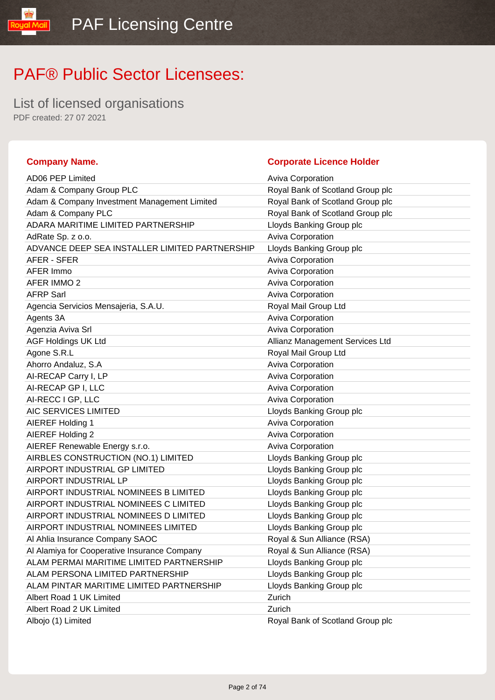List of licensed organisations PDF created: 27 07 2021

### **Company Name. Company Name. Company Name. Company Name. Company Name. Company Name. Company Name. Company Name. Company Name. Company Name. Company Name. Company Name. Company Name. Company Name.**

**Royal Mail** 

| <b>AD06 PEP Limited</b>                        | <b>Aviva Corporation</b>         |
|------------------------------------------------|----------------------------------|
| Adam & Company Group PLC                       | Royal Bank of Scotland Group plc |
| Adam & Company Investment Management Limited   | Royal Bank of Scotland Group plc |
| Adam & Company PLC                             | Royal Bank of Scotland Group plc |
| ADARA MARITIME LIMITED PARTNERSHIP             | Lloyds Banking Group plc         |
| AdRate Sp. z o.o.                              | Aviva Corporation                |
| ADVANCE DEEP SEA INSTALLER LIMITED PARTNERSHIP | Lloyds Banking Group plc         |
| AFER - SFER                                    | Aviva Corporation                |
| AFER Immo                                      | Aviva Corporation                |
| <b>AFER IMMO 2</b>                             | Aviva Corporation                |
| <b>AFRP Sarl</b>                               | <b>Aviva Corporation</b>         |
| Agencia Servicios Mensajeria, S.A.U.           | Royal Mail Group Ltd             |
| Agents 3A                                      | Aviva Corporation                |
| Agenzia Aviva Srl                              | Aviva Corporation                |
| <b>AGF Holdings UK Ltd</b>                     | Allianz Management Services Ltd  |
| Agone S.R.L                                    | Royal Mail Group Ltd             |
| Ahorro Andaluz, S.A                            | Aviva Corporation                |
| AI-RECAP Carry I, LP                           | Aviva Corporation                |
| AI-RECAP GP I, LLC                             | Aviva Corporation                |
| AI-RECC I GP, LLC                              | <b>Aviva Corporation</b>         |
| AIC SERVICES LIMITED                           | Lloyds Banking Group plc         |
| <b>AIEREF Holding 1</b>                        | Aviva Corporation                |
| AIEREF Holding 2                               | Aviva Corporation                |
| AIEREF Renewable Energy s.r.o.                 | Aviva Corporation                |
| AIRBLES CONSTRUCTION (NO.1) LIMITED            | Lloyds Banking Group plc         |
| AIRPORT INDUSTRIAL GP LIMITED                  | Lloyds Banking Group plc         |
| AIRPORT INDUSTRIAL LP                          | Lloyds Banking Group plc         |
| AIRPORT INDUSTRIAL NOMINEES B LIMITED          | Lloyds Banking Group plc         |
| AIRPORT INDUSTRIAL NOMINEES C LIMITED          | Lloyds Banking Group plc         |
| AIRPORT INDUSTRIAL NOMINEES D LIMITED          | Lloyds Banking Group plc         |
| AIRPORT INDUSTRIAL NOMINEES LIMITED            | Lloyds Banking Group plc         |
| Al Ahlia Insurance Company SAOC                | Royal & Sun Alliance (RSA)       |
| Al Alamiya for Cooperative Insurance Company   | Royal & Sun Alliance (RSA)       |
| ALAM PERMAI MARITIME LIMITED PARTNERSHIP       | Lloyds Banking Group plc         |
| ALAM PERSONA LIMITED PARTNERSHIP               | Lloyds Banking Group plc         |
| ALAM PINTAR MARITIME LIMITED PARTNERSHIP       | Lloyds Banking Group plc         |
| Albert Road 1 UK Limited                       | Zurich                           |
| Albert Road 2 UK Limited                       | Zurich                           |
| Albojo (1) Limited                             | Royal Bank of Scotland Group plc |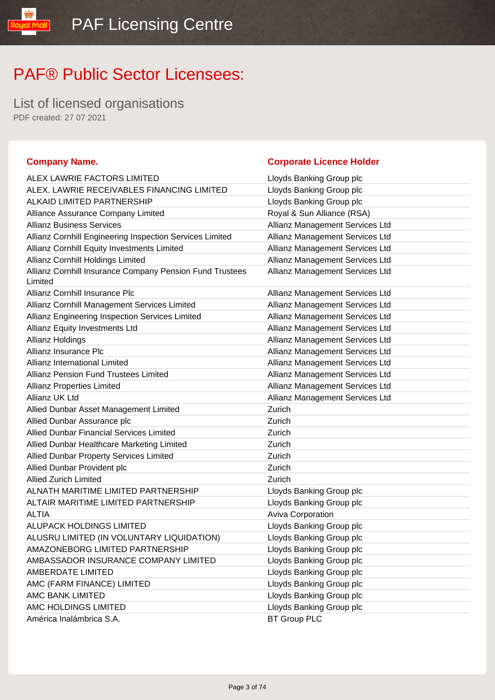List of licensed organisations PDF created: 27 07 2021

### **Company Name. Corporate Licence Holder** ALEX LAWRIE FACTORS LIMITED LIGHT Lloyds Banking Group plc ALEX. LAWRIE RECEIVABLES FINANCING LIMITED Lloyds Banking Group plc ALKAID LIMITED PARTNERSHIP LIMITED AT LIOYDS Banking Group plc Alliance Assurance Company Limited Royal & Sun Alliance (RSA) Allianz Business Services **Allianz Management Services** Ltd Allianz Cornhill Engineering Inspection Services Limited Allianz Management Services Ltd Allianz Cornhill Equity Investments Limited Allianz Management Services Ltd Allianz Cornhill Holdings Limited Allianz Management Services Ltd Allianz Cornhill Insurance Company Pension Fund Trustees Limited Allianz Management Services Ltd Allianz Cornhill Insurance Plc **Allianz Management Services Ltd** Allianz Management Services Ltd Allianz Cornhill Management Services Limited Allianz Management Services Ltd Allianz Engineering Inspection Services Limited Allianz Management Services Ltd Allianz Equity Investments Ltd **Allianz Management Services Ltd** Allianz Management Services Ltd Allianz Holdings **Allianz Management Services Ltd Allianz Management Services Ltd** Allianz Insurance Plc **Allianz Management Services Ltd** Allianz Management Services Ltd Allianz International Limited Allianz Management Services Ltd Allianz Pension Fund Trustees Limited **Allianz Management Services Ltd** Allianz Properties Limited **Allianz Management Services** Ltd Allianz UK Ltd Allianz Management Services Ltd Allied Dunbar Asset Management Limited **Zurich** Zurich Allied Dunbar Assurance plc **Zurich** Zurich Allied Dunbar Financial Services Limited **National Services** Zurich Allied Dunbar Healthcare Marketing Limited **Zurich** Zurich Allied Dunbar Property Services Limited **Example 2** Zurich Allied Dunbar Provident plc **Allied Dunbar Provident plc** Zurich Allied Zurich Limited Zurich ALNATH MARITIME LIMITED PARTNERSHIP Lloyds Banking Group plc ALTAIR MARITIME LIMITED PARTNERSHIP Loyds Banking Group plc ALTIA ALTIA ALUPACK HOLDINGS LIMITED LIGHT Lloyds Banking Group plc ALUSRU LIMITED (IN VOLUNTARY LIQUIDATION) Lloyds Banking Group plc AMAZONEBORG LIMITED PARTNERSHIP Loyds Banking Group plc AMBASSADOR INSURANCE COMPANY LIMITED Lloyds Banking Group plc AMBERDATE LIMITED **AMBERDATE LIMITED Limitation** 2012 12:00:00 Lloyds Banking Group plc AMC (FARM FINANCE) LIMITED Latter than the control of the control of the control of the control of the control of the control of the control of the control of the control of the control of the control of the control of the AMC BANK LIMITED **Example 20** Eloyds Banking Group plc AMC HOLDINGS LIMITED **Little State State Service Control** Lloyds Banking Group plc América Inalámbrica S.A. BT Group PLC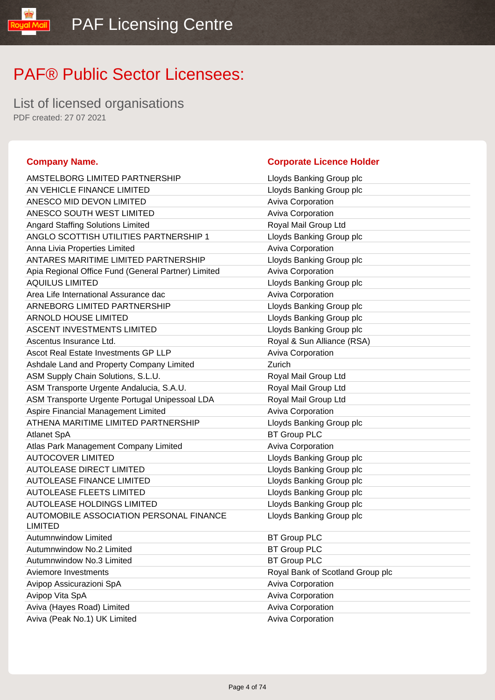List of licensed organisations PDF created: 27 07 2021

yal Mail

| AMSTELBORG LIMITED PARTNERSHIP                            | Lloyds Banking Group plc   |
|-----------------------------------------------------------|----------------------------|
| AN VEHICLE FINANCE LIMITED                                | Lloyds Banking Group plc   |
| ANESCO MID DEVON LIMITED                                  | <b>Aviva Corporation</b>   |
| ANESCO SOUTH WEST LIMITED                                 | Aviva Corporation          |
| <b>Angard Staffing Solutions Limited</b>                  | Royal Mail Group Ltd       |
| ANGLO SCOTTISH UTILITIES PARTNERSHIP 1                    | Lloyds Banking Group plc   |
| Anna Livia Properties Limited                             | Aviva Corporation          |
| ANTARES MARITIME LIMITED PARTNERSHIP                      | Lloyds Banking Group plc   |
| Apia Regional Office Fund (General Partner) Limited       | <b>Aviva Corporation</b>   |
| <b>AQUILUS LIMITED</b>                                    | Lloyds Banking Group plc   |
| Area Life International Assurance dac                     | <b>Aviva Corporation</b>   |
| ARNEBORG LIMITED PARTNERSHIP                              | Lloyds Banking Group plc   |
| <b>ARNOLD HOUSE LIMITED</b>                               | Lloyds Banking Group plc   |
| <b>ASCENT INVESTMENTS LIMITED</b>                         | Lloyds Banking Group plc   |
| Ascentus Insurance Ltd.                                   | Royal & Sun Alliance (RSA) |
| Ascot Real Estate Investments GP LLP                      | Aviva Corporation          |
| Ashdale Land and Property Company Limited                 | Zurich                     |
| ASM Supply Chain Solutions, S.L.U.                        | Royal Mail Group Ltd       |
| ASM Transporte Urgente Andalucia, S.A.U.                  | Royal Mail Group Ltd       |
| ASM Transporte Urgente Portugal Unipessoal LDA            | Royal Mail Group Ltd       |
| Aspire Financial Management Limited                       | <b>Aviva Corporation</b>   |
| ATHENA MARITIME LIMITED PARTNERSHIP                       | Lloyds Banking Group plc   |
| Atlanet SpA                                               | <b>BT Group PLC</b>        |
| Atlas Park Management Company Limited                     | Aviva Corporation          |
| <b>AUTOCOVER LIMITED</b>                                  | Lloyds Banking Group plc   |
| <b>AUTOLEASE DIRECT LIMITED</b>                           | Lloyds Banking Group plc   |
| <b>AUTOLEASE FINANCE LIMITED</b>                          | Lloyds Banking Group plc   |
| <b>AUTOLEASE FLEETS LIMITED</b>                           | Lloyds Banking Group plc   |
| <b>AUTOLEASE HOLDINGS LIMITED</b>                         | Lloyds Banking Group plc   |
| AUTOMOBILE ASSOCIATION PERSONAL FINANCE<br><b>LIMITED</b> | Lloyds Banking Group plc   |
| Autumnwindow Limited                                      | <b>BT Group PLC</b>        |
| Autumnwindow No.2 Limited                                 | <b>BT Group PLC</b>        |
| Autumnwindow No.3 Limited                                 | <b>BT Group PLC</b>        |
| Aviemore Investments                                      | Royal Bank of Scotland Gro |
| Avipop Assicurazioni SpA                                  | <b>Aviva Corporation</b>   |
| Avipop Vita SpA                                           | Aviva Corporation          |
| Aviva (Hayes Road) Limited                                | Aviva Corporation          |
| Aviva (Peak No.1) UK Limited                              | Aviva Corporation          |

#### **Company Name. Company Name. Company Name. Company Name. Company Name. Company Name. Company Name. Company Name. Company Name. Company Name. Company Name. Company Name. Company Name. Company Name.**

| AMSTELBORG LIMITED PARTNERSHIP                            | Lloyds Banking Group plc         |
|-----------------------------------------------------------|----------------------------------|
| AN VEHICLE FINANCE LIMITED                                | Lloyds Banking Group plc         |
| ANESCO MID DEVON LIMITED                                  | Aviva Corporation                |
| ANESCO SOUTH WEST LIMITED                                 | Aviva Corporation                |
| <b>Angard Staffing Solutions Limited</b>                  | Royal Mail Group Ltd             |
| ANGLO SCOTTISH UTILITIES PARTNERSHIP 1                    | Lloyds Banking Group plc         |
| Anna Livia Properties Limited                             | <b>Aviva Corporation</b>         |
| ANTARES MARITIME LIMITED PARTNERSHIP                      | Lloyds Banking Group plc         |
| Apia Regional Office Fund (General Partner) Limited       | Aviva Corporation                |
| <b>AQUILUS LIMITED</b>                                    | Lloyds Banking Group plc         |
| Area Life International Assurance dac                     | Aviva Corporation                |
| ARNEBORG LIMITED PARTNERSHIP                              | Lloyds Banking Group plc         |
| <b>ARNOLD HOUSE LIMITED</b>                               | Lloyds Banking Group plc         |
| <b>ASCENT INVESTMENTS LIMITED</b>                         | Lloyds Banking Group plc         |
| Ascentus Insurance Ltd.                                   | Royal & Sun Alliance (RSA)       |
| Ascot Real Estate Investments GP LLP                      | Aviva Corporation                |
| Ashdale Land and Property Company Limited                 | Zurich                           |
| ASM Supply Chain Solutions, S.L.U.                        | Royal Mail Group Ltd             |
| ASM Transporte Urgente Andalucia, S.A.U.                  | Royal Mail Group Ltd             |
| ASM Transporte Urgente Portugal Unipessoal LDA            | Royal Mail Group Ltd             |
| Aspire Financial Management Limited                       | Aviva Corporation                |
| ATHENA MARITIME LIMITED PARTNERSHIP                       | Lloyds Banking Group plc         |
| Atlanet SpA                                               | <b>BT Group PLC</b>              |
| Atlas Park Management Company Limited                     | Aviva Corporation                |
| <b>AUTOCOVER LIMITED</b>                                  | Lloyds Banking Group plc         |
| AUTOLEASE DIRECT LIMITED                                  | Lloyds Banking Group plc         |
| <b>AUTOLEASE FINANCE LIMITED</b>                          | Lloyds Banking Group plc         |
| <b>AUTOLEASE FLEETS LIMITED</b>                           | Lloyds Banking Group plc         |
| AUTOLEASE HOLDINGS LIMITED                                | Lloyds Banking Group plc         |
| AUTOMOBILE ASSOCIATION PERSONAL FINANCE<br><b>LIMITED</b> | Lloyds Banking Group plc         |
| Autumnwindow Limited                                      | <b>BT Group PLC</b>              |
| Autumnwindow No.2 Limited                                 | <b>BT Group PLC</b>              |
| Autumnwindow No.3 Limited                                 | <b>BT Group PLC</b>              |
| Aviemore Investments                                      | Royal Bank of Scotland Group plc |
| Avipop Assicurazioni SpA                                  | Aviva Corporation                |
| Avipop Vita SpA                                           | Aviva Corporation                |
| Aviva (Hayes Road) Limited                                | Aviva Corporation                |
|                                                           |                                  |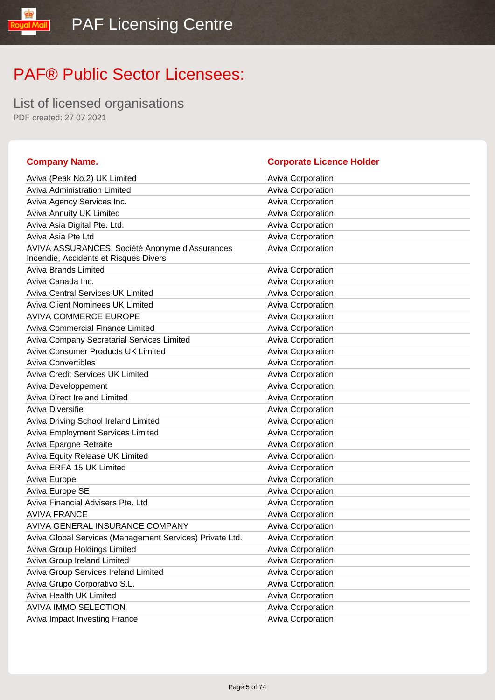List of licensed organisations PDF created: 27 07 2021

### **Company Name. Corporate Licence Holder** Aviva (Peak No.2) UK Limited Aviva Corporation Aviva Corporation Aviva Administration Limited **Aviva Corporation** Aviva Corporation Aviva Agency Services Inc. **Aviva Corporation** Aviva Corporation Aviva Annuity UK Limited Aviva Corporation Aviva Asia Digital Pte. Ltd. Aviva Corporation Aviva Corporation Aviva Asia Pte Ltd **Aviva Corporation** Aviva Corporation AVIVA ASSURANCES, Société Anonyme d'Assurances Incendie, Accidents et Risques Divers Aviva Corporation Aviva Brands Limited **Aviva Corporation** Aviva Corporation Aviva Canada Inc. **Aviva Constructs** Aviva Corporation Aviva Central Services UK Limited **Aviva Confluence Aviva Corporation** Aviva Client Nominees UK Limited Aviva Corporation AVIVA COMMERCE EUROPE **AVIVA** Corporation Aviva Commercial Finance Limited **Aviva Corporation** Aviva Corporation Aviva Company Secretarial Services Limited **Aviva Corporation** Aviva Consumer Products UK Limited **Aviva Consumer Products** UK Limited Aviva Corporation Aviva Convertibles **Aviva Convertibles** Aviva Corporation Aviva Credit Services UK Limited Aviva Corporation Aviva Corporation Aviva Developpement **Aviva Corporation** Aviva Direct Ireland Limited **Aviva Corporation** Aviva Corporation Aviva Diversifie **Aviva Corporation** Aviva Corporation Aviva Driving School Ireland Limited **Aviva Corporation** Aviva Corporation Aviva Employment Services Limited **Aviva Corporation** Aviva Corporation Aviva Epargne Retraite **Aviva Corporation** Aviva Corporation Aviva Equity Release UK Limited Aviva Corporation Aviva ERFA 15 UK Limited Aviva Corporation Aviva Europe **Aviva Corporation** Aviva Corporation Aviva Europe SE **Aviva Community** Aviva Corporation Aviva Financial Advisers Pte. Ltd Aviva Corporation AVIVA FRANCE AVIVA Corporation AVIVA GENERAL INSURANCE COMPANY **AVIVA Construent Aviva Corporation** Aviva Global Services (Management Services) Private Ltd. Aviva Corporation Aviva Group Holdings Limited **Aviva Corporation** Aviva Corporation Aviva Group Ireland Limited **Aviva Corporation** Aviva Corporation Aviva Group Services Ireland Limited Aviva Corporation Aviva Grupo Corporativo S.L. Aviva Corporation Aviva Corporation Aviva Health UK Limited **Aviva Corporation** Aviva Corporation AVIVA IMMO SELECTION AVIVA Corporation Aviva Impact Investing France **Aviva Corporation** Aviva Corporation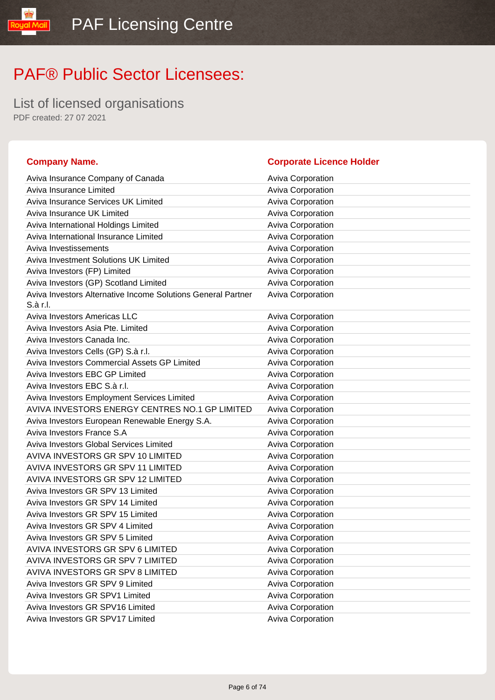List of licensed organisations PDF created: 27 07 2021

l libW layos

| <b>Company Name.</b>                                                     | <b>Corporate Licence Holder</b> |
|--------------------------------------------------------------------------|---------------------------------|
| Aviva Insurance Company of Canada                                        | <b>Aviva Corporation</b>        |
| Aviva Insurance Limited                                                  | Aviva Corporation               |
| Aviva Insurance Services UK Limited                                      | Aviva Corporation               |
| Aviva Insurance UK Limited                                               | Aviva Corporation               |
| Aviva International Holdings Limited                                     | Aviva Corporation               |
| Aviva International Insurance Limited                                    | Aviva Corporation               |
| Aviva Investissements                                                    | <b>Aviva Corporation</b>        |
| Aviva Investment Solutions UK Limited                                    | Aviva Corporation               |
| Aviva Investors (FP) Limited                                             | Aviva Corporation               |
| Aviva Investors (GP) Scotland Limited                                    | Aviva Corporation               |
| Aviva Investors Alternative Income Solutions General Partner<br>S.à r.l. | Aviva Corporation               |
| <b>Aviva Investors Americas LLC</b>                                      | <b>Aviva Corporation</b>        |
| Aviva Investors Asia Pte. Limited                                        | Aviva Corporation               |
| Aviva Investors Canada Inc.                                              | Aviva Corporation               |
| Aviva Investors Cells (GP) S.à r.l.                                      | Aviva Corporation               |
| Aviva Investors Commercial Assets GP Limited                             | Aviva Corporation               |
| Aviva Investors EBC GP Limited                                           | Aviva Corporation               |
| Aviva Investors EBC S.à r.l.                                             | Aviva Corporation               |
| Aviva Investors Employment Services Limited                              | Aviva Corporation               |
| AVIVA INVESTORS ENERGY CENTRES NO.1 GP LIMITED                           | Aviva Corporation               |
| Aviva Investors European Renewable Energy S.A.                           | Aviva Corporation               |
| Aviva Investors France S.A                                               | Aviva Corporation               |
| Aviva Investors Global Services Limited                                  | Aviva Corporation               |
| AVIVA INVESTORS GR SPV 10 LIMITED                                        | Aviva Corporation               |
| AVIVA INVESTORS GR SPV 11 LIMITED                                        | Aviva Corporation               |
| AVIVA INVESTORS GR SPV 12 LIMITED                                        | Aviva Corporation               |
| Aviva Investors GR SPV 13 Limited                                        | Aviva Corporation               |
| Aviva Investors GR SPV 14 Limited                                        | Aviva Corporation               |
| Aviva Investors GR SPV 15 Limited                                        | Aviva Corporation               |
| Aviva Investors GR SPV 4 Limited                                         | Aviva Corporation               |
| Aviva Investors GR SPV 5 Limited                                         | <b>Aviva Corporation</b>        |
| AVIVA INVESTORS GR SPV 6 LIMITED                                         | Aviva Corporation               |
| AVIVA INVESTORS GR SPV 7 LIMITED                                         | Aviva Corporation               |
| AVIVA INVESTORS GR SPV 8 LIMITED                                         | Aviva Corporation               |
| Aviva Investors GR SPV 9 Limited                                         | Aviva Corporation               |
| Aviva Investors GR SPV1 Limited                                          | Aviva Corporation               |
| Aviva Investors GR SPV16 Limited                                         | Aviva Corporation               |
| Aviva Investors GR SPV17 Limited                                         | Aviva Corporation               |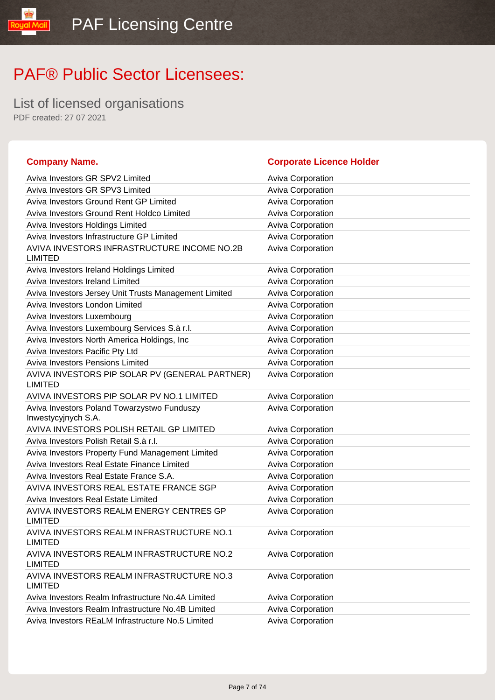List of licensed organisations PDF created: 27 07 2021

#### **Company Name. Corporate Licence Holder** Aviva Investors GR SPV2 Limited Aviva Corporation Aviva Investors GR SPV3 Limited Aviva Corporation Aviva Investors Ground Rent GP Limited Aviva Corporation Aviva Investors Ground Rent Holdco Limited **Aviva Corporation** Aviva Investors Holdings Limited Aviva Corporation Aviva Corporation Aviva Investors Infrastructure GP Limited Aviva Corporation AVIVA INVESTORS INFRASTRUCTURE INCOME NO.2B LIMITED Aviva Corporation Aviva Investors Ireland Holdings Limited **Aviva Corporation** Aviva Corporation Aviva Investors Ireland Limited Aviva Corporation Aviva Corporation Aviva Investors Jersey Unit Trusts Management Limited Aviva Corporation Aviva Investors London Limited **Aviva Corporation** Aviva Corporation Aviva Investors Luxembourg **Aviva Corporation** Aviva Corporation Aviva Investors Luxembourg Services S.à r.l. **Aviva Corporation** Aviva Investors North America Holdings, Inc **Aviva Corporation** Aviva Investors Pacific Pty Ltd Aviva Corporation Aviva Corporation Aviva Investors Pensions Limited **Aviva Corporation** Aviva Corporation AVIVA INVESTORS PIP SOLAR PV (GENERAL PARTNER) LIMITED Aviva Corporation AVIVA INVESTORS PIP SOLAR PV NO.1 LIMITED Aviva Corporation Aviva Investors Poland Towarzystwo Funduszy Inwestycyjnych S.A. Aviva Corporation AVIVA INVESTORS POLISH RETAIL GP LIMITED Aviva Corporation Aviva Investors Polish Retail S.à r.l. **Aviva Corporation** Aviva Corporation Aviva Investors Property Fund Management Limited **Aviva Corporation** Aviva Investors Real Estate Finance Limited **Aviva Corporation** Aviva Investors Real Estate France S.A. **Aviva Corporation** Aviva Corporation AVIVA INVESTORS REAL ESTATE FRANCE SGP Aviva Corporation Aviva Investors Real Estate Limited **Aviva Corporation** Aviva Corporation AVIVA INVESTORS REALM ENERGY CENTRES GP LIMITED Aviva Corporation AVIVA INVESTORS REALM INFRASTRUCTURE NO.1 LIMITED Aviva Corporation AVIVA INVESTORS REALM INFRASTRUCTURE NO.2 LIMITED Aviva Corporation AVIVA INVESTORS REALM INFRASTRUCTURE NO.3 LIMITED Aviva Corporation Aviva Investors Realm Infrastructure No.4A Limited **Aviva Corporation** Aviva Investors Realm Infrastructure No.4B Limited Aviva Corporation Aviva Investors REaLM Infrastructure No.5 Limited Aviva Corporation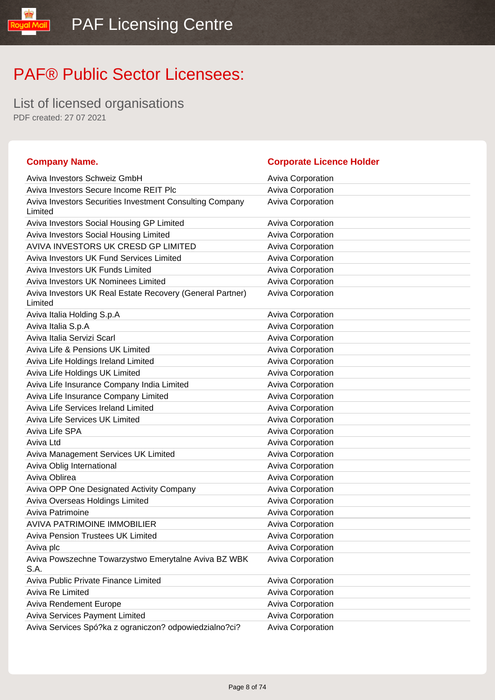List of licensed organisations PDF created: 27 07 2021

aud

| <b>Company Name.</b>                                                 | <b>Corporate Licence Holder</b> |
|----------------------------------------------------------------------|---------------------------------|
| Aviva Investors Schweiz GmbH                                         | <b>Aviva Corporation</b>        |
| Aviva Investors Secure Income REIT Plc                               | Aviva Corporation               |
| Aviva Investors Securities Investment Consulting Company<br>Limited  | Aviva Corporation               |
| Aviva Investors Social Housing GP Limited                            | <b>Aviva Corporation</b>        |
| Aviva Investors Social Housing Limited                               | <b>Aviva Corporation</b>        |
| AVIVA INVESTORS UK CRESD GP LIMITED                                  | Aviva Corporation               |
| Aviva Investors UK Fund Services Limited                             | Aviva Corporation               |
| Aviva Investors UK Funds Limited                                     | Aviva Corporation               |
| Aviva Investors UK Nominees Limited                                  | Aviva Corporation               |
| Aviva Investors UK Real Estate Recovery (General Partner)<br>Limited | Aviva Corporation               |
| Aviva Italia Holding S.p.A                                           | <b>Aviva Corporation</b>        |
| Aviva Italia S.p.A                                                   | Aviva Corporation               |
| Aviva Italia Servizi Scarl                                           | Aviva Corporation               |
| Aviva Life & Pensions UK Limited                                     | <b>Aviva Corporation</b>        |
| Aviva Life Holdings Ireland Limited                                  | <b>Aviva Corporation</b>        |
| Aviva Life Holdings UK Limited                                       | Aviva Corporation               |
| Aviva Life Insurance Company India Limited                           | Aviva Corporation               |
| Aviva Life Insurance Company Limited                                 | <b>Aviva Corporation</b>        |
| Aviva Life Services Ireland Limited                                  | Aviva Corporation               |
| <b>Aviva Life Services UK Limited</b>                                | Aviva Corporation               |
| Aviva Life SPA                                                       | Aviva Corporation               |
| Aviva Ltd                                                            | Aviva Corporation               |
| Aviva Management Services UK Limited                                 | <b>Aviva Corporation</b>        |
| Aviva Oblig International                                            | Aviva Corporation               |
| Aviva Oblirea                                                        | <b>Aviva Corporation</b>        |
| Aviva OPP One Designated Activity Company                            | Aviva Corporation               |
| Aviva Overseas Holdings Limited                                      | Aviva Corporation               |
| Aviva Patrimoine                                                     | Aviva Corporation               |
| AVIVA PATRIMOINE IMMOBILIER                                          | <b>Aviva Corporation</b>        |
| Aviva Pension Trustees UK Limited                                    | <b>Aviva Corporation</b>        |
| Aviva plc                                                            | Aviva Corporation               |
| Aviva Powszechne Towarzystwo Emerytalne Aviva BZ WBK<br>S.A.         | Aviva Corporation               |
| Aviva Public Private Finance Limited                                 | <b>Aviva Corporation</b>        |
| Aviva Re Limited                                                     | <b>Aviva Corporation</b>        |
| <b>Aviva Rendement Europe</b>                                        | Aviva Corporation               |
| <b>Aviva Services Payment Limited</b>                                | Aviva Corporation               |
| Aviva Services Spó?ka z ograniczon? odpowiedzialno?ci?               | Aviva Corporation               |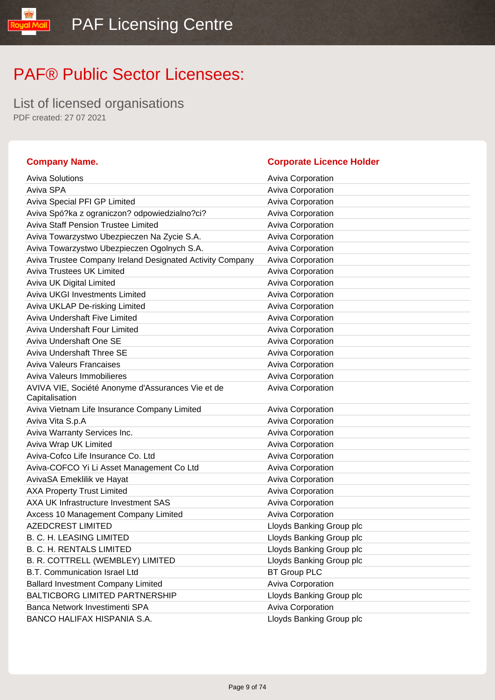List of licensed organisations PDF created: 27 07 2021

yal Mail

### **Company Name. Company Name. Company Name. Company Name. Company Name. Company Name. Company Name. Company Name. Company Name. Company Name. Company Name. Company Name. Company Name. Company Name.**

| <b>Aviva Solutions</b>                                    | <b>Aviva Corporation</b> |
|-----------------------------------------------------------|--------------------------|
| Aviva SPA                                                 | Aviva Corporation        |
| Aviva Special PFI GP Limited                              | <b>Aviva Corporation</b> |
| Aviva Spó?ka z ograniczon? odpowiedzialno?ci?             | Aviva Corporation        |
| <b>Aviva Staff Pension Trustee Limited</b>                | Aviva Corporation        |
| Aviva Towarzystwo Ubezpieczen Na Zycie S.A.               | Aviva Corporation        |
| Aviva Towarzystwo Ubezpieczen Ogolnych S.A.               | Aviva Corporation        |
| Aviva Trustee Company Ireland Designated Activity Company | Aviva Corporation        |
| <b>Aviva Trustees UK Limited</b>                          | Aviva Corporation        |
| Aviva UK Digital Limited                                  | Aviva Corporation        |
| <b>Aviva UKGI Investments Limited</b>                     | Aviva Corporation        |
| Aviva UKLAP De-risking Limited                            | Aviva Corporation        |
| Aviva Undershaft Five Limited                             | Aviva Corporation        |
| Aviva Undershaft Four Limited                             | Aviva Corporation        |
| Aviva Undershaft One SE                                   | Aviva Corporation        |
| Aviva Undershaft Three SE                                 | Aviva Corporation        |
| <b>Aviva Valeurs Francaises</b>                           | <b>Aviva Corporation</b> |
| Aviva Valeurs Immobilieres                                | Aviva Corporation        |
| AVIVA VIE, Société Anonyme d'Assurances Vie et de         | Aviva Corporation        |
| Capitalisation                                            |                          |
| Aviva Vietnam Life Insurance Company Limited              | <b>Aviva Corporation</b> |
| Aviva Vita S.p.A                                          | Aviva Corporation        |
| Aviva Warranty Services Inc.                              | Aviva Corporation        |
| Aviva Wrap UK Limited                                     | Aviva Corporation        |
| Aviva-Cofco Life Insurance Co. Ltd                        | Aviva Corporation        |
| Aviva-COFCO Yi Li Asset Management Co Ltd                 | Aviva Corporation        |
| AvivaSA Emeklilik ve Hayat                                | Aviva Corporation        |
| <b>AXA Property Trust Limited</b>                         | Aviva Corporation        |
| AXA UK Infrastructure Investment SAS                      | <b>Aviva Corporation</b> |
| Axcess 10 Management Company Limited                      | Aviva Corporation        |
| <b>AZEDCREST LIMITED</b>                                  | Lloyds Banking Group plc |
| <b>B. C. H. LEASING LIMITED</b>                           | Lloyds Banking Group plc |
| <b>B. C. H. RENTALS LIMITED</b>                           | Lloyds Banking Group plc |
| B. R. COTTRELL (WEMBLEY) LIMITED                          | Lloyds Banking Group plc |
| B.T. Communication Israel Ltd                             | <b>BT Group PLC</b>      |
| <b>Ballard Investment Company Limited</b>                 | Aviva Corporation        |
| <b>BALTICBORG LIMITED PARTNERSHIP</b>                     | Lloyds Banking Group plc |
| Banca Network Investimenti SPA                            | Aviva Corporation        |
| BANCO HALIFAX HISPANIA S.A.                               | Lloyds Banking Group plc |
|                                                           |                          |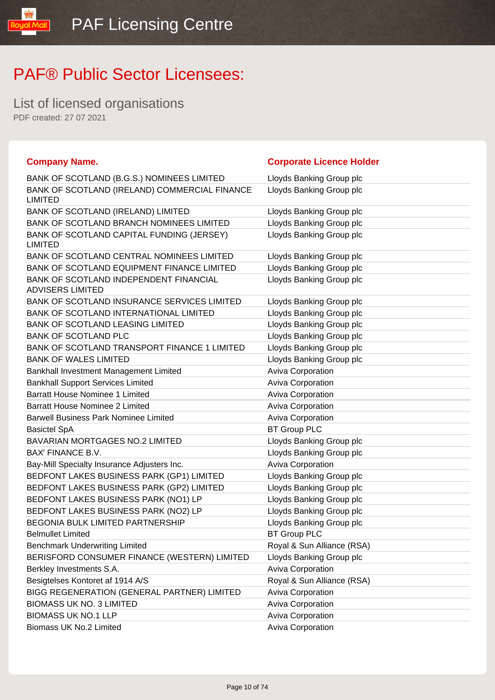List of licensed organisations PDF created: 27 07 2021

**loual** 

| <b>Company Name.</b>                                              | <b>Corporate Licence Holder</b> |
|-------------------------------------------------------------------|---------------------------------|
| BANK OF SCOTLAND (B.G.S.) NOMINEES LIMITED                        | Lloyds Banking Group plc        |
| BANK OF SCOTLAND (IRELAND) COMMERCIAL FINANCE<br><b>LIMITED</b>   | Lloyds Banking Group plc        |
| BANK OF SCOTLAND (IRELAND) LIMITED                                | Lloyds Banking Group plc        |
| BANK OF SCOTLAND BRANCH NOMINEES LIMITED                          | Lloyds Banking Group plc        |
| BANK OF SCOTLAND CAPITAL FUNDING (JERSEY)<br><b>LIMITED</b>       | Lloyds Banking Group plc        |
| BANK OF SCOTLAND CENTRAL NOMINEES LIMITED                         | Lloyds Banking Group plc        |
| BANK OF SCOTLAND EQUIPMENT FINANCE LIMITED                        | Lloyds Banking Group plc        |
| BANK OF SCOTLAND INDEPENDENT FINANCIAL<br><b>ADVISERS LIMITED</b> | Lloyds Banking Group plc        |
| BANK OF SCOTLAND INSURANCE SERVICES LIMITED                       | Lloyds Banking Group plc        |
| BANK OF SCOTLAND INTERNATIONAL LIMITED                            | Lloyds Banking Group plc        |
| <b>BANK OF SCOTLAND LEASING LIMITED</b>                           | Lloyds Banking Group plc        |
| <b>BANK OF SCOTLAND PLC</b>                                       | Lloyds Banking Group plc        |
| BANK OF SCOTLAND TRANSPORT FINANCE 1 LIMITED                      | Lloyds Banking Group plc        |
| <b>BANK OF WALES LIMITED</b>                                      | Lloyds Banking Group plc        |
| Bankhall Investment Management Limited                            | Aviva Corporation               |
| <b>Bankhall Support Services Limited</b>                          | Aviva Corporation               |
| <b>Barratt House Nominee 1 Limited</b>                            | Aviva Corporation               |
| <b>Barratt House Nominee 2 Limited</b>                            | Aviva Corporation               |
| <b>Barwell Business Park Nominee Limited</b>                      | Aviva Corporation               |
| <b>Basictel SpA</b>                                               | <b>BT Group PLC</b>             |
| <b>BAVARIAN MORTGAGES NO.2 LIMITED</b>                            | Lloyds Banking Group plc        |
| <b>BAX' FINANCE B.V.</b>                                          | Lloyds Banking Group plc        |
| Bay-Mill Specialty Insurance Adjusters Inc.                       | Aviva Corporation               |
| BEDFONT LAKES BUSINESS PARK (GP1) LIMITED                         | Lloyds Banking Group plc        |
| BEDFONT LAKES BUSINESS PARK (GP2) LIMITED                         | Lloyds Banking Group plc        |
| BEDFONT LAKES BUSINESS PARK (NO1) LP                              | Lloyds Banking Group plc        |
| BEDFONT LAKES BUSINESS PARK (NO2) LP                              | Lloyds Banking Group plc        |
| <b>BEGONIA BULK LIMITED PARTNERSHIP</b>                           | Lloyds Banking Group plc        |
| <b>Belmullet Limited</b>                                          | <b>BT Group PLC</b>             |
| <b>Benchmark Underwriting Limited</b>                             | Royal & Sun Alliance (RSA)      |
| BERISFORD CONSUMER FINANCE (WESTERN) LIMITED                      | Lloyds Banking Group plc        |
| Berkley Investments S.A.                                          | Aviva Corporation               |
| Besigtelses Kontoret af 1914 A/S                                  | Royal & Sun Alliance (RSA)      |
| BIGG REGENERATION (GENERAL PARTNER) LIMITED                       | Aviva Corporation               |
| <b>BIOMASS UK NO. 3 LIMITED</b>                                   | Aviva Corporation               |
| <b>BIOMASS UK NO.1 LLP</b>                                        | Aviva Corporation               |
| Biomass UK No.2 Limited                                           | <b>Aviva Corporation</b>        |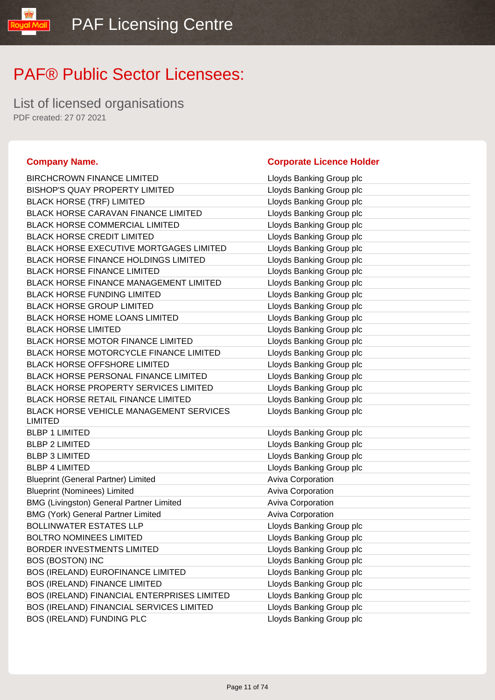List of licensed organisations PDF created: 27 07 2021

IlipM lipu

| <b>BIRCHCROWN FINANCE LIMITED</b>                         | Lloyds Banking Group plc |
|-----------------------------------------------------------|--------------------------|
| <b>BISHOP'S QUAY PROPERTY LIMITED</b>                     | Lloyds Banking Group plc |
| <b>BLACK HORSE (TRF) LIMITED</b>                          | Lloyds Banking Group plc |
| <b>BLACK HORSE CARAVAN FINANCE LIMITED</b>                | Lloyds Banking Group plc |
| <b>BLACK HORSE COMMERCIAL LIMITED</b>                     | Lloyds Banking Group plc |
| <b>BLACK HORSE CREDIT LIMITED</b>                         | Lloyds Banking Group plc |
| <b>BLACK HORSE EXECUTIVE MORTGAGES LIMITED</b>            | Lloyds Banking Group plc |
| <b>BLACK HORSE FINANCE HOLDINGS LIMITED</b>               | Lloyds Banking Group plc |
| <b>BLACK HORSE FINANCE LIMITED</b>                        | Lloyds Banking Group plc |
| <b>BLACK HORSE FINANCE MANAGEMENT LIMITED</b>             | Lloyds Banking Group plc |
| <b>BLACK HORSE FUNDING LIMITED</b>                        | Lloyds Banking Group plc |
| <b>BLACK HORSE GROUP LIMITED</b>                          | Lloyds Banking Group plc |
| <b>BLACK HORSE HOME LOANS LIMITED</b>                     | Lloyds Banking Group plc |
| <b>BLACK HORSE LIMITED</b>                                | Lloyds Banking Group plc |
| <b>BLACK HORSE MOTOR FINANCE LIMITED</b>                  | Lloyds Banking Group plc |
| BLACK HORSE MOTORCYCLE FINANCE LIMITED                    | Lloyds Banking Group plc |
| <b>BLACK HORSE OFFSHORE LIMITED</b>                       | Lloyds Banking Group plc |
| <b>BLACK HORSE PERSONAL FINANCE LIMITED</b>               | Lloyds Banking Group plc |
| <b>BLACK HORSE PROPERTY SERVICES LIMITED</b>              | Lloyds Banking Group plc |
| <b>BLACK HORSE RETAIL FINANCE LIMITED</b>                 | Lloyds Banking Group plc |
| <b>BLACK HORSE VEHICLE MANAGEMENT SERVICES</b><br>LIMITED | Lloyds Banking Group plc |
| <b>BLBP 1 LIMITED</b>                                     | Lloyds Banking Group plc |
| <b>BLBP 2 LIMITED</b>                                     | Lloyds Banking Group plc |
| <b>BLBP 3 LIMITED</b>                                     | Lloyds Banking Group plc |
| <b>BLBP 4 LIMITED</b>                                     | Lloyds Banking Group plc |
| <b>Blueprint (General Partner) Limited</b>                | Aviva Corporation        |
| <b>Blueprint (Nominees) Limited</b>                       | <b>Aviva Corporation</b> |
| <b>BMG (Livingston) General Partner Limited</b>           | Aviva Corporation        |
| <b>BMG (York) General Partner Limited</b>                 | Aviva Corporation        |
| <b>BOLLINWATER ESTATES LLP</b>                            | Lloyds Banking Group plc |
| <b>BOLTRO NOMINEES LIMITED</b>                            | Lloyds Banking Group plc |
| BORDER INVESTMENTS LIMITED                                | Lloyds Banking Group plc |
| <b>BOS (BOSTON) INC</b>                                   | Lloyds Banking Group plc |
| <b>BOS (IRELAND) EUROFINANCE LIMITED</b>                  | Lloyds Banking Group plc |
| <b>BOS (IRELAND) FINANCE LIMITED</b>                      | Lloyds Banking Group plc |
| BOS (IRELAND) FINANCIAL ENTERPRISES LIMITED               | Lloyds Banking Group plc |
| BOS (IRELAND) FINANCIAL SERVICES LIMITED                  | Lloyds Banking Group plc |
| BOS (IRELAND) FUNDING PLC                                 | Lloyds Banking Group plc |

### **Company Name. Company Name. Company Name. Company Name. Company Name. Company Name. Company Name. Company Name. Company Name. Company Name. Company Name. Company Name. Company Name. Company Name.**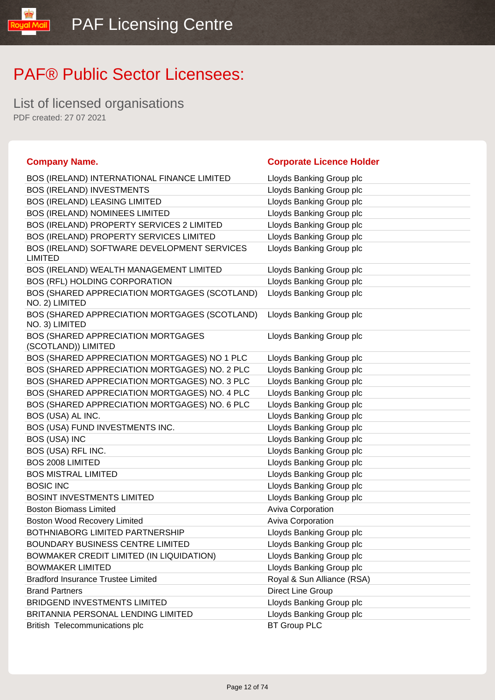List of licensed organisations PDF created: 27 07 2021

lipM lpuo!

| <b>Company Name.</b>                                            | <b>Corporate Licence Holder</b> |
|-----------------------------------------------------------------|---------------------------------|
| BOS (IRELAND) INTERNATIONAL FINANCE LIMITED                     | Lloyds Banking Group plc        |
| <b>BOS (IRELAND) INVESTMENTS</b>                                | Lloyds Banking Group plc        |
| <b>BOS (IRELAND) LEASING LIMITED</b>                            | Lloyds Banking Group plc        |
| BOS (IRELAND) NOMINEES LIMITED                                  | Lloyds Banking Group plc        |
| BOS (IRELAND) PROPERTY SERVICES 2 LIMITED                       | Lloyds Banking Group plc        |
| BOS (IRELAND) PROPERTY SERVICES LIMITED                         | Lloyds Banking Group plc        |
| BOS (IRELAND) SOFTWARE DEVELOPMENT SERVICES<br><b>LIMITED</b>   | Lloyds Banking Group plc        |
| BOS (IRELAND) WEALTH MANAGEMENT LIMITED                         | Lloyds Banking Group plc        |
| BOS (RFL) HOLDING CORPORATION                                   | Lloyds Banking Group plc        |
| BOS (SHARED APPRECIATION MORTGAGES (SCOTLAND)<br>NO. 2) LIMITED | Lloyds Banking Group plc        |
| BOS (SHARED APPRECIATION MORTGAGES (SCOTLAND)<br>NO. 3) LIMITED | Lloyds Banking Group plc        |
| BOS (SHARED APPRECIATION MORTGAGES<br>(SCOTLAND)) LIMITED       | Lloyds Banking Group plc        |
| BOS (SHARED APPRECIATION MORTGAGES) NO 1 PLC                    | Lloyds Banking Group plc        |
| BOS (SHARED APPRECIATION MORTGAGES) NO. 2 PLC                   | Lloyds Banking Group plc        |
| BOS (SHARED APPRECIATION MORTGAGES) NO. 3 PLC                   | Lloyds Banking Group plc        |
| BOS (SHARED APPRECIATION MORTGAGES) NO. 4 PLC                   | Lloyds Banking Group plc        |
| BOS (SHARED APPRECIATION MORTGAGES) NO. 6 PLC                   | Lloyds Banking Group plc        |
| BOS (USA) AL INC.                                               | Lloyds Banking Group plc        |
| BOS (USA) FUND INVESTMENTS INC.                                 | Lloyds Banking Group plc        |
| <b>BOS (USA) INC</b>                                            | Lloyds Banking Group plc        |
| BOS (USA) RFL INC.                                              | Lloyds Banking Group plc        |
| <b>BOS 2008 LIMITED</b>                                         | Lloyds Banking Group plc        |
| <b>BOS MISTRAL LIMITED</b>                                      | Lloyds Banking Group plc        |
| <b>BOSIC INC</b>                                                | Lloyds Banking Group plc        |
| <b>BOSINT INVESTMENTS LIMITED</b>                               | Lloyds Banking Group plc        |
| <b>Boston Biomass Limited</b>                                   | Aviva Corporation               |
| <b>Boston Wood Recovery Limited</b>                             | Aviva Corporation               |
| BOTHNIABORG LIMITED PARTNERSHIP                                 | Lloyds Banking Group plc        |
| BOUNDARY BUSINESS CENTRE LIMITED                                | Lloyds Banking Group plc        |
| BOWMAKER CREDIT LIMITED (IN LIQUIDATION)                        | Lloyds Banking Group plc        |
| <b>BOWMAKER LIMITED</b>                                         | Lloyds Banking Group plc        |
| <b>Bradford Insurance Trustee Limited</b>                       | Royal & Sun Alliance (RSA)      |
| <b>Brand Partners</b>                                           | Direct Line Group               |
| <b>BRIDGEND INVESTMENTS LIMITED</b>                             | Lloyds Banking Group plc        |
| BRITANNIA PERSONAL LENDING LIMITED                              | Lloyds Banking Group plc        |
| British Telecommunications plc                                  | <b>BT Group PLC</b>             |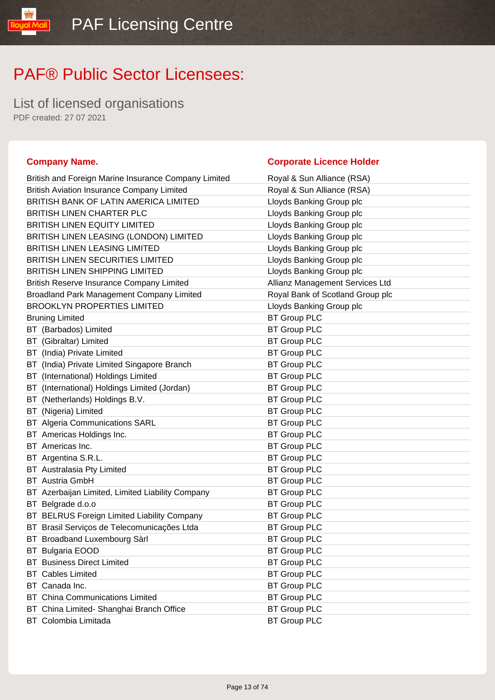List of licensed organisations PDF created: 27 07 2021

### **Company Name. Company Name. Company Name. Company Name. Company Name. Company Name. Company Name. Company Name. Company Name. Company Name. Company Name. Company Name. Company Name. Company Name.**

yal Mail

| Royal & Sun Alliance (RSA)       |
|----------------------------------|
| Royal & Sun Alliance (RSA)       |
| Lloyds Banking Group plc         |
| Lloyds Banking Group plc         |
| Lloyds Banking Group plc         |
| Lloyds Banking Group plc         |
| Lloyds Banking Group plc         |
| Lloyds Banking Group plc         |
| Lloyds Banking Group plc         |
| Allianz Management Services Ltd  |
| Royal Bank of Scotland Group plc |
| Lloyds Banking Group plc         |
| <b>BT Group PLC</b>              |
| <b>BT Group PLC</b>              |
| <b>BT Group PLC</b>              |
| <b>BT Group PLC</b>              |
| <b>BT Group PLC</b>              |
| <b>BT Group PLC</b>              |
| <b>BT Group PLC</b>              |
| <b>BT Group PLC</b>              |
| <b>BT Group PLC</b>              |
| <b>BT Group PLC</b>              |
| <b>BT Group PLC</b>              |
| <b>BT Group PLC</b>              |
| <b>BT Group PLC</b>              |
| <b>BT Group PLC</b>              |
| <b>BT Group PLC</b>              |
| <b>BT Group PLC</b>              |
| <b>BT Group PLC</b>              |
| <b>BT Group PLC</b>              |
| <b>BT Group PLC</b>              |
| <b>BT Group PLC</b>              |
| <b>BT Group PLC</b>              |
| <b>BT Group PLC</b>              |
| <b>BT Group PLC</b>              |
| <b>BT Group PLC</b>              |
|                                  |
| <b>BT Group PLC</b>              |
| <b>BT Group PLC</b>              |
|                                  |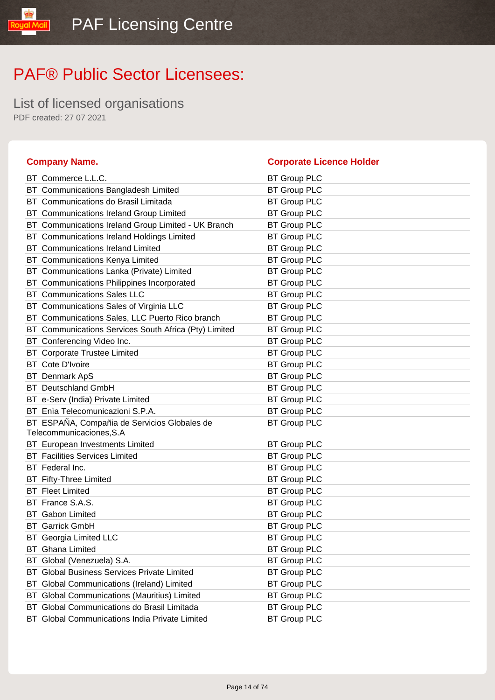List of licensed organisations PDF created: 27 07 2021

### **Company Name. Corporate Licence Holder** BT Commerce L.L.C. BT Group PLC BT Communications Bangladesh Limited BT Group PLC BT Communications do Brasil Limitada BT Group PLC BT Communications Ireland Group Limited BT Group PLC BT Communications Ireland Group Limited - UK Branch BT Group PLC BT Communications Ireland Holdings Limited BT Group PLC BT Communications Ireland Limited BT Group PLC BT Communications Kenya Limited BT Group PLC BT Communications Lanka (Private) Limited BT Group PLC BT Communications Philippines Incorporated BT Group PLC BT Communications Sales LLC BT Group PLC BT Communications Sales of Virginia LLC BT Group PLC BT Communications Sales, LLC Puerto Rico branch BT Group PLC BT Communications Services South Africa (Pty) Limited BT Group PLC BT Conferencing Video Inc. **BT Group PLC** BT Corporate Trustee Limited BT Group PLC BT Cote D'Ivoire **BT Group PLC** BT Denmark ApS BT Group PLC BT Deutschland GmbH BT Group PLC BT e-Serv (India) Private Limited BT Group PLC BT Enìa Telecomunicazioni S.P.A. BT Group PLC BT ESPAÑA, Compañia de Servicios Globales de Telecommunicaciones,S.A BT Group PLC BT European Investments Limited BT Group PLC BT Facilities Services Limited BT Group PLC BT Federal Inc. **BT Group PLC** BT Fifty-Three Limited BT Group PLC BT Fleet Limited **BT Group PLC** BT France S.A.S. BT Group PLC BT Gabon Limited BT Group PLC BT Garrick GmbH BT Group PLC BT Georgia Limited LLC BT Group PLC BT Ghana Limited **BT Group PLC** BT Global (Venezuela) S.A. BT Group PLC BT Global Business Services Private Limited BT Group PLC BT Global Communications (Ireland) Limited BT Group PLC BT Global Communications (Mauritius) Limited BT Group PLC BT Global Communications do Brasil Limitada BT Group PLC

BT Global Communications India Private Limited BT Group PLC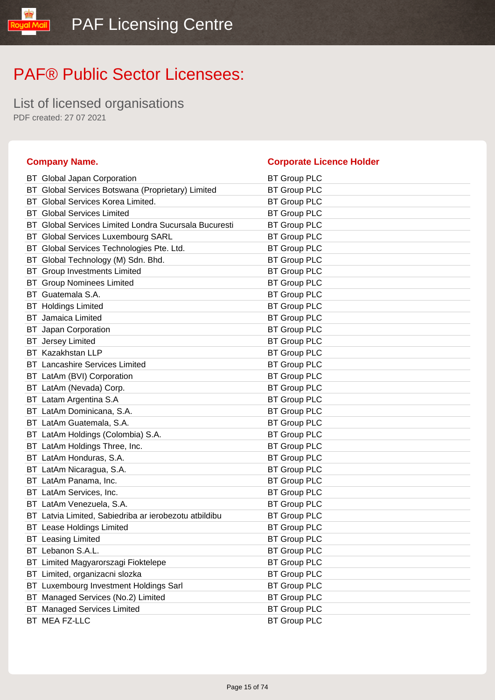List of licensed organisations PDF created: 27 07 2021

### **Company Name. Corporate Licence Holder** BT Global Japan Corporation BT Group PLC BT Global Services Botswana (Proprietary) Limited BT Group PLC BT Global Services Korea Limited. BT Group PLC BT Global Services Limited BT Group PLC BT Global Services Limited Londra Sucursala Bucuresti BT Group PLC BT Global Services Luxembourg SARL BT Group PLC BT Global Services Technologies Pte. Ltd. BT Group PLC BT Global Technology (M) Sdn. Bhd. BT Group PLC BT Group Investments Limited BT Group PLC BT Group Nominees Limited BT Group PLC BT Guatemala S.A. BT Group PLC BT Holdings Limited **BT Group PLC** BT Jamaica Limited **BT Group PLC** BT Japan Corporation **BT Group PLC** BT Jersey Limited BT Group PLC BT Kazakhstan LLP BT Group PLC BT Lancashire Services Limited BT Group PLC BT LatAm (BVI) Corporation BT Group PLC BT LatAm (Nevada) Corp. BT Group PLC BT Latam Argentina S.A BT Group PLC BT LatAm Dominicana, S.A. BT Group PLC BT LatAm Guatemala, S.A. BT Group PLC BT LatAm Holdings (Colombia) S.A. BT Group PLC BT LatAm Holdings Three, Inc. **BT Group PLC** BT LatAm Honduras, S.A. BT Group PLC BT LatAm Nicaragua, S.A. BT Group PLC BT LatAm Panama, Inc. **BT Group PLC** BT LatAm Services, Inc. And BT Group PLC BT LatAm Venezuela, S.A. BT Group PLC BT Latvia Limited, Sabiedriba ar ierobezotu atbildibu BT Group PLC BT Lease Holdings Limited **BT Group PLC** BT Leasing Limited **BT Group PLC** BT Lebanon S.A.L. BT Group PLC BT Limited Magyarorszagi Fioktelepe BT Group PLC BT Limited, organizacni slozka BT Group PLC BT Luxembourg Investment Holdings Sarl BT Group PLC BT Managed Services (No.2) Limited BT Group PLC BT Managed Services Limited BT Group PLC BT MEA FZ-LLC BT Group PLC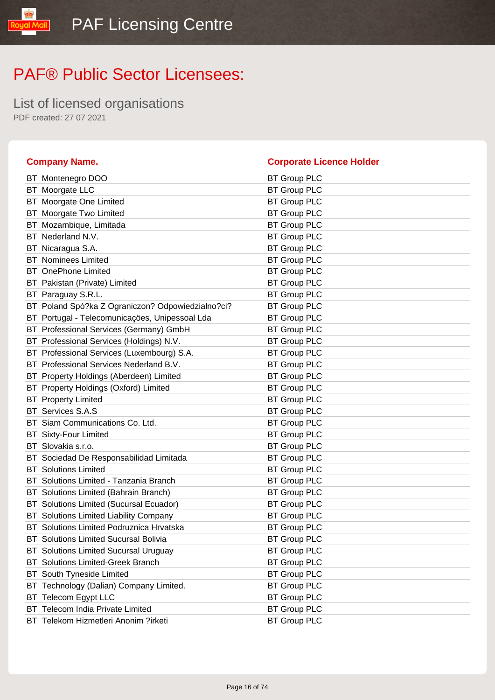List of licensed organisations PDF created: 27 07 2021

### **Company Name. Corporate Licence Holder** BT Montenegro DOO BT Group PLC BT Moorgate LLC BT Group PLC BT Moorgate One Limited BT Group PLC BT Moorgate Two Limited BT Group PLC BT Mozambique, Limitada BT Group PLC BT Nederland N.V. **BT Group PLC** BT Nicaragua S.A. **BT Group PLC** BT Nominees Limited BT Group PLC BT OnePhone Limited **BT Group PLC** BT Pakistan (Private) Limited BT Group PLC BT Paraguay S.R.L. **BT Group PLC** BT Poland Spó?ka Z Ograniczon? Odpowiedzialno?ci? BT Group PLC BT Portugal - Telecomunicações, Unipessoal Lda BT Group PLC BT Professional Services (Germany) GmbH BT Group PLC BT Professional Services (Holdings) N.V. BT Group PLC BT Professional Services (Luxembourg) S.A. BT Group PLC BT Professional Services Nederland B.V. BT Group PLC BT Property Holdings (Aberdeen) Limited BT Group PLC BT Property Holdings (Oxford) Limited BT Group PLC BT Property Limited BT Group PLC BT Services S.A.S BT Group PLC BT Siam Communications Co. Ltd. BT Group PLC BT Sixty-Four Limited **BT Group PLC** BT Slovakia s.r.o. **BT Group PLC** BT Sociedad De Responsabilidad Limitada BT Group PLC BT Solutions Limited **BT Group PLC** BT Solutions Limited - Tanzania Branch BT Group PLC BT Solutions Limited (Bahrain Branch) BT Group PLC BT Solutions Limited (Sucursal Ecuador) BT Group PLC BT Solutions Limited Liability Company **BT Group PLC** BT Solutions Limited Podruznica Hrvatska BT Group PLC BT Solutions Limited Sucursal Bolivia BT Group PLC BT Solutions Limited Sucursal Uruguay BT Group PLC BT Solutions Limited-Greek Branch BT Group PLC BT South Tyneside Limited BT Group PLC BT Technology (Dalian) Company Limited. BT Group PLC BT Telecom Egypt LLC and BT Group PLC BT Telecom India Private Limited BT Group PLC BT Telekom Hizmetleri Anonim ?irketi BT Group PLC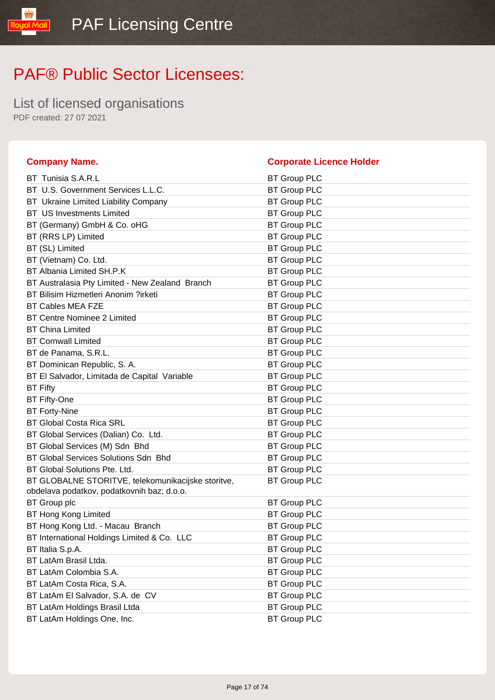List of licensed organisations PDF created: 27 07 2021

### **Company Name. Corporate Licence Holder** BT Tunisia S.A.R.L BT Group PLC BT U.S. Government Services L.L.C. BT Group PLC BT Ukraine Limited Liability Company BT Group PLC BT US Investments Limited BT Group PLC BT (Germany) GmbH & Co. oHG BT Group PLC BT (RRS LP) Limited BT Group PLC BT (SL) Limited BT Group PLC BT (Vietnam) Co. Ltd. BT Group PLC BT Albania Limited SH.P.K BT Group PLC BT Australasia Pty Limited - New Zealand Branch BT Group PLC BT Bilisim Hizmetleri Anonim ?irketi BT Group PLC BT Cables MEA FZE BT Group PLC BT Centre Nominee 2 Limited BT Group PLC BT China Limited **BT Group PLC** BT Cornwall Limited **BT Group PLC** BT de Panama, S.R.L. BT Group PLC BT Dominican Republic, S. A. BT Group PLC BT El Salvador, Limitada de Capital Variable BT Group PLC BT Fifty BT Group PLC BT Fifty-One BT Group PLC BT Forty-Nine **BT Group PLC** BT Global Costa Rica SRL BT Group PLC BT Global Services (Dalian) Co. Ltd. BT Group PLC BT Global Services (M) Sdn Bhd BT Group PLC BT Global Services Solutions Sdn Bhd BT Group PLC BT Global Solutions Pte. Ltd. BT Group PLC BT GLOBALNE STORITVE, telekomunikacijske storitve, obdelava podatkov, podatkovnih baz; d.o.o. BT Group PLC BT Group plc BT Group PLC BT Hong Kong Limited **BT Group PLC** BT Hong Kong Ltd. - Macau Branch BT Group PLC BT International Holdings Limited & Co. LLC BT Group PLC BT Italia S.p.A. BT Group PLC BT LatAm Brasil Ltda. BT Group PLC BT LatAm Colombia S.A. BT Group PLC BT LatAm Costa Rica, S.A. BT Group PLC BT LatAm El Salvador, S.A. de CV BT Group PLC BT LatAm Holdings Brasil Ltda BT Group PLC BT LatAm Holdings One, Inc. **BT Group PLC**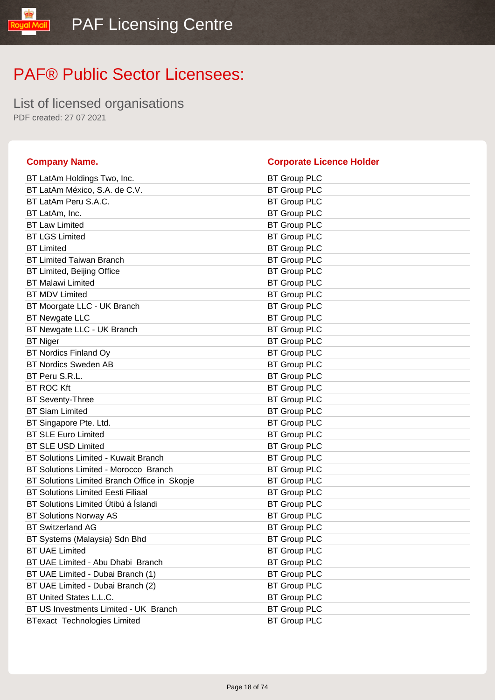List of licensed organisations PDF created: 27 07 2021

aud

| <b>Company Name.</b>                         | <b>Corporate Licence Holder</b> |
|----------------------------------------------|---------------------------------|
| BT LatAm Holdings Two, Inc.                  | <b>BT Group PLC</b>             |
| BT LatAm México, S.A. de C.V.                | <b>BT Group PLC</b>             |
| BT LatAm Peru S.A.C.                         | <b>BT Group PLC</b>             |
| BT LatAm, Inc.                               | <b>BT Group PLC</b>             |
| <b>BT Law Limited</b>                        | <b>BT Group PLC</b>             |
| <b>BT LGS Limited</b>                        | <b>BT Group PLC</b>             |
| <b>BT Limited</b>                            | <b>BT Group PLC</b>             |
| <b>BT Limited Taiwan Branch</b>              | <b>BT Group PLC</b>             |
| BT Limited, Beijing Office                   | <b>BT Group PLC</b>             |
| <b>BT Malawi Limited</b>                     | <b>BT Group PLC</b>             |
| <b>BT MDV Limited</b>                        | <b>BT Group PLC</b>             |
| BT Moorgate LLC - UK Branch                  | <b>BT Group PLC</b>             |
| <b>BT Newgate LLC</b>                        | <b>BT Group PLC</b>             |
| BT Newgate LLC - UK Branch                   | <b>BT Group PLC</b>             |
| <b>BT Niger</b>                              | <b>BT Group PLC</b>             |
| <b>BT Nordics Finland Oy</b>                 | <b>BT Group PLC</b>             |
| <b>BT Nordics Sweden AB</b>                  | <b>BT Group PLC</b>             |
| BT Peru S.R.L.                               | <b>BT Group PLC</b>             |
| <b>BT ROC Kft</b>                            | <b>BT Group PLC</b>             |
| <b>BT Seventy-Three</b>                      | <b>BT Group PLC</b>             |
| <b>BT Siam Limited</b>                       | <b>BT Group PLC</b>             |
| BT Singapore Pte. Ltd.                       | <b>BT Group PLC</b>             |
| <b>BT SLE Euro Limited</b>                   | <b>BT Group PLC</b>             |
| <b>BT SLE USD Limited</b>                    | <b>BT Group PLC</b>             |
| <b>BT Solutions Limited - Kuwait Branch</b>  | <b>BT Group PLC</b>             |
| BT Solutions Limited - Morocco Branch        | <b>BT Group PLC</b>             |
| BT Solutions Limited Branch Office in Skopje | <b>BT Group PLC</b>             |
| <b>BT Solutions Limited Eesti Filiaal</b>    | <b>BT Group PLC</b>             |
| BT Solutions Limited Útibú á Íslandi         | <b>BT Group PLC</b>             |
| <b>BT Solutions Norway AS</b>                | <b>BT Group PLC</b>             |
| <b>BT Switzerland AG</b>                     | <b>BT Group PLC</b>             |
| BT Systems (Malaysia) Sdn Bhd                | <b>BT Group PLC</b>             |
| <b>BT UAE Limited</b>                        | <b>BT Group PLC</b>             |
| BT UAE Limited - Abu Dhabi Branch            | <b>BT Group PLC</b>             |
| BT UAE Limited - Dubai Branch (1)            | <b>BT Group PLC</b>             |
| BT UAE Limited - Dubai Branch (2)            | <b>BT Group PLC</b>             |
| BT United States L.L.C.                      | <b>BT Group PLC</b>             |
| BT US Investments Limited - UK Branch        | <b>BT Group PLC</b>             |
| <b>BTexact Technologies Limited</b>          | <b>BT Group PLC</b>             |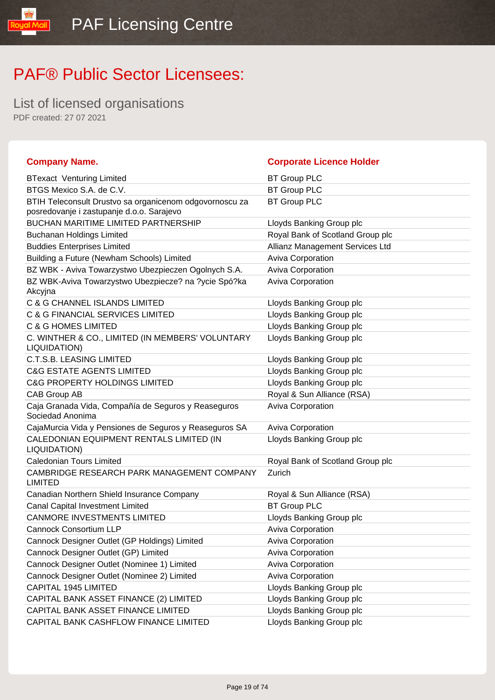List of licensed organisations PDF created: 27 07 2021

lipM louo!

| <b>Company Name.</b>                                                                                 | <b>Corporate Licence Holder</b>  |
|------------------------------------------------------------------------------------------------------|----------------------------------|
| <b>BTexact Venturing Limited</b>                                                                     | <b>BT Group PLC</b>              |
| BTGS Mexico S.A. de C.V.                                                                             | <b>BT Group PLC</b>              |
| BTIH Teleconsult Drustvo sa organicenom odgovornoscu za<br>posredovanje i zastupanje d.o.o. Sarajevo | <b>BT Group PLC</b>              |
| <b>BUCHAN MARITIME LIMITED PARTNERSHIP</b>                                                           | Lloyds Banking Group plc         |
| <b>Buchanan Holdings Limited</b>                                                                     | Royal Bank of Scotland Group plc |
| <b>Buddies Enterprises Limited</b>                                                                   | Allianz Management Services Ltd  |
| Building a Future (Newham Schools) Limited                                                           | <b>Aviva Corporation</b>         |
| BZ WBK - Aviva Towarzystwo Ubezpieczen Ogolnych S.A.                                                 | Aviva Corporation                |
| BZ WBK-Aviva Towarzystwo Ubezpiecze? na ?ycie Spó?ka<br>Akcyjna                                      | <b>Aviva Corporation</b>         |
| C & G CHANNEL ISLANDS LIMITED                                                                        | Lloyds Banking Group plc         |
| C & G FINANCIAL SERVICES LIMITED                                                                     | Lloyds Banking Group plc         |
| <b>C &amp; G HOMES LIMITED</b>                                                                       | Lloyds Banking Group plc         |
| C. WINTHER & CO., LIMITED (IN MEMBERS' VOLUNTARY<br>LIQUIDATION)                                     | Lloyds Banking Group plc         |
| <b>C.T.S.B. LEASING LIMITED</b>                                                                      | Lloyds Banking Group plc         |
| <b>C&amp;G ESTATE AGENTS LIMITED</b>                                                                 | Lloyds Banking Group plc         |
| <b>C&amp;G PROPERTY HOLDINGS LIMITED</b>                                                             | Lloyds Banking Group plc         |
| CAB Group AB                                                                                         | Royal & Sun Alliance (RSA)       |
| Caja Granada Vida, Compañía de Seguros y Reaseguros<br>Sociedad Anonima                              | Aviva Corporation                |
| CajaMurcia Vida y Pensiones de Seguros y Reaseguros SA                                               | Aviva Corporation                |
| CALEDONIAN EQUIPMENT RENTALS LIMITED (IN<br>LIQUIDATION)                                             | Lloyds Banking Group plc         |
| <b>Caledonian Tours Limited</b>                                                                      | Royal Bank of Scotland Group plc |
| CAMBRIDGE RESEARCH PARK MANAGEMENT COMPANY<br><b>LIMITED</b>                                         | Zurich                           |
| Canadian Northern Shield Insurance Company                                                           | Royal & Sun Alliance (RSA)       |
| Canal Capital Investment Limited                                                                     | <b>BT Group PLC</b>              |
| <b>CANMORE INVESTMENTS LIMITED</b>                                                                   | Lloyds Banking Group plc         |
| <b>Cannock Consortium LLP</b>                                                                        | <b>Aviva Corporation</b>         |
| Cannock Designer Outlet (GP Holdings) Limited                                                        | <b>Aviva Corporation</b>         |
| Cannock Designer Outlet (GP) Limited                                                                 | <b>Aviva Corporation</b>         |
| Cannock Designer Outlet (Nominee 1) Limited                                                          | Aviva Corporation                |
| Cannock Designer Outlet (Nominee 2) Limited                                                          | Aviva Corporation                |
| CAPITAL 1945 LIMITED                                                                                 | Lloyds Banking Group plc         |
| CAPITAL BANK ASSET FINANCE (2) LIMITED                                                               | Lloyds Banking Group plc         |
| CAPITAL BANK ASSET FINANCE LIMITED                                                                   | Lloyds Banking Group plc         |
| CAPITAL BANK CASHFLOW FINANCE LIMITED                                                                | Lloyds Banking Group plc         |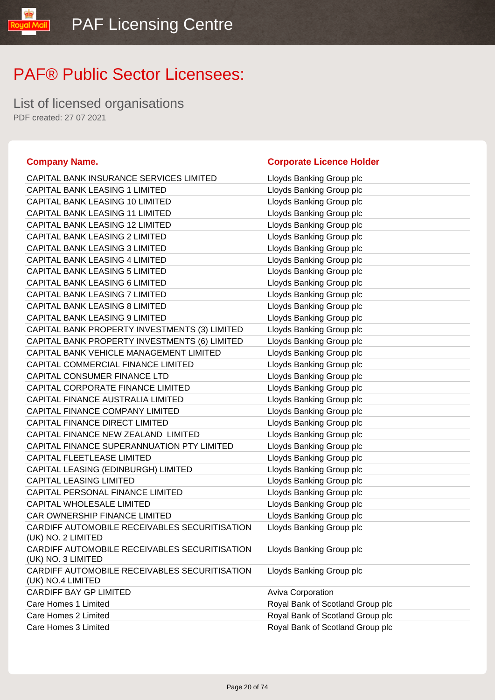List of licensed organisations PDF created: 27 07 2021

#### **Company Name. Corporate Licence Holder**

#### CAPITAL BANK INSURANCE SERVICES LIMITED Lloyds Banking Group plc CAPITAL BANK LEASING 1 LIMITED Lloyds Banking Group plc CAPITAL BANK LEASING 10 LIMITED LIMITED Lloyds Banking Group plc CAPITAL BANK LEASING 11 LIMITED Lloyds Banking Group plc CAPITAL BANK LEASING 12 LIMITED Lloyds Banking Group plc CAPITAL BANK LEASING 2 LIMITED Lloyds Banking Group plc CAPITAL BANK LEASING 3 LIMITED Loyds Banking Group plc CAPITAL BANK LEASING 4 LIMITED Lloyds Banking Group plc CAPITAL BANK LEASING 5 LIMITED Loyds Banking Group plc CAPITAL BANK LEASING 6 LIMITED Lloyds Banking Group plc CAPITAL BANK LEASING 7 LIMITED Lloyds Banking Group plc CAPITAL BANK LEASING 8 LIMITED Lloyds Banking Group plc CAPITAL BANK LEASING 9 LIMITED LIMITED Lloyds Banking Group plc CAPITAL BANK PROPERTY INVESTMENTS (3) LIMITED Lloyds Banking Group plc CAPITAL BANK PROPERTY INVESTMENTS (6) LIMITED Lloyds Banking Group plc CAPITAL BANK VEHICLE MANAGEMENT LIMITED Lloyds Banking Group plc CAPITAL COMMERCIAL FINANCE LIMITED Lloyds Banking Group plc CAPITAL CONSUMER FINANCE LTD Lloyds Banking Group plc CAPITAL CORPORATE FINANCE LIMITED Lloyds Banking Group plc CAPITAL FINANCE AUSTRALIA LIMITED Lloyds Banking Group plc CAPITAL FINANCE COMPANY LIMITED Lloyds Banking Group plc CAPITAL FINANCE DIRECT LIMITED Loyds Banking Group plc CAPITAL FINANCE NEW ZEALAND LIMITED LIDYDS Banking Group plc CAPITAL FINANCE SUPERANNUATION PTY LIMITED Lloyds Banking Group plc CAPITAL FLEETLEASE LIMITED LIGHT LIGYDS Banking Group plc CAPITAL LEASING (EDINBURGH) LIMITED Lloyds Banking Group plc CAPITAL LEASING LIMITED **Little State State CAPITAL LEASING LIMITED** CAPITAL PERSONAL FINANCE LIMITED LIMITED Lloyds Banking Group plc CAPITAL WHOLESALE LIMITED Loyds Banking Group plc CAR OWNERSHIP FINANCE LIMITED LIDYD Lloyds Banking Group plc CARDIFF AUTOMOBILE RECEIVABLES SECURITISATION (UK) NO. 2 LIMITED Lloyds Banking Group plc CARDIFF AUTOMOBILE RECEIVABLES SECURITISATION (UK) NO. 3 LIMITED Lloyds Banking Group plc CARDIFF AUTOMOBILE RECEIVABLES SECURITISATION (UK) NO.4 LIMITED Lloyds Banking Group plc CARDIFF BAY GP LIMITED Aviva Corporation Care Homes 1 Limited **Care Homes 1 Limited** Royal Bank of Scotland Group plc Care Homes 2 Limited Royal Bank of Scotland Group plc Care Homes 3 Limited Royal Bank of Scotland Group plc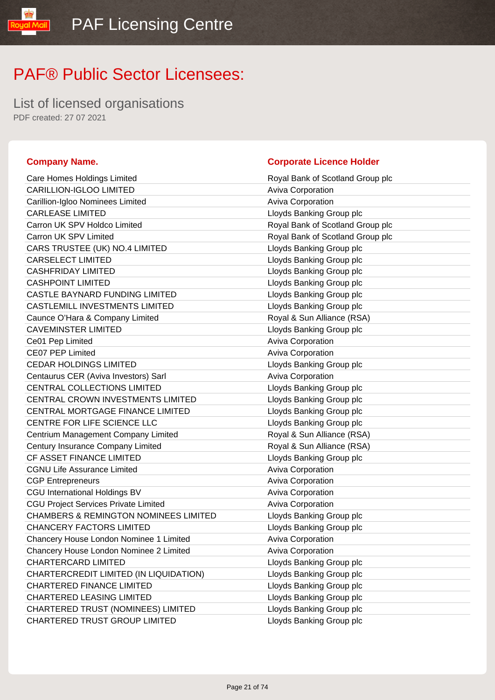List of licensed organisations PDF created: 27 07 2021

yal Mail

| Care Homes Holdings Limited                      | Royal Bank of Scotland Group plc |
|--------------------------------------------------|----------------------------------|
| CARILLION-IGLOO LIMITED                          | Aviva Corporation                |
| Carillion-Igloo Nominees Limited                 | Aviva Corporation                |
| <b>CARLEASE LIMITED</b>                          | Lloyds Banking Group plc         |
| Carron UK SPV Holdco Limited                     | Royal Bank of Scotland Group plc |
| Carron UK SPV Limited                            | Royal Bank of Scotland Group plc |
| CARS TRUSTEE (UK) NO.4 LIMITED                   | Lloyds Banking Group plc         |
| <b>CARSELECT LIMITED</b>                         | Lloyds Banking Group plc         |
| <b>CASHFRIDAY LIMITED</b>                        | Lloyds Banking Group plc         |
| <b>CASHPOINT LIMITED</b>                         | Lloyds Banking Group plc         |
| CASTLE BAYNARD FUNDING LIMITED                   | Lloyds Banking Group plc         |
| <b>CASTLEMILL INVESTMENTS LIMITED</b>            | Lloyds Banking Group plc         |
| Caunce O'Hara & Company Limited                  | Royal & Sun Alliance (RSA)       |
| <b>CAVEMINSTER LIMITED</b>                       | Lloyds Banking Group plc         |
| Ce01 Pep Limited                                 | <b>Aviva Corporation</b>         |
| CE07 PEP Limited                                 | Aviva Corporation                |
| <b>CEDAR HOLDINGS LIMITED</b>                    | Lloyds Banking Group plc         |
| Centaurus CER (Aviva Investors) Sarl             | Aviva Corporation                |
| CENTRAL COLLECTIONS LIMITED                      | Lloyds Banking Group plc         |
| CENTRAL CROWN INVESTMENTS LIMITED                | Lloyds Banking Group plc         |
| CENTRAL MORTGAGE FINANCE LIMITED                 | Lloyds Banking Group plc         |
| CENTRE FOR LIFE SCIENCE LLC                      | Lloyds Banking Group plc         |
| Centrium Management Company Limited              | Royal & Sun Alliance (RSA)       |
| Century Insurance Company Limited                | Royal & Sun Alliance (RSA)       |
| CF ASSET FINANCE LIMITED                         | Lloyds Banking Group plc         |
| <b>CGNU Life Assurance Limited</b>               | <b>Aviva Corporation</b>         |
| <b>CGP Entrepreneurs</b>                         | Aviva Corporation                |
| <b>CGU International Holdings BV</b>             | Aviva Corporation                |
| <b>CGU Project Services Private Limited</b>      | Aviva Corporation                |
| <b>CHAMBERS &amp; REMINGTON NOMINEES LIMITED</b> | Lloyds Banking Group plc         |
| <b>CHANCERY FACTORS LIMITED</b>                  | Lloyds Banking Group plc         |
| Chancery House London Nominee 1 Limited          | Aviva Corporation                |
| Chancery House London Nominee 2 Limited          | Aviva Corporation                |
| CHARTERCARD LIMITED                              | Lloyds Banking Group plc         |
| CHARTERCREDIT LIMITED (IN LIQUIDATION)           | Lloyds Banking Group plc         |
| <b>CHARTERED FINANCE LIMITED</b>                 | Lloyds Banking Group plc         |
| <b>CHARTERED LEASING LIMITED</b>                 | Lloyds Banking Group plc         |
| CHARTERED TRUST (NOMINEES) LIMITED               | Lloyds Banking Group plc         |
| CHARTERED TRUST GROUP LIMITED                    | Lloyds Banking Group plc         |

### **Company Name. Company Name. Company Name. Company Name. Company Name. Company Name. Company Name. Company Name. Company Name. Company Name. Company Name. Company Name. Company Name. Company Name.**

| Royal Bank of Scotland Group plc |
|----------------------------------|
| <b>Aviva Corporation</b>         |
| <b>Aviva Corporation</b>         |
| Lloyds Banking Group plc         |
| Royal Bank of Scotland Group plc |
| Royal Bank of Scotland Group plc |
| Lloyds Banking Group plc         |
| Lloyds Banking Group plc         |
| Lloyds Banking Group plc         |
| Lloyds Banking Group plc         |
| Lloyds Banking Group plc         |
| Lloyds Banking Group plc         |
| Royal & Sun Alliance (RSA)       |
| Lloyds Banking Group plc         |
| <b>Aviva Corporation</b>         |
| <b>Aviva Corporation</b>         |
| Lloyds Banking Group plc         |
| <b>Aviva Corporation</b>         |
| Lloyds Banking Group plc         |
| Lloyds Banking Group plc         |
| Lloyds Banking Group plc         |
| Lloyds Banking Group plc         |
| Royal & Sun Alliance (RSA)       |
| Royal & Sun Alliance (RSA)       |
| Lloyds Banking Group plc         |
| <b>Aviva Corporation</b>         |
| <b>Aviva Corporation</b>         |
| <b>Aviva Corporation</b>         |
| <b>Aviva Corporation</b>         |
| Lloyds Banking Group plc         |
| Lloyds Banking Group plc         |
| <b>Aviva Corporation</b>         |
| Aviva Corporation                |
| Lloyds Banking Group plc         |
| Lloyds Banking Group plc         |
| Lloyds Banking Group plc         |
| Lloyds Banking Group plc         |
| Lloyds Banking Group plc         |
| Lloyds Banking Group plc         |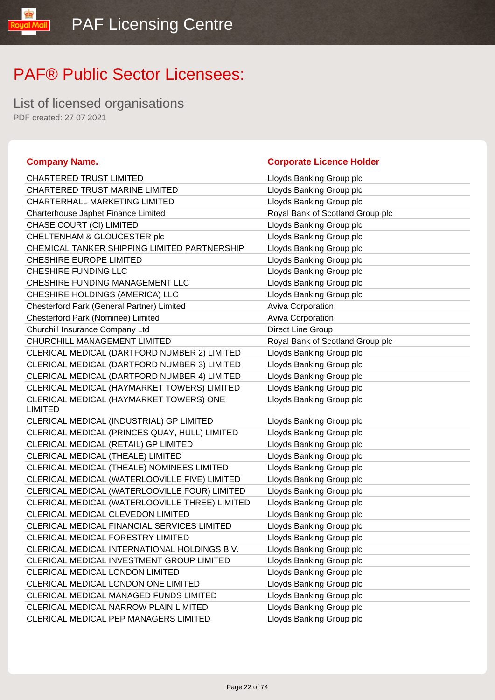List of licensed organisations PDF created: 27 07 2021

Mail

| <b>CHARTERED TRUST LIMITED</b>                            | Lloyds Banking Group plc         |
|-----------------------------------------------------------|----------------------------------|
| CHARTERED TRUST MARINE LIMITED                            | Lloyds Banking Group plc         |
| <b>CHARTERHALL MARKETING LIMITED</b>                      | Lloyds Banking Group plc         |
| Charterhouse Japhet Finance Limited                       | Royal Bank of Scotland Group plc |
| CHASE COURT (CI) LIMITED                                  | Lloyds Banking Group plc         |
| CHELTENHAM & GLOUCESTER plc                               | Lloyds Banking Group plc         |
| CHEMICAL TANKER SHIPPING LIMITED PARTNERSHIP              | Lloyds Banking Group plc         |
| CHESHIRE EUROPE LIMITED                                   | Lloyds Banking Group plc         |
| CHESHIRE FUNDING LLC                                      | Lloyds Banking Group plc         |
| CHESHIRE FUNDING MANAGEMENT LLC                           | Lloyds Banking Group plc         |
| CHESHIRE HOLDINGS (AMERICA) LLC                           | Lloyds Banking Group plc         |
| Chesterford Park (General Partner) Limited                | Aviva Corporation                |
| Chesterford Park (Nominee) Limited                        | Aviva Corporation                |
| Churchill Insurance Company Ltd                           | Direct Line Group                |
| CHURCHILL MANAGEMENT LIMITED                              | Royal Bank of Scotland Group plc |
| CLERICAL MEDICAL (DARTFORD NUMBER 2) LIMITED              | Lloyds Banking Group plc         |
| CLERICAL MEDICAL (DARTFORD NUMBER 3) LIMITED              | Lloyds Banking Group plc         |
| CLERICAL MEDICAL (DARTFORD NUMBER 4) LIMITED              | Lloyds Banking Group plc         |
| CLERICAL MEDICAL (HAYMARKET TOWERS) LIMITED               | Lloyds Banking Group plc         |
| CLERICAL MEDICAL (HAYMARKET TOWERS) ONE<br><b>LIMITED</b> | Lloyds Banking Group plc         |
| CLERICAL MEDICAL (INDUSTRIAL) GP LIMITED                  | Lloyds Banking Group plc         |
| CLERICAL MEDICAL (PRINCES QUAY, HULL) LIMITED             | Lloyds Banking Group plc         |
| CLERICAL MEDICAL (RETAIL) GP LIMITED                      | Lloyds Banking Group plc         |
| CLERICAL MEDICAL (THEALE) LIMITED                         | Lloyds Banking Group plc         |
| CLERICAL MEDICAL (THEALE) NOMINEES LIMITED                | Lloyds Banking Group plc         |
| CLERICAL MEDICAL (WATERLOOVILLE FIVE) LIMITED             | Lloyds Banking Group plc         |
| CLERICAL MEDICAL (WATERLOOVILLE FOUR) LIMITED             | Lloyds Banking Group plc         |
| CLERICAL MEDICAL (WATERLOOVILLE THREE) LIMITED            | Lloyds Banking Group plc         |
| CLERICAL MEDICAL CLEVEDON LIMITED                         | Lloyds Banking Group plc         |
| CLERICAL MEDICAL FINANCIAL SERVICES LIMITED               | Lloyds Banking Group plc         |
| CLERICAL MEDICAL FORESTRY LIMITED                         | Lloyds Banking Group plc         |
| CLERICAL MEDICAL INTERNATIONAL HOLDINGS B.V.              | Lloyds Banking Group plc         |
| CLERICAL MEDICAL INVESTMENT GROUP LIMITED                 | Lloyds Banking Group plc         |
| CLERICAL MEDICAL LONDON LIMITED                           | Lloyds Banking Group plc         |
| CLERICAL MEDICAL LONDON ONE LIMITED                       | Lloyds Banking Group plc         |
| CLERICAL MEDICAL MANAGED FUNDS LIMITED                    | Lloyds Banking Group plc         |
| CLERICAL MEDICAL NARROW PLAIN LIMITED                     | Lloyds Banking Group plc         |
| CLEDICAL MEDICAL DED MANIACEDS LIMITED                    | Lloude Popking Croup plo         |

### **Company Name. Company Name. Company Name. Company Name. Company Name. Company Name. Company Name. Company Name. Company Name. Company Name. Company Name. Company Name. Company Name. Company Name.**

| Lloyds Banking Group plc         |
|----------------------------------|
| Lloyds Banking Group plc         |
| Lloyds Banking Group plc         |
| Royal Bank of Scotland Group plc |
| Lloyds Banking Group plc         |
| Lloyds Banking Group plc         |
| Lloyds Banking Group plc         |
| Lloyds Banking Group plc         |
| Lloyds Banking Group plc         |
| Lloyds Banking Group plc         |
| Lloyds Banking Group plc         |
| <b>Aviva Corporation</b>         |
| Aviva Corporation                |
| Direct Line Group                |
| Royal Bank of Scotland Group plc |
| Lloyds Banking Group plc         |
| Lloyds Banking Group plc         |
| Lloyds Banking Group plc         |
| Lloyds Banking Group plc         |
| Lloyds Banking Group plc         |
| Lloyds Banking Group plc         |
| Lloyds Banking Group plc         |
| Lloyds Banking Group plc         |
| Lloyds Banking Group plc         |
| Lloyds Banking Group plc         |
| Lloyds Banking Group plc         |
| Lloyds Banking Group plc         |
| Lloyds Banking Group plc         |
| Lloyds Banking Group plc         |
| Lloyds Banking Group plc         |
| Lloyds Banking Group plc         |
| Lloyds Banking Group plc         |
| Lloyds Banking Group plc         |
| Lloyds Banking Group plc         |
| Lloyds Banking Group plc         |
| Lloyds Banking Group plc         |
| Lloyds Banking Group plc         |
| Lloyds Banking Group plc         |
|                                  |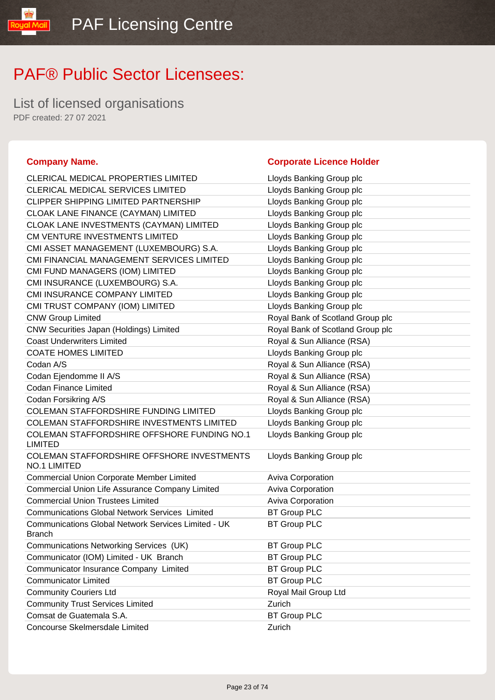List of licensed organisations PDF created: 27 07 2021

### **Company Name. Company Name. Company Name. Company Name. Company Name. Company Name. Company Name. Company Name. Company Name. Company Name. Company Name. Company Name. Company Name. Company Name.**

oyal Mail

| <b>CLERICAL MEDICAL PROPERTIES LIMITED</b>                                  | Lloyds Banking Group plc         |
|-----------------------------------------------------------------------------|----------------------------------|
| <b>CLERICAL MEDICAL SERVICES LIMITED</b>                                    | Lloyds Banking Group plc         |
| <b>CLIPPER SHIPPING LIMITED PARTNERSHIP</b>                                 | Lloyds Banking Group plc         |
| CLOAK LANE FINANCE (CAYMAN) LIMITED                                         | Lloyds Banking Group plc         |
| CLOAK LANE INVESTMENTS (CAYMAN) LIMITED                                     | Lloyds Banking Group plc         |
| CM VENTURE INVESTMENTS LIMITED                                              | Lloyds Banking Group plc         |
| CMI ASSET MANAGEMENT (LUXEMBOURG) S.A.                                      | Lloyds Banking Group plc         |
| CMI FINANCIAL MANAGEMENT SERVICES LIMITED                                   | Lloyds Banking Group plc         |
| CMI FUND MANAGERS (IOM) LIMITED                                             | Lloyds Banking Group plc         |
| CMI INSURANCE (LUXEMBOURG) S.A.                                             | Lloyds Banking Group plc         |
| CMI INSURANCE COMPANY LIMITED                                               | Lloyds Banking Group plc         |
| CMI TRUST COMPANY (IOM) LIMITED                                             | Lloyds Banking Group plc         |
| <b>CNW Group Limited</b>                                                    | Royal Bank of Scotland Group plc |
| CNW Securities Japan (Holdings) Limited                                     | Royal Bank of Scotland Group plc |
| <b>Coast Underwriters Limited</b>                                           | Royal & Sun Alliance (RSA)       |
| <b>COATE HOMES LIMITED</b>                                                  | Lloyds Banking Group plc         |
| Codan A/S                                                                   | Royal & Sun Alliance (RSA)       |
| Codan Ejendomme II A/S                                                      | Royal & Sun Alliance (RSA)       |
| <b>Codan Finance Limited</b>                                                | Royal & Sun Alliance (RSA)       |
| Codan Forsikring A/S                                                        | Royal & Sun Alliance (RSA)       |
| <b>COLEMAN STAFFORDSHIRE FUNDING LIMITED</b>                                | Lloyds Banking Group plc         |
| <b>COLEMAN STAFFORDSHIRE INVESTMENTS LIMITED</b>                            | Lloyds Banking Group plc         |
| COLEMAN STAFFORDSHIRE OFFSHORE FUNDING NO.1<br><b>LIMITED</b>               | Lloyds Banking Group plc         |
| COLEMAN STAFFORDSHIRE OFFSHORE INVESTMENTS<br><b>NO.1 LIMITED</b>           | Lloyds Banking Group plc         |
| <b>Commercial Union Corporate Member Limited</b>                            | <b>Aviva Corporation</b>         |
| Commercial Union Life Assurance Company Limited                             | Aviva Corporation                |
| <b>Commercial Union Trustees Limited</b>                                    | Aviva Corporation                |
| <b>Communications Global Network Services Limited</b>                       | <b>BT Group PLC</b>              |
| <b>Communications Global Network Services Limited - UK</b><br><b>Branch</b> | <b>BT Group PLC</b>              |
| Communications Networking Services (UK)                                     | <b>BT Group PLC</b>              |
| Communicator (IOM) Limited - UK Branch                                      | <b>BT Group PLC</b>              |
| Communicator Insurance Company Limited                                      | <b>BT Group PLC</b>              |
| <b>Communicator Limited</b>                                                 | <b>BT Group PLC</b>              |
| <b>Community Couriers Ltd</b>                                               | Royal Mail Group Ltd             |
| <b>Community Trust Services Limited</b>                                     | Zurich                           |
| Comsat de Guatemala S.A.                                                    | <b>BT Group PLC</b>              |
| Concourse Skelmersdale Limited                                              | Zurich                           |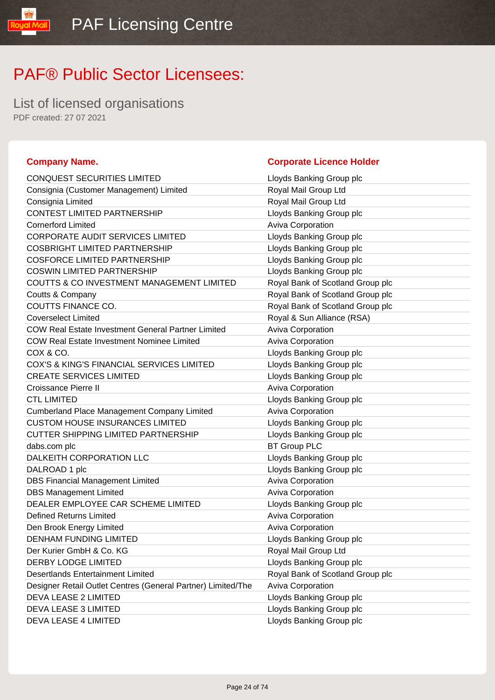List of licensed organisations PDF created: 27 07 2021

yal Mail

| CONQUEST SECURITIES LIMITED                                  | Lloyds Banking Group plc         |
|--------------------------------------------------------------|----------------------------------|
| Consignia (Customer Management) Limited                      | Royal Mail Group Ltd             |
| Consignia Limited                                            | Royal Mail Group Ltd             |
| CONTEST LIMITED PARTNERSHIP                                  | Lloyds Banking Group plc         |
| <b>Cornerford Limited</b>                                    | Aviva Corporation                |
| <b>CORPORATE AUDIT SERVICES LIMITED</b>                      | Lloyds Banking Group plc         |
| <b>COSBRIGHT LIMITED PARTNERSHIP</b>                         | Lloyds Banking Group plc         |
| <b>COSFORCE LIMITED PARTNERSHIP</b>                          | Lloyds Banking Group plc         |
| <b>COSWIN LIMITED PARTNERSHIP</b>                            | Lloyds Banking Group plc         |
| COUTTS & CO INVESTMENT MANAGEMENT LIMITED                    | Royal Bank of Scotland Group plc |
| Coutts & Company                                             | Royal Bank of Scotland Group plc |
| COUTTS FINANCE CO.                                           | Royal Bank of Scotland Group plc |
| <b>Coverselect Limited</b>                                   | Royal & Sun Alliance (RSA)       |
| <b>COW Real Estate Investment General Partner Limited</b>    | Aviva Corporation                |
| <b>COW Real Estate Investment Nominee Limited</b>            | Aviva Corporation                |
| COX & CO.                                                    | Lloyds Banking Group plc         |
| COX'S & KING'S FINANCIAL SERVICES LIMITED                    | Lloyds Banking Group plc         |
| <b>CREATE SERVICES LIMITED</b>                               | Lloyds Banking Group plc         |
| Croissance Pierre II                                         | Aviva Corporation                |
| <b>CTL LIMITED</b>                                           | Lloyds Banking Group plc         |
| <b>Cumberland Place Management Company Limited</b>           | <b>Aviva Corporation</b>         |
| <b>CUSTOM HOUSE INSURANCES LIMITED</b>                       | Lloyds Banking Group plc         |
| <b>CUTTER SHIPPING LIMITED PARTNERSHIP</b>                   | Lloyds Banking Group plc         |
| dabs.com plc                                                 | <b>BT Group PLC</b>              |
| DALKEITH CORPORATION LLC                                     | Lloyds Banking Group plc         |
| DALROAD 1 plc                                                | Lloyds Banking Group plc         |
| <b>DBS Financial Management Limited</b>                      | Aviva Corporation                |
| <b>DBS Management Limited</b>                                | Aviva Corporation                |
| DEALER EMPLOYEE CAR SCHEME LIMITED                           | Lloyds Banking Group plc         |
| <b>Defined Returns Limited</b>                               | Aviva Corporation                |
| Den Brook Energy Limited                                     | Aviva Corporation                |
| <b>DENHAM FUNDING LIMITED</b>                                | Lloyds Banking Group plc         |
| Der Kurier GmbH & Co. KG                                     | Royal Mail Group Ltd             |
| <b>DERBY LODGE LIMITED</b>                                   | Lloyds Banking Group plc         |
| <b>Desertlands Entertainment Limited</b>                     | Royal Bank of Scotland Group plc |
| Designer Retail Outlet Centres (General Partner) Limited/The | Aviva Corporation                |
| DEVA LEASE 2 LIMITED                                         | Lloyds Banking Group plc         |
| DEVA LEASE 3 LIMITED                                         | Lloyds Banking Group plc         |
|                                                              |                                  |

### **Company Name. Company Name. Company Name. Company Name. Company Name. Company Name. Company Name. Company Name. Company Name. Company Name. Company Name. Company Name. Company Name. Company Name.**

| <b>CONQUEST SECURITIES LIMITED</b>                           | Lloyds Banking Group plc         |
|--------------------------------------------------------------|----------------------------------|
| Consignia (Customer Management) Limited                      | Royal Mail Group Ltd             |
| Consignia Limited                                            | Royal Mail Group Ltd             |
| <b>CONTEST LIMITED PARTNERSHIP</b>                           | Lloyds Banking Group plc         |
| <b>Cornerford Limited</b>                                    | <b>Aviva Corporation</b>         |
| <b>CORPORATE AUDIT SERVICES LIMITED</b>                      | Lloyds Banking Group plc         |
| <b>COSBRIGHT LIMITED PARTNERSHIP</b>                         | Lloyds Banking Group plc         |
| <b>COSFORCE LIMITED PARTNERSHIP</b>                          | Lloyds Banking Group plc         |
| <b>COSWIN LIMITED PARTNERSHIP</b>                            | Lloyds Banking Group plc         |
| COUTTS & CO INVESTMENT MANAGEMENT LIMITED                    | Royal Bank of Scotland Group plc |
| Coutts & Company                                             | Royal Bank of Scotland Group plc |
| COUTTS FINANCE CO.                                           | Royal Bank of Scotland Group plc |
| <b>Coverselect Limited</b>                                   | Royal & Sun Alliance (RSA)       |
| <b>COW Real Estate Investment General Partner Limited</b>    | Aviva Corporation                |
| <b>COW Real Estate Investment Nominee Limited</b>            | Aviva Corporation                |
| COX & CO.                                                    | Lloyds Banking Group plc         |
| COX'S & KING'S FINANCIAL SERVICES LIMITED                    | Lloyds Banking Group plc         |
| <b>CREATE SERVICES LIMITED</b>                               | Lloyds Banking Group plc         |
| <b>Croissance Pierre II</b>                                  | Aviva Corporation                |
| <b>CTL LIMITED</b>                                           | Lloyds Banking Group plc         |
| <b>Cumberland Place Management Company Limited</b>           | Aviva Corporation                |
| <b>CUSTOM HOUSE INSURANCES LIMITED</b>                       | Lloyds Banking Group plc         |
| <b>CUTTER SHIPPING LIMITED PARTNERSHIP</b>                   | Lloyds Banking Group plc         |
| dabs.com plc                                                 | <b>BT Group PLC</b>              |
| DALKEITH CORPORATION LLC                                     | Lloyds Banking Group plc         |
| DALROAD 1 plc                                                | Lloyds Banking Group plc         |
| <b>DBS Financial Management Limited</b>                      | Aviva Corporation                |
| <b>DBS Management Limited</b>                                | Aviva Corporation                |
| DEALER EMPLOYEE CAR SCHEME LIMITED                           | Lloyds Banking Group plc         |
| <b>Defined Returns Limited</b>                               | Aviva Corporation                |
| Den Brook Energy Limited                                     | Aviva Corporation                |
| <b>DENHAM FUNDING LIMITED</b>                                | Lloyds Banking Group plc         |
| Der Kurier GmbH & Co. KG                                     | Royal Mail Group Ltd             |
| <b>DERBY LODGE LIMITED</b>                                   | Lloyds Banking Group plc         |
| <b>Desertlands Entertainment Limited</b>                     | Royal Bank of Scotland Group plc |
| Designer Retail Outlet Centres (General Partner) Limited/The | Aviva Corporation                |
| DEVA LEASE 2 LIMITED                                         | Lloyds Banking Group plc         |
| DEVA LEASE 3 LIMITED                                         | Lloyds Banking Group plc         |
| DEVA LEASE 4 LIMITED                                         | Lloyds Banking Group plc         |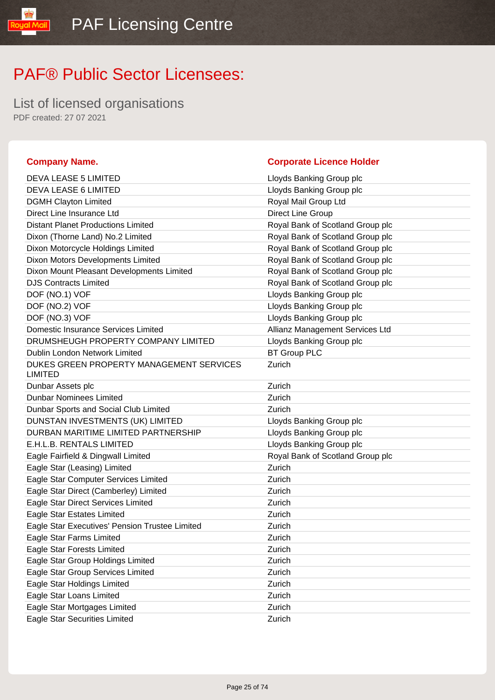List of licensed organisations PDF created: 27 07 2021

### **Company Name. Corporate Licence Holder** DEVA LEASE 5 LIMITED Lloyds Banking Group plc DEVA LEASE 6 LIMITED LIOYOS Banking Group plc DGMH Clayton Limited **Royal Mail Group Ltd** Direct Line Insurance Ltd Direct Line Group Distant Planet Productions Limited Royal Bank of Scotland Group plc Dixon (Thorne Land) No.2 Limited Royal Bank of Scotland Group plc Dixon Motorcycle Holdings Limited Royal Bank of Scotland Group plc Dixon Motors Developments Limited Royal Bank of Scotland Group plc Dixon Mount Pleasant Developments Limited Royal Bank of Scotland Group plc DJS Contracts Limited **No. 2018** Royal Bank of Scotland Group plc DOF (NO.1) VOF Lloyds Banking Group plc DOF (NO.2) VOF **Lloyds Banking Group plc** DOF (NO.3) VOF **Lloyds Banking Group plc** Domestic Insurance Services Limited Allianz Management Services Ltd DRUMSHEUGH PROPERTY COMPANY LIMITED Lloyds Banking Group plc Dublin London Network Limited BT Group PLC DUKES GREEN PROPERTY MANAGEMENT SERVICES LIMITED Zurich Dunbar Assets plc **Zurich Zurich Dunbar Nominees Limited Currich Accord 2018** Dunbar Sports and Social Club Limited **Zurich** Zurich DUNSTAN INVESTMENTS (UK) LIMITED Loyds Banking Group plc DURBAN MARITIME LIMITED PARTNERSHIP LIOVE Lloyds Banking Group plc E.H.L.B. RENTALS LIMITED **EXAMOUS** Loyds Banking Group plc Eagle Fairfield & Dingwall Limited **Royal Bank of Scotland Group plc** Eagle Star (Leasing) Limited Zurich Eagle Star Computer Services Limited **Eagle Star Computer Services** Limited Eagle Star Direct (Camberley) Limited **Eagle Star Direct** (Camberley) Limited Eagle Star Direct Services Limited **Eagle Star Direct Services** Limited Eagle Star Estates Limited **Example 20** Zurich Eagle Star Executives' Pension Trustee Limited Zurich Eagle Star Farms Limited **Eagle Star Farms** Limited Eagle Star Forests Limited **Zurich** Zurich Eagle Star Group Holdings Limited **Eagle Star Group Holdings Limited** Zurich Eagle Star Group Services Limited **Eagle Start Contact Contact Career** Zurich Eagle Star Holdings Limited Zurich Eagle Star Loans Limited **Eagle Star Loans Limited Zurich** Eagle Star Mortgages Limited **Eagle Star Mortgages Limited Zurich** Eagle Star Securities Limited **Eagle Star Securities Limited Zurich**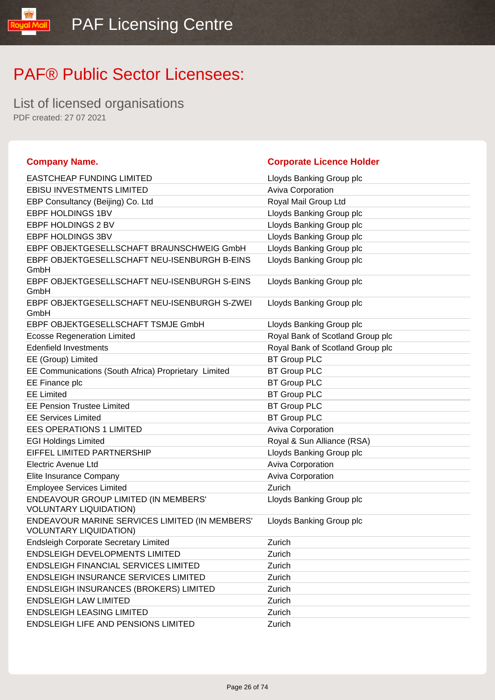List of licensed organisations PDF created: 27 07 2021

lipM lpuo!

| <b>Company Name.</b>                                                            | <b>Corporate Licence Holder</b>  |
|---------------------------------------------------------------------------------|----------------------------------|
| <b>EASTCHEAP FUNDING LIMITED</b>                                                | Lloyds Banking Group plc         |
| <b>EBISU INVESTMENTS LIMITED</b>                                                | Aviva Corporation                |
| EBP Consultancy (Beijing) Co. Ltd                                               | Royal Mail Group Ltd             |
| EBPF HOLDINGS 1BV                                                               | Lloyds Banking Group plc         |
| EBPF HOLDINGS 2 BV                                                              | Lloyds Banking Group plc         |
| EBPF HOLDINGS 3BV                                                               | Lloyds Banking Group plc         |
| EBPF OBJEKTGESELLSCHAFT BRAUNSCHWEIG GmbH                                       | Lloyds Banking Group plc         |
| EBPF OBJEKTGESELLSCHAFT NEU-ISENBURGH B-EINS<br>GmbH                            | Lloyds Banking Group plc         |
| EBPF OBJEKTGESELLSCHAFT NEU-ISENBURGH S-EINS<br>GmbH                            | Lloyds Banking Group plc         |
| EBPF OBJEKTGESELLSCHAFT NEU-ISENBURGH S-ZWEI<br>GmbH                            | Lloyds Banking Group plc         |
| EBPF OBJEKTGESELLSCHAFT TSMJE GmbH                                              | Lloyds Banking Group plc         |
| <b>Ecosse Regeneration Limited</b>                                              | Royal Bank of Scotland Group plc |
| <b>Edenfield Investments</b>                                                    | Royal Bank of Scotland Group plc |
| EE (Group) Limited                                                              | <b>BT Group PLC</b>              |
| EE Communications (South Africa) Proprietary Limited                            | <b>BT Group PLC</b>              |
| EE Finance plc                                                                  | <b>BT Group PLC</b>              |
| <b>EE Limited</b>                                                               | <b>BT Group PLC</b>              |
| <b>EE Pension Trustee Limited</b>                                               | <b>BT Group PLC</b>              |
| <b>EE Services Limited</b>                                                      | <b>BT Group PLC</b>              |
| <b>EES OPERATIONS 1 LIMITED</b>                                                 | Aviva Corporation                |
| <b>EGI Holdings Limited</b>                                                     | Royal & Sun Alliance (RSA)       |
| EIFFEL LIMITED PARTNERSHIP                                                      | Lloyds Banking Group plc         |
| <b>Electric Avenue Ltd</b>                                                      | Aviva Corporation                |
| Elite Insurance Company                                                         | Aviva Corporation                |
| <b>Employee Services Limited</b>                                                | Zurich                           |
| ENDEAVOUR GROUP LIMITED (IN MEMBERS'<br><b>VOLUNTARY LIQUIDATION)</b>           | Lloyds Banking Group plc         |
| ENDEAVOUR MARINE SERVICES LIMITED (IN MEMBERS'<br><b>VOLUNTARY LIQUIDATION)</b> | Lloyds Banking Group plc         |
| <b>Endsleigh Corporate Secretary Limited</b>                                    | Zurich                           |
| <b>ENDSLEIGH DEVELOPMENTS LIMITED</b>                                           | Zurich                           |
| <b>ENDSLEIGH FINANCIAL SERVICES LIMITED</b>                                     | Zurich                           |
| ENDSLEIGH INSURANCE SERVICES LIMITED                                            | Zurich                           |
| ENDSLEIGH INSURANCES (BROKERS) LIMITED                                          | Zurich                           |
| <b>ENDSLEIGH LAW LIMITED</b>                                                    | Zurich                           |
| <b>ENDSLEIGH LEASING LIMITED</b>                                                | Zurich                           |
| <b>ENDSLEIGH LIFE AND PENSIONS LIMITED</b>                                      | Zurich                           |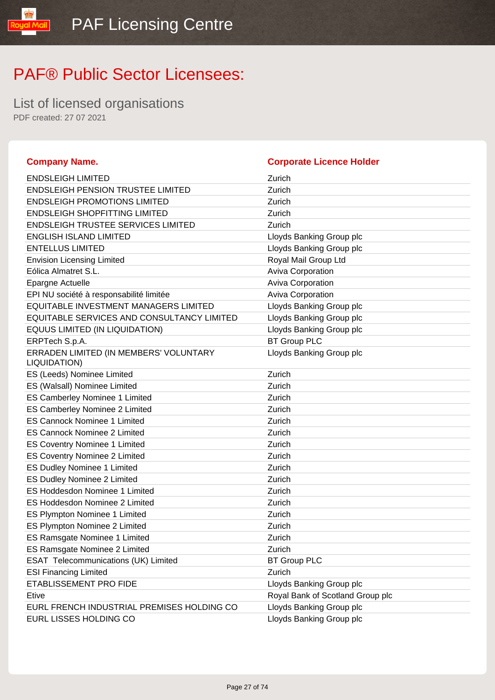List of licensed organisations PDF created: 27 07 2021

### **Company Name. Corporate Licence Holder** ENDSLEIGH LIMITED Zurich ENDSLEIGH PENSION TRUSTEE LIMITED Zurich ENDSLEIGH PROMOTIONS LIMITED **ENDSLEIGH PROMOTIONS** ENDSLEIGH SHOPFITTING LIMITED **ENDSLEIGH SHOPFITTING** ENDSLEIGH TRUSTEE SERVICES LIMITED Zurich ENGLISH ISLAND LIMITED **ENGLISH ISLAND LIMITED** Lloyds Banking Group plc ENTELLUS LIMITED **ENTELLUS LIMITED Let up to the US** Lloyds Banking Group plc Envision Licensing Limited **Environment Controller Controller Controller** Royal Mail Group Ltd Eólica Almatret S.L. **Aviva Corporation** Epargne Actuelle **Australia Community** Community Aviva Corporation EPI NU société à responsabilité limitée Aviva Corporation EQUITABLE INVESTMENT MANAGERS LIMITED Lloyds Banking Group plc EQUITABLE SERVICES AND CONSULTANCY LIMITED Lloyds Banking Group plc EQUUS LIMITED (IN LIQUIDATION) Loyds Banking Group plc ERPTech S.p.A. BT Group PLC ERRADEN LIMITED (IN MEMBERS' VOLUNTARY LIQUIDATION) Lloyds Banking Group plc ES (Leeds) Nominee Limited Zurich ES (Walsall) Nominee Limited **EXACUSE 2018** Zurich ES Camberley Nominee 1 Limited **EXACUSE 2018** Zurich ES Camberley Nominee 2 Limited Zurich ES Cannock Nominee 1 Limited **EXACUSE 2018** Zurich ES Cannock Nominee 2 Limited **ES Cannock Nominee 2 Limited Zurich** ES Coventry Nominee 1 Limited Zurich ES Coventry Nominee 2 Limited **ES Coventry Nominee 2 Limited Zurich** ES Dudley Nominee 1 Limited **Zurich Zurich** ES Dudley Nominee 2 Limited Zurich ES Hoddesdon Nominee 1 Limited **EXACUSE 2008** Zurich ES Hoddesdon Nominee 2 Limited **Zurich** Zurich ES Plympton Nominee 1 Limited **EXACUSE 2018** Zurich ES Plympton Nominee 2 Limited Zurich ES Ramsgate Nominee 1 Limited **EXACUSE 2018** Zurich ES Ramsgate Nominee 2 Limited **EXACUSE 2 2008** Zurich ESAT Telecommunications (UK) Limited BT Group PLC ESI Financing Limited **Zurich Zurich** ETABLISSEMENT PRO FIDE **Linux** Example 20 and Lloyds Banking Group plc Etive Royal Bank of Scotland Group plc EURL FRENCH INDUSTRIAL PREMISES HOLDING CO Lloyds Banking Group plc EURL LISSES HOLDING CO Love that the Unit of Lloyds Banking Group plc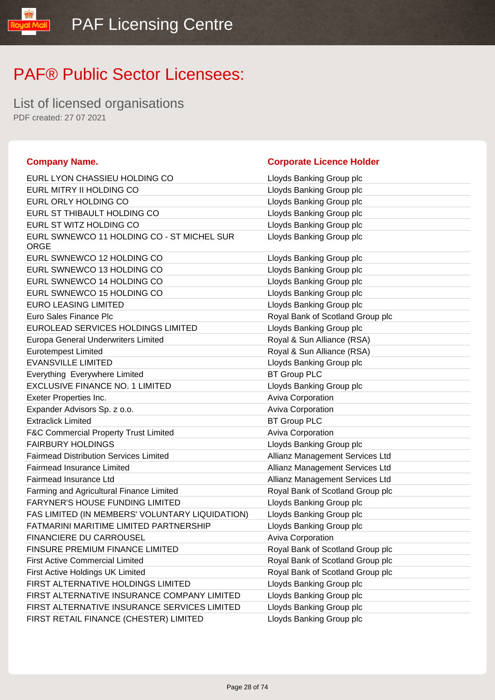**Company Name. Corporate Licence Holder**

# PAF® Public Sector Licensees:

List of licensed organisations PDF created: 27 07 2021

lipM lpuo!

| EURL LYON CHASSIEU HOLDING CO                             | Lloyds Banking Group plc         |
|-----------------------------------------------------------|----------------------------------|
| EURL MITRY II HOLDING CO                                  | Lloyds Banking Group plc         |
| EURL ORLY HOLDING CO                                      | Lloyds Banking Group plc         |
| EURL ST THIBAULT HOLDING CO                               | Lloyds Banking Group plc         |
| EURL ST WITZ HOLDING CO                                   | Lloyds Banking Group plc         |
| EURL SWNEWCO 11 HOLDING CO - ST MICHEL SUR<br><b>ORGE</b> | Lloyds Banking Group plc         |
| EURL SWNEWCO 12 HOLDING CO                                | Lloyds Banking Group plc         |
| EURL SWNEWCO 13 HOLDING CO                                | Lloyds Banking Group plc         |
| EURL SWNEWCO 14 HOLDING CO                                | Lloyds Banking Group plc         |
| EURL SWNEWCO 15 HOLDING CO                                | Lloyds Banking Group plc         |
| <b>EURO LEASING LIMITED</b>                               | Lloyds Banking Group plc         |
| Euro Sales Finance Plc                                    | Royal Bank of Scotland Group plc |
| EUROLEAD SERVICES HOLDINGS LIMITED                        | Lloyds Banking Group plc         |
| Europa General Underwriters Limited                       | Royal & Sun Alliance (RSA)       |
| <b>Eurotempest Limited</b>                                | Royal & Sun Alliance (RSA)       |
| <b>EVANSVILLE LIMITED</b>                                 | Lloyds Banking Group plc         |
| Everything Everywhere Limited                             | <b>BT Group PLC</b>              |
| <b>EXCLUSIVE FINANCE NO. 1 LIMITED</b>                    | Lloyds Banking Group plc         |
| Exeter Properties Inc.                                    | Aviva Corporation                |
| Expander Advisors Sp. z o.o.                              | <b>Aviva Corporation</b>         |
| <b>Extraclick Limited</b>                                 | <b>BT Group PLC</b>              |
| <b>F&amp;C Commercial Property Trust Limited</b>          | Aviva Corporation                |
| <b>FAIRBURY HOLDINGS</b>                                  | Lloyds Banking Group plc         |
| <b>Fairmead Distribution Services Limited</b>             | Allianz Management Services Ltd  |
| Fairmead Insurance Limited                                | Allianz Management Services Ltd  |
| Fairmead Insurance Ltd                                    | Allianz Management Services Ltd  |
| Farming and Agricultural Finance Limited                  | Royal Bank of Scotland Group plc |
| <b>FARYNER'S HOUSE FUNDING LIMITED</b>                    | Lloyds Banking Group plc         |
| FAS LIMITED (IN MEMBERS' VOLUNTARY LIQUIDATION)           | Lloyds Banking Group plc         |
| FATMARINI MARITIME LIMITED PARTNERSHIP                    | Lloyds Banking Group plc         |
| FINANCIERE DU CARROUSEL                                   | Aviva Corporation                |
| FINSURE PREMIUM FINANCE LIMITED                           | Royal Bank of Scotland Group plc |
| <b>First Active Commercial Limited</b>                    | Royal Bank of Scotland Group plc |
| First Active Holdings UK Limited                          | Royal Bank of Scotland Group plc |
| FIRST ALTERNATIVE HOLDINGS LIMITED                        | Lloyds Banking Group plc         |
| FIRST ALTERNATIVE INSURANCE COMPANY LIMITED               | Lloyds Banking Group plc         |
| FIRST ALTERNATIVE INSURANCE SERVICES LIMITED              | Lloyds Banking Group plc         |
| FIRST RETAIL FINANCE (CHESTER) LIMITED                    | Lloyds Banking Group plc         |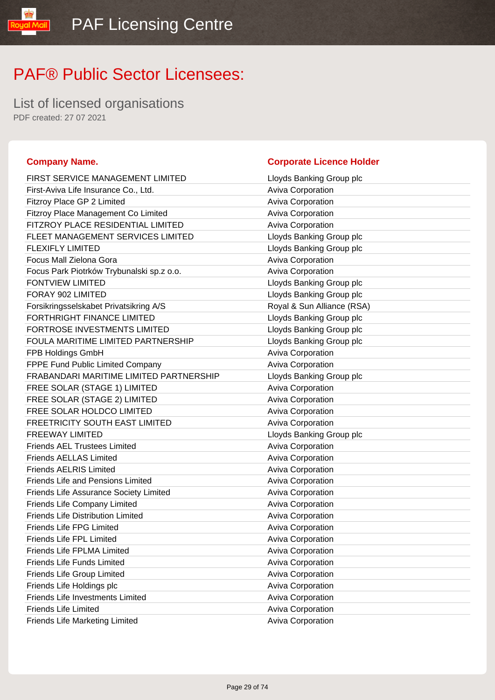List of licensed organisations PDF created: 27 07 2021

### **Company Name. Corporate Licence Holder** FIRST SERVICE MANAGEMENT LIMITED LIOYD Lloyds Banking Group plc First-Aviva Life Insurance Co., Ltd. Aviva Corporation Fitzroy Place GP 2 Limited **Aviva Corporation** Aviva Corporation Fitzroy Place Management Co Limited **Aviva Corporation** Aviva Corporation FITZROY PLACE RESIDENTIAL LIMITED Aviva Corporation FLEET MANAGEMENT SERVICES LIMITED LIOYD Lloyds Banking Group plc FLEXIFLY LIMITED **Example 2** Lloyds Banking Group plc Focus Mall Zielona Gora **Aviva Corporation** Aviva Corporation Focus Park Piotrków Trybunalski sp.z o.o. <br>Aviva Corporation FONTVIEW LIMITED **EXAMPLE EXAMPLE EXAMPLE 2018** Lloyds Banking Group plc FORAY 902 LIMITED **EXAMPLE EXAMPLE 2018** Lloyds Banking Group plc Forsikringsselskabet Privatsikring A/S Royal & Sun Alliance (RSA) FORTHRIGHT FINANCE LIMITED LIGHT Lloyds Banking Group plc FORTROSE INVESTMENTS LIMITED Law Lloyds Banking Group plc FOULA MARITIME LIMITED PARTNERSHIP Lloyds Banking Group plc FPB Holdings GmbH **Aviva Corporation Aviva Corporation** FPPE Fund Public Limited Company **Aviva Corporation** Aviva Corporation FRABANDARI MARITIME LIMITED PARTNERSHIP Lloyds Banking Group plc FREE SOLAR (STAGE 1) LIMITED Aviva Corporation FREE SOLAR (STAGE 2) LIMITED Aviva Corporation FREE SOLAR HOLDCO LIMITED **Aviva Corporation** FREETRICITY SOUTH EAST LIMITED Aviva Corporation FREEWAY LIMITED **Example 20 and 20 and 20 and 20 and 20 and 20 and 20 and 20 and 20 and 20 and 20 and 20 and 20 and 20 and 20 and 20 and 20 and 20 and 20 and 20 and 20 and 20 and 20 and 20 and 20 and 20 and 20 and 20 and 2** Friends AEL Trustees Limited **Aviva Corporation** Aviva Corporation **Friends AELLAS Limited Company Aviva Corporation** Aviva Corporation Friends AELRIS Limited **Auxilian Contract Contract Aviva Corporation** Friends Life and Pensions Limited **Aviva Corporation** Aviva Corporation Friends Life Assurance Society Limited **Aviva Corporation** Aviva Corporation Friends Life Company Limited **Aviva Corporation** Aviva Corporation Friends Life Distribution Limited **Aviva Corporation** Aviva Corporation Friends Life FPG Limited **Aviva Corporation** Aviva Corporation Friends Life FPL Limited **Aviva Corporation** Aviva Corporation Friends Life FPLMA Limited **Aviva Corporation** Aviva Corporation Friends Life Funds Limited **Aviva Corporation** Aviva Corporation Friends Life Group Limited **Aviva Corporation** Aviva Corporation Friends Life Holdings plc **Aviva Corporation** Aviva Corporation Friends Life Investments Limited **Aviva Corporation** Aviva Corporation Friends Life Limited **Aviva Corporation** Aviva Corporation Friends Life Marketing Limited **Aviva Corporation** Aviva Corporation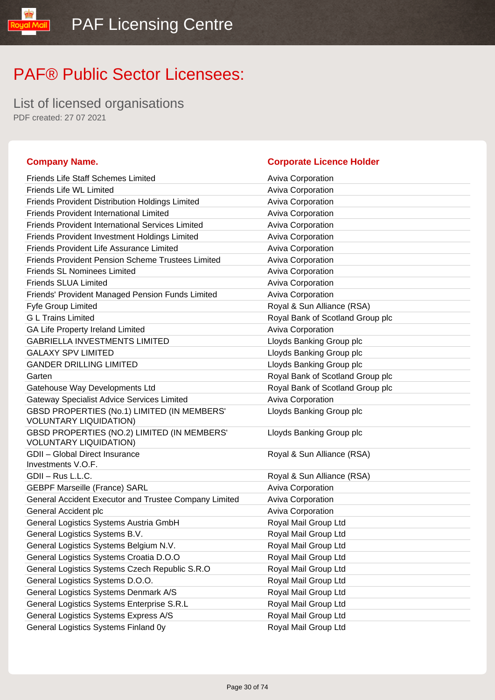Friends Life Staff Schemes Limited **Aviva Corporation** 

General Accident plc Aviva Corporation **Containers** Aviva Corporation General Logistics Systems Austria GmbH Royal Mail Group Ltd General Logistics Systems B.V. **Royal Mail Group Ltd** Royal Mail Group Ltd General Logistics Systems Belgium N.V. Royal Mail Group Ltd General Logistics Systems Croatia D.O.O Royal Mail Group Ltd General Logistics Systems Czech Republic S.R.O Royal Mail Group Ltd General Logistics Systems D.O.O. **Royal Mail Group Ltd** Royal Mail Group Ltd General Logistics Systems Denmark A/S Royal Mail Group Ltd General Logistics Systems Enterprise S.R.L Royal Mail Group Ltd General Logistics Systems Express A/S Royal Mail Group Ltd General Logistics Systems Finland 0y **Royal Mail Group Ltd** Royal Mail Group Ltd

# PAF® Public Sector Licensees:

List of licensed organisations PDF created: 27 07 2021

#### **Company Name. Corporate Licence Holder**

#### Friends Life WL Limited **Aviva Corporation** Aviva Corporation Friends Provident Distribution Holdings Limited Aviva Corporation Friends Provident International Limited Aviva Corporation Friends Provident International Services Limited Triends Aviva Corporation Friends Provident Investment Holdings Limited Aviva Corporation Friends Provident Life Assurance Limited Aviva Corporation Friends Provident Pension Scheme Trustees Limited Aviva Corporation Friends SL Nominees Limited **Aviva Corporation** Aviva Corporation Friends SLUA Limited **Aviva Corporation** Aviva Corporation Friends' Provident Managed Pension Funds Limited Aviva Corporation Fyfe Group Limited **Royal & Sun Alliance (RSA)** G L Trains Limited **Group planets and Critical Contract Contract Critical** Royal Bank of Scotland Group plc GA Life Property Ireland Limited **Aviva Corporation** Aviva Corporation GABRIELLA INVESTMENTS LIMITED LIMITED Lloyds Banking Group plc GALAXY SPV LIMITED Sanking Group plc GANDER DRILLING LIMITED **Example 2** Lloyds Banking Group plc Garten **Garten Garten Garten Garten Garten Group plc Garten Group plc Group plc Group plc Group plc Group plc Group plc Group plc Group plc Group plc Group plc Group plc Group plc Grou** Gatehouse Way Developments Ltd **Royal Bank of Scotland Group plc** Royal Bank of Scotland Group plc Gateway Specialist Advice Services Limited **Aviva Corporation** GBSD PROPERTIES (No.1) LIMITED (IN MEMBERS' VOLUNTARY LIQUIDATION) Lloyds Banking Group plc GBSD PROPERTIES (NO.2) LIMITED (IN MEMBERS' VOLUNTARY LIQUIDATION) Lloyds Banking Group plc GDII – Global Direct Insurance Investments V.O.F. Royal & Sun Alliance (RSA) GDII – Rus L.L.C. **Royal & Sun Alliance (RSA)** GEBPF Marseille (France) SARL Aviva Corporation Aviva Corporation General Accident Executor and Trustee Company Limited Aviva Corporation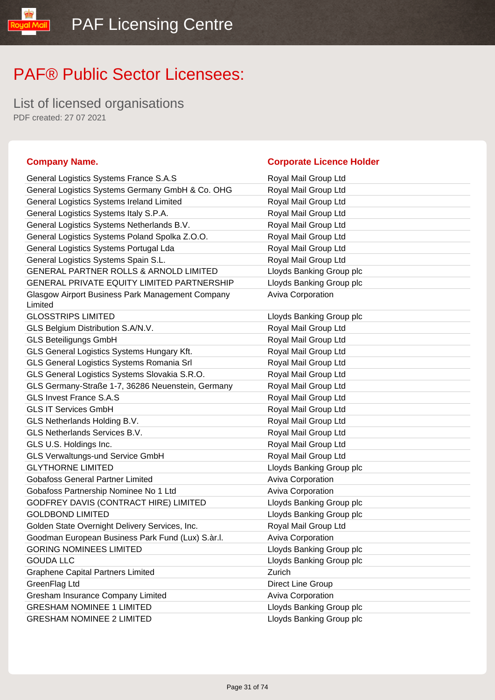List of licensed organisations PDF created: 27 07 2021

### **Company Name. Corporate Licence Holder** General Logistics Systems France S.A.S Royal Mail Group Ltd General Logistics Systems Germany GmbH & Co. OHG Royal Mail Group Ltd General Logistics Systems Ireland Limited Royal Mail Group Ltd General Logistics Systems Italy S.P.A. Royal Mail Group Ltd General Logistics Systems Netherlands B.V. Royal Mail Group Ltd General Logistics Systems Poland Spolka Z.O.O. Royal Mail Group Ltd General Logistics Systems Portugal Lda Royal Mail Group Ltd General Logistics Systems Spain S.L. **Royal Mail Group Ltd** Royal Mail Group Ltd GENERAL PARTNER ROLLS & ARNOLD LIMITED Lloyds Banking Group plc GENERAL PRIVATE EQUITY LIMITED PARTNERSHIP Lloyds Banking Group plc Glasgow Airport Business Park Management Company Limited Aviva Corporation GLOSSTRIPS LIMITED **Latter and Loss Community** Lloyds Banking Group plc GLS Belgium Distribution S.A/N.V. The match of the Royal Mail Group Ltd GLS Beteiligungs GmbH **Royal Mail Group Ltd** Royal Mail Group Ltd GLS General Logistics Systems Hungary Kft. Royal Mail Group Ltd GLS General Logistics Systems Romania Srl **Royal Mail Group Ltd** GLS General Logistics Systems Slovakia S.R.O. Royal Mail Group Ltd GLS Germany-Straße 1-7, 36286 Neuenstein, Germany Royal Mail Group Ltd GLS Invest France S.A.S **Royal Mail Group Ltd** Royal Mail Group Ltd GLS IT Services GmbH **Royal Mail Group Ltd** GLS Netherlands Holding B.V. **Royal Mail Group Ltd** Royal Mail Group Ltd GLS Netherlands Services B.V. **Royal Mail Group Ltd** Royal Mail Group Ltd GLS U.S. Holdings Inc. The Contract of the Contract Royal Mail Group Ltd GLS Verwaltungs-und Service GmbH Royal Mail Group Ltd GLYTHORNE LIMITED **CONTACT CONTROLLOCAL CONTROLLYTHORNE LIMITED** Gobafoss General Partner Limited **Aviva Corporation** Aviva Corporation Gobafoss Partnership Nominee No 1 Ltd Aviva Corporation GODFREY DAVIS (CONTRACT HIRE) LIMITED Lloyds Banking Group plc GOLDBOND LIMITED **Little Solution Contains a Collabon** Library Lloyds Banking Group plc Golden State Overnight Delivery Services, Inc. The Royal Mail Group Ltd Goodman European Business Park Fund (Lux) S.àr.l. **Aviva Corporation** GORING NOMINEES LIMITED **EXAMPLE SETS** LOYDIS Banking Group plc GOUDA LLC **GOUDA LLOW COUDA LLOW** Graphene Capital Partners Limited **Capital Partners Limited Zurich** GreenFlag Ltd **Direct Line Group** Gresham Insurance Company Limited **Aviva Corporation** Aviva Corporation GRESHAM NOMINEE 1 LIMITED Loyds Banking Group plc GRESHAM NOMINEE 2 LIMITED LIGHT Lloyds Banking Group plc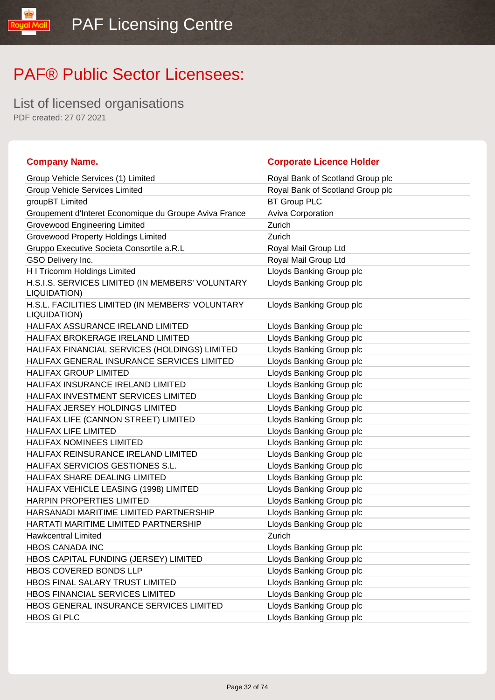List of licensed organisations PDF created: 27 07 2021

ual

| <b>Company Name.</b>                                             | <b>Corporate Licence Holder</b>  |
|------------------------------------------------------------------|----------------------------------|
| Group Vehicle Services (1) Limited                               | Royal Bank of Scotland Group plc |
| <b>Group Vehicle Services Limited</b>                            | Royal Bank of Scotland Group plc |
| groupBT Limited                                                  | <b>BT Group PLC</b>              |
| Groupement d'Interet Economique du Groupe Aviva France           | Aviva Corporation                |
| <b>Grovewood Engineering Limited</b>                             | Zurich                           |
| <b>Grovewood Property Holdings Limited</b>                       | Zurich                           |
| Gruppo Executive Societa Consortile a.R.L                        | Royal Mail Group Ltd             |
| GSO Delivery Inc.                                                | Royal Mail Group Ltd             |
| H I Tricomm Holdings Limited                                     | Lloyds Banking Group plc         |
| H.S.I.S. SERVICES LIMITED (IN MEMBERS' VOLUNTARY<br>LIQUIDATION) | Lloyds Banking Group plc         |
| H.S.L. FACILITIES LIMITED (IN MEMBERS' VOLUNTARY<br>LIQUIDATION) | Lloyds Banking Group plc         |
| HALIFAX ASSURANCE IRELAND LIMITED                                | Lloyds Banking Group plc         |
| HALIFAX BROKERAGE IRELAND LIMITED                                | Lloyds Banking Group plc         |
| HALIFAX FINANCIAL SERVICES (HOLDINGS) LIMITED                    | Lloyds Banking Group plc         |
| HALIFAX GENERAL INSURANCE SERVICES LIMITED                       | Lloyds Banking Group plc         |
| <b>HALIFAX GROUP LIMITED</b>                                     | Lloyds Banking Group plc         |
| HALIFAX INSURANCE IRELAND LIMITED                                | Lloyds Banking Group plc         |
| HALIFAX INVESTMENT SERVICES LIMITED                              | Lloyds Banking Group plc         |
| HALIFAX JERSEY HOLDINGS LIMITED                                  | Lloyds Banking Group plc         |
| HALIFAX LIFE (CANNON STREET) LIMITED                             | Lloyds Banking Group plc         |
| <b>HALIFAX LIFE LIMITED</b>                                      | Lloyds Banking Group plc         |
| <b>HALIFAX NOMINEES LIMITED</b>                                  | Lloyds Banking Group plc         |
| HALIFAX REINSURANCE IRELAND LIMITED                              | Lloyds Banking Group plc         |
| HALIFAX SERVICIOS GESTIONES S.L.                                 | Lloyds Banking Group plc         |
| HALIFAX SHARE DEALING LIMITED                                    | Lloyds Banking Group plc         |
| HALIFAX VEHICLE LEASING (1998) LIMITED                           | Lloyds Banking Group plc         |
| <b>HARPIN PROPERTIES LIMITED</b>                                 | Lloyds Banking Group plc         |
| HARSANADI MARITIME LIMITED PARTNERSHIP                           | Lloyds Banking Group plc         |
| HARTATI MARITIME LIMITED PARTNERSHIP                             | Lloyds Banking Group plc         |
| <b>Hawkcentral Limited</b>                                       | Zurich                           |
| HBOS CANADA INC                                                  | Lloyds Banking Group plc         |
| HBOS CAPITAL FUNDING (JERSEY) LIMITED                            | Lloyds Banking Group plc         |
| HBOS COVERED BONDS LLP                                           | Lloyds Banking Group plc         |
| HBOS FINAL SALARY TRUST LIMITED                                  | Lloyds Banking Group plc         |
| HBOS FINANCIAL SERVICES LIMITED                                  | Lloyds Banking Group plc         |
| HBOS GENERAL INSURANCE SERVICES LIMITED                          | Lloyds Banking Group plc         |
| <b>HBOS GI PLC</b>                                               | Lloyds Banking Group plc         |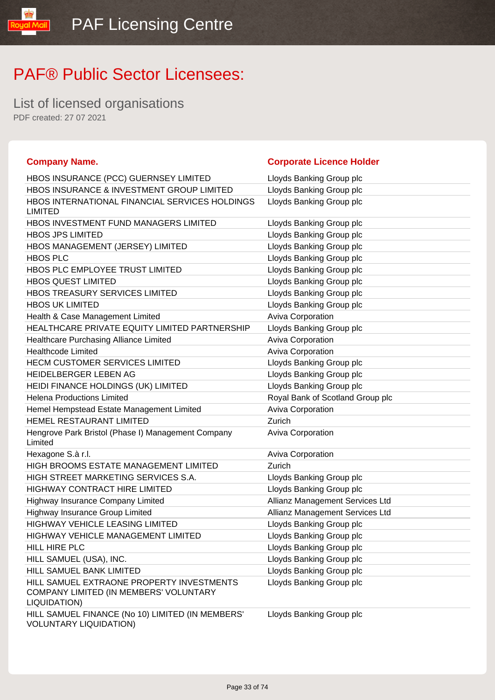List of licensed organisations PDF created: 27 07 2021

**loual** 

| <b>Company Name.</b>                                                                                | <b>Corporate Licence Holder</b>  |
|-----------------------------------------------------------------------------------------------------|----------------------------------|
| HBOS INSURANCE (PCC) GUERNSEY LIMITED                                                               | Lloyds Banking Group plc         |
| HBOS INSURANCE & INVESTMENT GROUP LIMITED                                                           | Lloyds Banking Group plc         |
| HBOS INTERNATIONAL FINANCIAL SERVICES HOLDINGS<br><b>LIMITED</b>                                    | Lloyds Banking Group plc         |
| HBOS INVESTMENT FUND MANAGERS LIMITED                                                               | Lloyds Banking Group plc         |
| <b>HBOS JPS LIMITED</b>                                                                             | Lloyds Banking Group plc         |
| HBOS MANAGEMENT (JERSEY) LIMITED                                                                    | Lloyds Banking Group plc         |
| <b>HBOS PLC</b>                                                                                     | Lloyds Banking Group plc         |
| HBOS PLC EMPLOYEE TRUST LIMITED                                                                     | Lloyds Banking Group plc         |
| <b>HBOS QUEST LIMITED</b>                                                                           | Lloyds Banking Group plc         |
| HBOS TREASURY SERVICES LIMITED                                                                      | Lloyds Banking Group plc         |
| <b>HBOS UK LIMITED</b>                                                                              | Lloyds Banking Group plc         |
| Health & Case Management Limited                                                                    | Aviva Corporation                |
| HEALTHCARE PRIVATE EQUITY LIMITED PARTNERSHIP                                                       | Lloyds Banking Group plc         |
| Healthcare Purchasing Alliance Limited                                                              | Aviva Corporation                |
| <b>Healthcode Limited</b>                                                                           | Aviva Corporation                |
| HECM CUSTOMER SERVICES LIMITED                                                                      | Lloyds Banking Group plc         |
| HEIDELBERGER LEBEN AG                                                                               | Lloyds Banking Group plc         |
| HEIDI FINANCE HOLDINGS (UK) LIMITED                                                                 | Lloyds Banking Group plc         |
| <b>Helena Productions Limited</b>                                                                   | Royal Bank of Scotland Group plc |
| Hemel Hempstead Estate Management Limited                                                           | Aviva Corporation                |
| HEMEL RESTAURANT LIMITED                                                                            | Zurich                           |
| Hengrove Park Bristol (Phase I) Management Company<br>Limited                                       | <b>Aviva Corporation</b>         |
| Hexagone S.à r.l.                                                                                   | <b>Aviva Corporation</b>         |
| HIGH BROOMS ESTATE MANAGEMENT LIMITED                                                               | Zurich                           |
| HIGH STREET MARKETING SERVICES S.A.                                                                 | Lloyds Banking Group plc         |
| <b>HIGHWAY CONTRACT HIRE LIMITED</b>                                                                | Lloyds Banking Group plc         |
| Highway Insurance Company Limited                                                                   | Allianz Management Services Ltd  |
| Highway Insurance Group Limited                                                                     | Allianz Management Services Ltd  |
| HIGHWAY VEHICLE LEASING LIMITED                                                                     | Lloyds Banking Group plc         |
| HIGHWAY VEHICLE MANAGEMENT LIMITED                                                                  | Lloyds Banking Group plc         |
| HILL HIRE PLC                                                                                       | Lloyds Banking Group plc         |
| HILL SAMUEL (USA), INC.                                                                             | Lloyds Banking Group plc         |
| HILL SAMUEL BANK LIMITED                                                                            | Lloyds Banking Group plc         |
| HILL SAMUEL EXTRAONE PROPERTY INVESTMENTS<br>COMPANY LIMITED (IN MEMBERS' VOLUNTARY<br>LIQUIDATION) | Lloyds Banking Group plc         |
| HILL SAMUEL FINANCE (No 10) LIMITED (IN MEMBERS'<br><b>VOLUNTARY LIQUIDATION)</b>                   | Lloyds Banking Group plc         |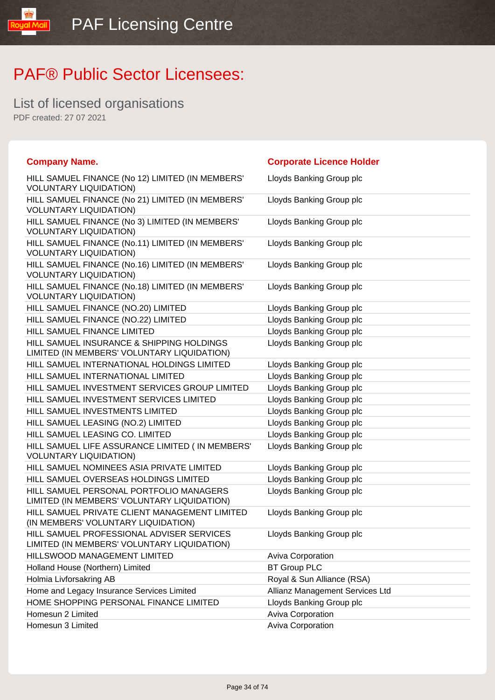List of licensed organisations PDF created: 27 07 2021

l libW layos

| <b>Company Name.</b>                                                                     | <b>Corporate Licence Holder</b> |
|------------------------------------------------------------------------------------------|---------------------------------|
| HILL SAMUEL FINANCE (No 12) LIMITED (IN MEMBERS'<br><b>VOLUNTARY LIQUIDATION)</b>        | Lloyds Banking Group plc        |
| HILL SAMUEL FINANCE (No 21) LIMITED (IN MEMBERS'<br><b>VOLUNTARY LIQUIDATION)</b>        | Lloyds Banking Group plc        |
| HILL SAMUEL FINANCE (No 3) LIMITED (IN MEMBERS'<br><b>VOLUNTARY LIQUIDATION)</b>         | Lloyds Banking Group plc        |
| HILL SAMUEL FINANCE (No.11) LIMITED (IN MEMBERS'<br><b>VOLUNTARY LIQUIDATION)</b>        | Lloyds Banking Group plc        |
| HILL SAMUEL FINANCE (No.16) LIMITED (IN MEMBERS'<br><b>VOLUNTARY LIQUIDATION)</b>        | Lloyds Banking Group plc        |
| HILL SAMUEL FINANCE (No.18) LIMITED (IN MEMBERS'<br><b>VOLUNTARY LIQUIDATION)</b>        | Lloyds Banking Group plc        |
| HILL SAMUEL FINANCE (NO.20) LIMITED                                                      | Lloyds Banking Group plc        |
| HILL SAMUEL FINANCE (NO.22) LIMITED                                                      | Lloyds Banking Group plc        |
| HILL SAMUEL FINANCE LIMITED                                                              | Lloyds Banking Group plc        |
| HILL SAMUEL INSURANCE & SHIPPING HOLDINGS<br>LIMITED (IN MEMBERS' VOLUNTARY LIQUIDATION) | Lloyds Banking Group plc        |
| HILL SAMUEL INTERNATIONAL HOLDINGS LIMITED                                               | Lloyds Banking Group plc        |
| HILL SAMUEL INTERNATIONAL LIMITED                                                        | Lloyds Banking Group plc        |
| HILL SAMUEL INVESTMENT SERVICES GROUP LIMITED                                            | Lloyds Banking Group plc        |
| HILL SAMUEL INVESTMENT SERVICES LIMITED                                                  | Lloyds Banking Group plc        |
| HILL SAMUEL INVESTMENTS LIMITED                                                          | Lloyds Banking Group plc        |
| HILL SAMUEL LEASING (NO.2) LIMITED                                                       | Lloyds Banking Group plc        |
| HILL SAMUEL LEASING CO. LIMITED                                                          | Lloyds Banking Group plc        |
| HILL SAMUEL LIFE ASSURANCE LIMITED ( IN MEMBERS'<br><b>VOLUNTARY LIQUIDATION)</b>        | Lloyds Banking Group plc        |
| HILL SAMUEL NOMINEES ASIA PRIVATE LIMITED                                                | Lloyds Banking Group plc        |
| HILL SAMUEL OVERSEAS HOLDINGS LIMITED                                                    | Lloyds Banking Group plc        |
| HILL SAMUEL PERSONAL PORTFOLIO MANAGERS<br>LIMITED (IN MEMBERS' VOLUNTARY LIQUIDATION)   | Lloyds Banking Group plc        |
| HILL SAMUEL PRIVATE CLIENT MANAGEMENT LIMITED<br>(IN MEMBERS' VOLUNTARY LIQUIDATION)     | Lloyds Banking Group plc        |
| HILL SAMUEL PROFESSIONAL ADVISER SERVICES<br>LIMITED (IN MEMBERS' VOLUNTARY LIQUIDATION) | Lloyds Banking Group plc        |
| HILLSWOOD MANAGEMENT LIMITED                                                             | Aviva Corporation               |
| Holland House (Northern) Limited                                                         | <b>BT Group PLC</b>             |
| Holmia Livforsakring AB                                                                  | Royal & Sun Alliance (RSA)      |
| Home and Legacy Insurance Services Limited                                               | Allianz Management Services Ltd |
| HOME SHOPPING PERSONAL FINANCE LIMITED                                                   | Lloyds Banking Group plc        |
| Homesun 2 Limited                                                                        | Aviva Corporation               |
| Homesun 3 Limited                                                                        | Aviva Corporation               |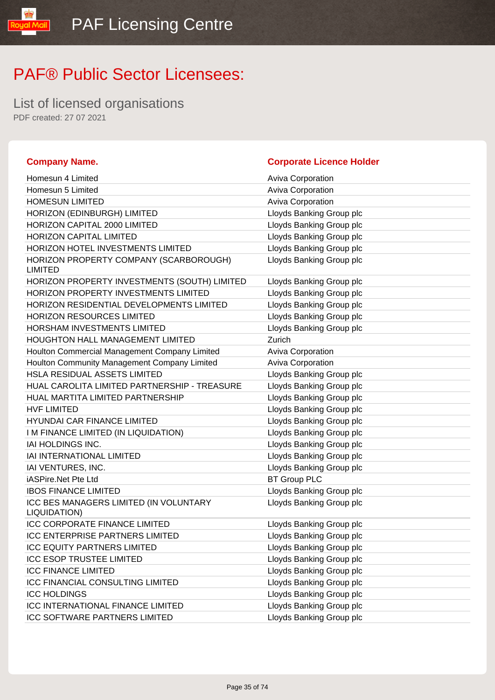List of licensed organisations PDF created: 27 07 2021

#### **Company Name. Corporate Licence Holder** Homesun 4 Limited **Aviva Corporation** Aviva Corporation Homesun 5 Limited **Aviva Corporation** Aviva Corporation HOMESUN LIMITED **Aviva Corporation** Aviva Corporation HORIZON (EDINBURGH) LIMITED LIMITED Lloyds Banking Group plc HORIZON CAPITAL 2000 LIMITED Loyds Banking Group plc HORIZON CAPITAL LIMITED **Example 20 Set 10 YO AT A CONSTRANT CONTROL** Lloyds Banking Group plc HORIZON HOTEL INVESTMENTS LIMITED Law Lloyds Banking Group plc HORIZON PROPERTY COMPANY (SCARBOROUGH) LIMITED Lloyds Banking Group plc HORIZON PROPERTY INVESTMENTS (SOUTH) LIMITED Lloyds Banking Group plc HORIZON PROPERTY INVESTMENTS LIMITED Loyds Banking Group plc HORIZON RESIDENTIAL DEVELOPMENTS LIMITED Lloyds Banking Group plc HORIZON RESOURCES LIMITED LIGY Lloyds Banking Group plc HORSHAM INVESTMENTS LIMITED Lattitude the Lloyds Banking Group plc HOUGHTON HALL MANAGEMENT LIMITED Zurich Houlton Commercial Management Company Limited Aviva Corporation Houlton Community Management Company Limited Aviva Corporation HSLA RESIDUAL ASSETS LIMITED LIDYD Lloyds Banking Group plc HUAL CAROLITA LIMITED PARTNERSHIP - TREASURE Lloyds Banking Group plc HUAL MARTITA LIMITED PARTNERSHIP Lloyds Banking Group plc HVF LIMITED **Letter and Struck and Struck and Struck and Struck and Struck and Struck and Struck and Struck and Struck and Struck and Struck and Struck and Struck and Struck and Struck and Struck and Struck and Struck and** HYUNDAI CAR FINANCE LIMITED LOYD Lloyds Banking Group plc I M FINANCE LIMITED (IN LIQUIDATION) Love Lloyds Banking Group plc IAI HOLDINGS INC. **Listang Group plc Leading Group plc Listang Group plc** IAI INTERNATIONAL LIMITED LOYD Lloyds Banking Group plc IAI VENTURES, INC. The Contract of the Contract Contract Contract Contract Contract Contract Contract Contract Contract Contract Contract Contract Contract Contract Contract Contract Contract Contract Contract Contract Con iASPire.Net Pte Ltd BT Group PLC **IBOS FINANCE LIMITED Lloyds Banking Group plc** ICC BES MANAGERS LIMITED (IN VOLUNTARY LIQUIDATION) Lloyds Banking Group plc ICC CORPORATE FINANCE LIMITED LIGY Lloyds Banking Group plc ICC ENTERPRISE PARTNERS LIMITED LIOYD Lloyds Banking Group plc ICC EQUITY PARTNERS LIMITED LIGHT LIGYDS Banking Group plc ICC ESOP TRUSTEE LIMITED LIGHT Lloyds Banking Group plc ICC FINANCE LIMITED LOYD Lloyds Banking Group plc ICC FINANCIAL CONSULTING LIMITED LIGY Lloyds Banking Group plc **ICC HOLDINGS Lloyds Banking Group plc** ICC INTERNATIONAL FINANCE LIMITED Lloyds Banking Group plc ICC SOFTWARE PARTNERS LIMITED LIGY Lloyds Banking Group plc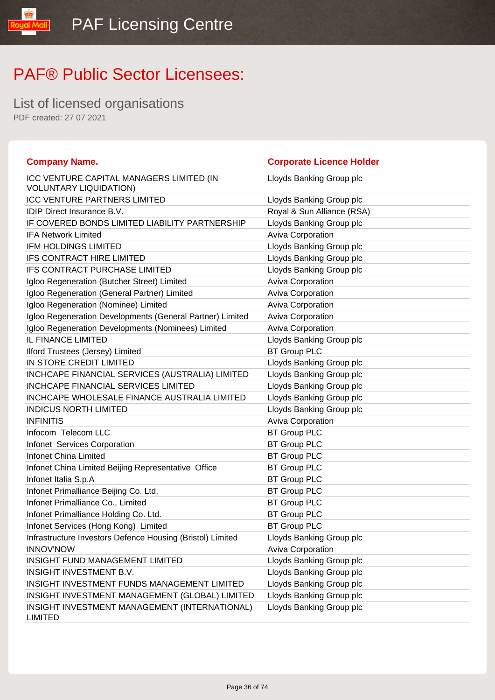List of licensed organisations PDF created: 27 07 2021

**loual** 

| <b>Company Name.</b>                                                      | <b>Corporate Licence Holder</b> |
|---------------------------------------------------------------------------|---------------------------------|
| ICC VENTURE CAPITAL MANAGERS LIMITED (IN<br><b>VOLUNTARY LIQUIDATION)</b> | Lloyds Banking Group plc        |
| <b>ICC VENTURE PARTNERS LIMITED</b>                                       | Lloyds Banking Group plc        |
| IDIP Direct Insurance B.V.                                                | Royal & Sun Alliance (RSA)      |
| IF COVERED BONDS LIMITED LIABILITY PARTNERSHIP                            | Lloyds Banking Group plc        |
| <b>IFA Network Limited</b>                                                | Aviva Corporation               |
| <b>IFM HOLDINGS LIMITED</b>                                               | Lloyds Banking Group plc        |
| IFS CONTRACT HIRE LIMITED                                                 | Lloyds Banking Group plc        |
| IFS CONTRACT PURCHASE LIMITED                                             | Lloyds Banking Group plc        |
| Igloo Regeneration (Butcher Street) Limited                               | <b>Aviva Corporation</b>        |
| Igloo Regeneration (General Partner) Limited                              | <b>Aviva Corporation</b>        |
| Igloo Regeneration (Nominee) Limited                                      | <b>Aviva Corporation</b>        |
| Igloo Regeneration Developments (General Partner) Limited                 | <b>Aviva Corporation</b>        |
| Igloo Regeneration Developments (Nominees) Limited                        | <b>Aviva Corporation</b>        |
| IL FINANCE LIMITED                                                        | Lloyds Banking Group plc        |
| Ilford Trustees (Jersey) Limited                                          | <b>BT Group PLC</b>             |
| IN STORE CREDIT LIMITED                                                   | Lloyds Banking Group plc        |
| INCHCAPE FINANCIAL SERVICES (AUSTRALIA) LIMITED                           | Lloyds Banking Group plc        |
| <b>INCHCAPE FINANCIAL SERVICES LIMITED</b>                                | Lloyds Banking Group plc        |
| INCHCAPE WHOLESALE FINANCE AUSTRALIA LIMITED                              | Lloyds Banking Group plc        |
| <b>INDICUS NORTH LIMITED</b>                                              | Lloyds Banking Group plc        |
| <b>INFINITIS</b>                                                          | Aviva Corporation               |
| Infocom Telecom LLC                                                       | <b>BT Group PLC</b>             |
| Infonet Services Corporation                                              | <b>BT Group PLC</b>             |
| <b>Infonet China Limited</b>                                              | <b>BT Group PLC</b>             |
| Infonet China Limited Beijing Representative Office                       | <b>BT Group PLC</b>             |
| Infonet Italia S.p.A                                                      | <b>BT Group PLC</b>             |
| Infonet Primalliance Beijing Co. Ltd.                                     | <b>BT Group PLC</b>             |
| Infonet Primalliance Co., Limited                                         | <b>BT Group PLC</b>             |
| Infonet Primalliance Holding Co. Ltd.                                     | <b>BT Group PLC</b>             |
| Infonet Services (Hong Kong) Limited                                      | <b>BT Group PLC</b>             |
| Infrastructure Investors Defence Housing (Bristol) Limited                | Lloyds Banking Group plc        |
| <b>INNOV'NOW</b>                                                          | <b>Aviva Corporation</b>        |
| INSIGHT FUND MANAGEMENT LIMITED                                           | Lloyds Banking Group plc        |
| INSIGHT INVESTMENT B.V.                                                   | Lloyds Banking Group plc        |
| INSIGHT INVESTMENT FUNDS MANAGEMENT LIMITED                               | Lloyds Banking Group plc        |
| INSIGHT INVESTMENT MANAGEMENT (GLOBAL) LIMITED                            | Lloyds Banking Group plc        |
| INSIGHT INVESTMENT MANAGEMENT (INTERNATIONAL)<br><b>LIMITED</b>           | Lloyds Banking Group plc        |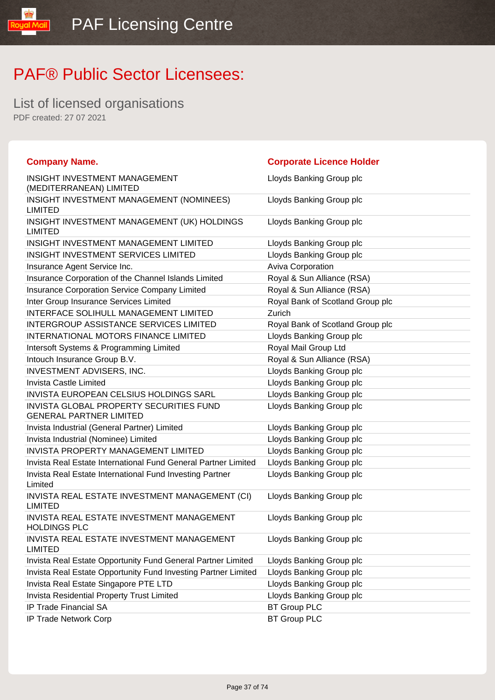List of licensed organisations PDF created: 27 07 2021

l libW layos

| <b>Company Name.</b>                                                      | <b>Corporate Licence Holder</b>  |
|---------------------------------------------------------------------------|----------------------------------|
| INSIGHT INVESTMENT MANAGEMENT<br>(MEDITERRANEAN) LIMITED                  | Lloyds Banking Group plc         |
| INSIGHT INVESTMENT MANAGEMENT (NOMINEES)<br><b>LIMITED</b>                | Lloyds Banking Group plc         |
| INSIGHT INVESTMENT MANAGEMENT (UK) HOLDINGS<br><b>LIMITED</b>             | Lloyds Banking Group plc         |
| INSIGHT INVESTMENT MANAGEMENT LIMITED                                     | Lloyds Banking Group plc         |
| INSIGHT INVESTMENT SERVICES LIMITED                                       | Lloyds Banking Group plc         |
| Insurance Agent Service Inc.                                              | Aviva Corporation                |
| Insurance Corporation of the Channel Islands Limited                      | Royal & Sun Alliance (RSA)       |
| Insurance Corporation Service Company Limited                             | Royal & Sun Alliance (RSA)       |
| Inter Group Insurance Services Limited                                    | Royal Bank of Scotland Group plc |
| <b>INTERFACE SOLIHULL MANAGEMENT LIMITED</b>                              | Zurich                           |
| <b>INTERGROUP ASSISTANCE SERVICES LIMITED</b>                             | Royal Bank of Scotland Group plc |
| <b>INTERNATIONAL MOTORS FINANCE LIMITED</b>                               | Lloyds Banking Group plc         |
| Intersoft Systems & Programming Limited                                   | Royal Mail Group Ltd             |
| Intouch Insurance Group B.V.                                              | Royal & Sun Alliance (RSA)       |
| <b>INVESTMENT ADVISERS, INC.</b>                                          | Lloyds Banking Group plc         |
| <b>Invista Castle Limited</b>                                             | Lloyds Banking Group plc         |
| <b>INVISTA EUROPEAN CELSIUS HOLDINGS SARL</b>                             | Lloyds Banking Group plc         |
| INVISTA GLOBAL PROPERTY SECURITIES FUND<br><b>GENERAL PARTNER LIMITED</b> | Lloyds Banking Group plc         |
| Invista Industrial (General Partner) Limited                              | Lloyds Banking Group plc         |
| Invista Industrial (Nominee) Limited                                      | Lloyds Banking Group plc         |
| <b>INVISTA PROPERTY MANAGEMENT LIMITED</b>                                | Lloyds Banking Group plc         |
| Invista Real Estate International Fund General Partner Limited            | Lloyds Banking Group plc         |
| Invista Real Estate International Fund Investing Partner<br>Limited       | Lloyds Banking Group plc         |
| INVISTA REAL ESTATE INVESTMENT MANAGEMENT (CI)<br><b>LIMITED</b>          | Lloyds Banking Group plc         |
| INVISTA REAL ESTATE INVESTMENT MANAGEMENT<br><b>HOLDINGS PLC</b>          | Lloyds Banking Group plc         |
| INVISTA REAL ESTATE INVESTMENT MANAGEMENT<br><b>LIMITED</b>               | Lloyds Banking Group plc         |
| Invista Real Estate Opportunity Fund General Partner Limited              | Lloyds Banking Group plc         |
| Invista Real Estate Opportunity Fund Investing Partner Limited            | Lloyds Banking Group plc         |
| Invista Real Estate Singapore PTE LTD                                     | Lloyds Banking Group plc         |
| Invista Residential Property Trust Limited                                | Lloyds Banking Group plc         |
| IP Trade Financial SA                                                     | <b>BT Group PLC</b>              |
| IP Trade Network Corp                                                     | <b>BT Group PLC</b>              |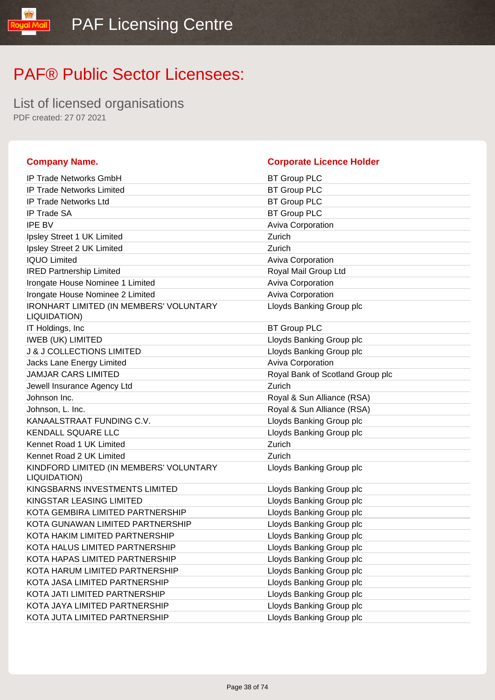List of licensed organisations PDF created: 27 07 2021

libMail

| <b>Company Name.</b>                                           | <b>Corporate Licence Holder</b>  |
|----------------------------------------------------------------|----------------------------------|
| <b>IP Trade Networks GmbH</b>                                  | <b>BT Group PLC</b>              |
| <b>IP Trade Networks Limited</b>                               | <b>BT Group PLC</b>              |
| <b>IP Trade Networks Ltd</b>                                   | <b>BT Group PLC</b>              |
| <b>IP Trade SA</b>                                             | <b>BT Group PLC</b>              |
| <b>IPE BV</b>                                                  | <b>Aviva Corporation</b>         |
| Ipsley Street 1 UK Limited                                     | Zurich                           |
| Ipsley Street 2 UK Limited                                     | Zurich                           |
| <b>IQUO Limited</b>                                            | <b>Aviva Corporation</b>         |
| <b>IRED Partnership Limited</b>                                | Royal Mail Group Ltd             |
| Irongate House Nominee 1 Limited                               | <b>Aviva Corporation</b>         |
| Irongate House Nominee 2 Limited                               | <b>Aviva Corporation</b>         |
| <b>IRONHART LIMITED (IN MEMBERS' VOLUNTARY</b><br>LIQUIDATION) | Lloyds Banking Group plc         |
| IT Holdings, Inc.                                              | <b>BT Group PLC</b>              |
| <b>IWEB (UK) LIMITED</b>                                       | Lloyds Banking Group plc         |
| <b>J &amp; J COLLECTIONS LIMITED</b>                           | Lloyds Banking Group plc         |
| <b>Jacks Lane Energy Limited</b>                               | <b>Aviva Corporation</b>         |
| <b>JAMJAR CARS LIMITED</b>                                     | Royal Bank of Scotland Group plc |
| Jewell Insurance Agency Ltd                                    | Zurich                           |
| Johnson Inc.                                                   | Royal & Sun Alliance (RSA)       |
| Johnson, L. Inc.                                               | Royal & Sun Alliance (RSA)       |
| KANAALSTRAAT FUNDING C.V.                                      | Lloyds Banking Group plc         |
| <b>KENDALL SQUARE LLC</b>                                      | Lloyds Banking Group plc         |
| Kennet Road 1 UK Limited                                       | Zurich                           |
| Kennet Road 2 UK Limited                                       | Zurich                           |
| KINDFORD LIMITED (IN MEMBERS' VOLUNTARY<br>LIQUIDATION)        | Lloyds Banking Group plc         |
| KINGSBARNS INVESTMENTS LIMITED                                 | Lloyds Banking Group plc         |
| KINGSTAR LEASING LIMITED                                       | Lloyds Banking Group plc         |
| KOTA GEMBIRA LIMITED PARTNERSHIP                               | Lloyds Banking Group plc         |
| KOTA GUNAWAN LIMITED PARTNERSHIP                               | Lloyds Banking Group plc         |
| KOTA HAKIM LIMITED PARTNERSHIP                                 | Lloyds Banking Group plc         |
| KOTA HALUS LIMITED PARTNERSHIP                                 | Lloyds Banking Group plc         |
| KOTA HAPAS LIMITED PARTNERSHIP                                 | Lloyds Banking Group plc         |
| KOTA HARUM LIMITED PARTNERSHIP                                 | Lloyds Banking Group plc         |
| KOTA JASA LIMITED PARTNERSHIP                                  | Lloyds Banking Group plc         |
| KOTA JATI LIMITED PARTNERSHIP                                  | Lloyds Banking Group plc         |
| KOTA JAYA LIMITED PARTNERSHIP                                  | Lloyds Banking Group plc         |
| KOTA JUTA LIMITED PARTNERSHIP                                  | Lloyds Banking Group plc         |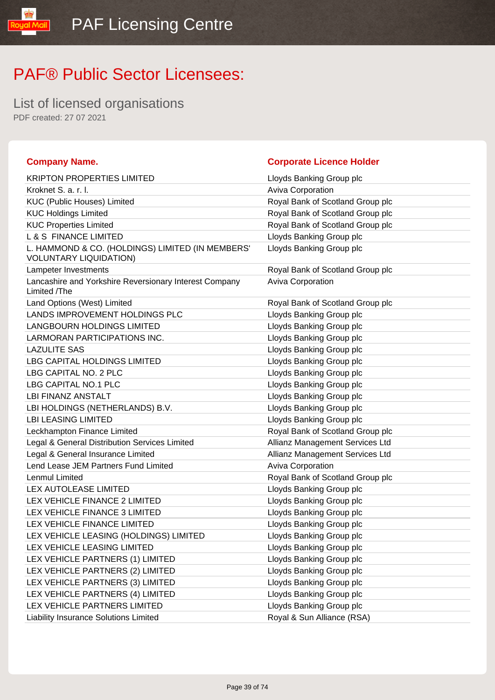List of licensed organisations PDF created: 27 07 2021

ual

| <b>Company Name.</b>                                                              | <b>Corporate Licence Holder</b>  |
|-----------------------------------------------------------------------------------|----------------------------------|
| <b>KRIPTON PROPERTIES LIMITED</b>                                                 | Lloyds Banking Group plc         |
| Kroknet S. a. r. l.                                                               | <b>Aviva Corporation</b>         |
| <b>KUC (Public Houses) Limited</b>                                                | Royal Bank of Scotland Group plc |
| <b>KUC Holdings Limited</b>                                                       | Royal Bank of Scotland Group plc |
| <b>KUC Properties Limited</b>                                                     | Royal Bank of Scotland Group plc |
| <b>L &amp; S FINANCE LIMITED</b>                                                  | Lloyds Banking Group plc         |
| L. HAMMOND & CO. (HOLDINGS) LIMITED (IN MEMBERS'<br><b>VOLUNTARY LIQUIDATION)</b> | Lloyds Banking Group plc         |
| <b>Lampeter Investments</b>                                                       | Royal Bank of Scotland Group plc |
| Lancashire and Yorkshire Reversionary Interest Company<br>Limited /The            | <b>Aviva Corporation</b>         |
| Land Options (West) Limited                                                       | Royal Bank of Scotland Group plc |
| LANDS IMPROVEMENT HOLDINGS PLC                                                    | Lloyds Banking Group plc         |
| LANGBOURN HOLDINGS LIMITED                                                        | Lloyds Banking Group plc         |
| LARMORAN PARTICIPATIONS INC.                                                      | Lloyds Banking Group plc         |
| <b>LAZULITE SAS</b>                                                               | Lloyds Banking Group plc         |
| LBG CAPITAL HOLDINGS LIMITED                                                      | Lloyds Banking Group plc         |
| LBG CAPITAL NO. 2 PLC                                                             | Lloyds Banking Group plc         |
| LBG CAPITAL NO.1 PLC                                                              | Lloyds Banking Group plc         |
| LBI FINANZ ANSTALT                                                                | Lloyds Banking Group plc         |
| LBI HOLDINGS (NETHERLANDS) B.V.                                                   | Lloyds Banking Group plc         |
| <b>LBI LEASING LIMITED</b>                                                        | Lloyds Banking Group plc         |
| Leckhampton Finance Limited                                                       | Royal Bank of Scotland Group plc |
| Legal & General Distribution Services Limited                                     | Allianz Management Services Ltd  |
| Legal & General Insurance Limited                                                 | Allianz Management Services Ltd  |
| Lend Lease JEM Partners Fund Limited                                              | Aviva Corporation                |
| <b>Lenmul Limited</b>                                                             | Royal Bank of Scotland Group plc |
| LEX AUTOLEASE LIMITED                                                             | Lloyds Banking Group plc         |
| LEX VEHICLE FINANCE 2 LIMITED                                                     | Lloyds Banking Group plc         |
| LEX VEHICLE FINANCE 3 LIMITED                                                     | Lloyds Banking Group plc         |
| LEX VEHICLE FINANCE LIMITED                                                       | Lloyds Banking Group plc         |
| LEX VEHICLE LEASING (HOLDINGS) LIMITED                                            | Lloyds Banking Group plc         |
| LEX VEHICLE LEASING LIMITED                                                       | Lloyds Banking Group plc         |
| LEX VEHICLE PARTNERS (1) LIMITED                                                  | Lloyds Banking Group plc         |
| LEX VEHICLE PARTNERS (2) LIMITED                                                  | Lloyds Banking Group plc         |
| LEX VEHICLE PARTNERS (3) LIMITED                                                  | Lloyds Banking Group plc         |
| LEX VEHICLE PARTNERS (4) LIMITED                                                  | Lloyds Banking Group plc         |
| LEX VEHICLE PARTNERS LIMITED                                                      | Lloyds Banking Group plc         |
| Liability Insurance Solutions Limited                                             | Royal & Sun Alliance (RSA)       |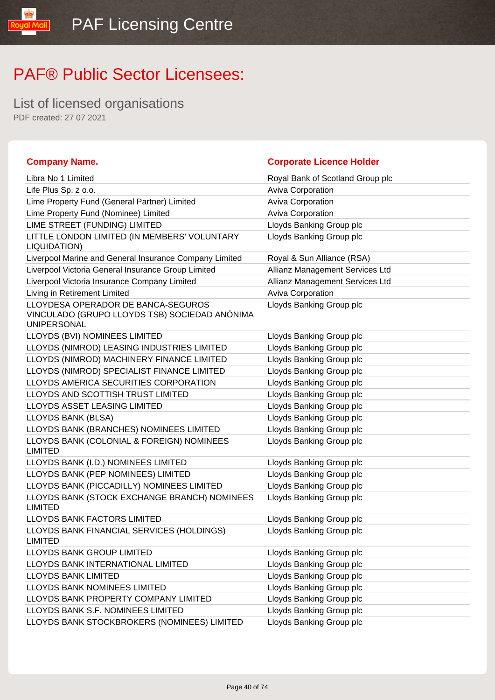List of licensed organisations PDF created: 27 07 2021

**TipM** louos

| <b>Company Name.</b>                                                                                      | <b>Corporate Licence Holder</b>  |
|-----------------------------------------------------------------------------------------------------------|----------------------------------|
| Libra No 1 Limited                                                                                        | Royal Bank of Scotland Group plc |
| Life Plus Sp. z o.o.                                                                                      | Aviva Corporation                |
| Lime Property Fund (General Partner) Limited                                                              | Aviva Corporation                |
| Lime Property Fund (Nominee) Limited                                                                      | <b>Aviva Corporation</b>         |
| LIME STREET (FUNDING) LIMITED                                                                             | Lloyds Banking Group plc         |
| LITTLE LONDON LIMITED (IN MEMBERS' VOLUNTARY<br>LIQUIDATION)                                              | Lloyds Banking Group plc         |
| Liverpool Marine and General Insurance Company Limited                                                    | Royal & Sun Alliance (RSA)       |
| Liverpool Victoria General Insurance Group Limited                                                        | Allianz Management Services Ltd  |
| Liverpool Victoria Insurance Company Limited                                                              | Allianz Management Services Ltd  |
| Living in Retirement Limited                                                                              | Aviva Corporation                |
| LLOYDESA OPERADOR DE BANCA-SEGUROS<br>VINCULADO (GRUPO LLOYDS TSB) SOCIEDAD ANÓNIMA<br><b>UNIPERSONAL</b> | Lloyds Banking Group plc         |
| LLOYDS (BVI) NOMINEES LIMITED                                                                             | Lloyds Banking Group plc         |
| LLOYDS (NIMROD) LEASING INDUSTRIES LIMITED                                                                | Lloyds Banking Group plc         |
| LLOYDS (NIMROD) MACHINERY FINANCE LIMITED                                                                 | Lloyds Banking Group plc         |
| LLOYDS (NIMROD) SPECIALIST FINANCE LIMITED                                                                | Lloyds Banking Group plc         |
| LLOYDS AMERICA SECURITIES CORPORATION                                                                     | Lloyds Banking Group plc         |
| LLOYDS AND SCOTTISH TRUST LIMITED                                                                         | Lloyds Banking Group plc         |
| LLOYDS ASSET LEASING LIMITED                                                                              | Lloyds Banking Group plc         |
| LLOYDS BANK (BLSA)                                                                                        | Lloyds Banking Group plc         |
| LLOYDS BANK (BRANCHES) NOMINEES LIMITED                                                                   | Lloyds Banking Group plc         |
| LLOYDS BANK (COLONIAL & FOREIGN) NOMINEES<br><b>LIMITED</b>                                               | Lloyds Banking Group plc         |
| LLOYDS BANK (I.D.) NOMINEES LIMITED                                                                       | Lloyds Banking Group plc         |
| LLOYDS BANK (PEP NOMINEES) LIMITED                                                                        | Lloyds Banking Group plc         |
| LLOYDS BANK (PICCADILLY) NOMINEES LIMITED                                                                 | Lloyds Banking Group plc         |
| LLOYDS BANK (STOCK EXCHANGE BRANCH) NOMINEES<br><b>LIMITED</b>                                            | Lloyds Banking Group plc         |
| LLOYDS BANK FACTORS LIMITED                                                                               | Lloyds Banking Group plc         |
| LLOYDS BANK FINANCIAL SERVICES (HOLDINGS)<br><b>LIMITED</b>                                               | Lloyds Banking Group plc         |
| LLOYDS BANK GROUP LIMITED                                                                                 | Lloyds Banking Group plc         |
| LLOYDS BANK INTERNATIONAL LIMITED                                                                         | Lloyds Banking Group plc         |
| <b>LLOYDS BANK LIMITED</b>                                                                                | Lloyds Banking Group plc         |
| LLOYDS BANK NOMINEES LIMITED                                                                              | Lloyds Banking Group plc         |
| LLOYDS BANK PROPERTY COMPANY LIMITED                                                                      | Lloyds Banking Group plc         |
| LLOYDS BANK S.F. NOMINEES LIMITED                                                                         | Lloyds Banking Group plc         |
| LLOYDS BANK STOCKBROKERS (NOMINEES) LIMITED                                                               | Lloyds Banking Group plc         |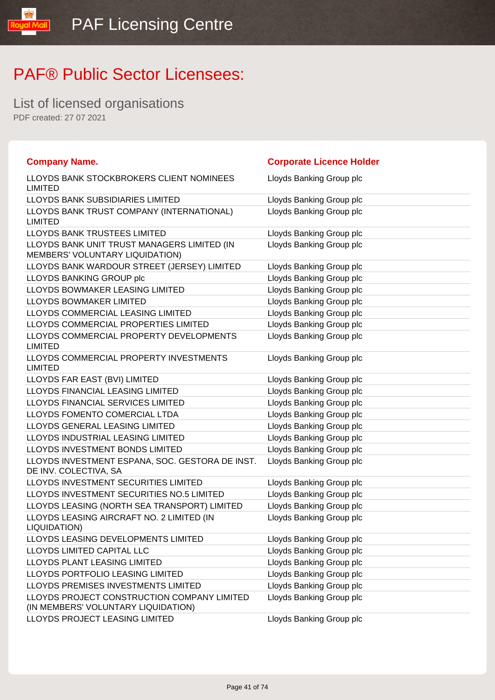List of licensed organisations PDF created: 27 07 2021

l libW layos

| <b>Company Name.</b>                                                               | <b>Corporate Licence Holder</b> |
|------------------------------------------------------------------------------------|---------------------------------|
| LLOYDS BANK STOCKBROKERS CLIENT NOMINEES<br><b>LIMITED</b>                         | Lloyds Banking Group plc        |
| <b>LLOYDS BANK SUBSIDIARIES LIMITED</b>                                            | Lloyds Banking Group plc        |
| LLOYDS BANK TRUST COMPANY (INTERNATIONAL)<br><b>LIMITED</b>                        | Lloyds Banking Group plc        |
| <b>LLOYDS BANK TRUSTEES LIMITED</b>                                                | Lloyds Banking Group plc        |
| LLOYDS BANK UNIT TRUST MANAGERS LIMITED (IN<br>MEMBERS' VOLUNTARY LIQUIDATION)     | Lloyds Banking Group plc        |
| LLOYDS BANK WARDOUR STREET (JERSEY) LIMITED                                        | Lloyds Banking Group plc        |
| LLOYDS BANKING GROUP plc                                                           | Lloyds Banking Group plc        |
| LLOYDS BOWMAKER LEASING LIMITED                                                    | Lloyds Banking Group plc        |
| LLOYDS BOWMAKER LIMITED                                                            | Lloyds Banking Group plc        |
| LLOYDS COMMERCIAL LEASING LIMITED                                                  | Lloyds Banking Group plc        |
| LLOYDS COMMERCIAL PROPERTIES LIMITED                                               | Lloyds Banking Group plc        |
| LLOYDS COMMERCIAL PROPERTY DEVELOPMENTS<br><b>LIMITED</b>                          | Lloyds Banking Group plc        |
| LLOYDS COMMERCIAL PROPERTY INVESTMENTS<br><b>LIMITED</b>                           | Lloyds Banking Group plc        |
| LLOYDS FAR EAST (BVI) LIMITED                                                      | Lloyds Banking Group plc        |
| LLOYDS FINANCIAL LEASING LIMITED                                                   | Lloyds Banking Group plc        |
| LLOYDS FINANCIAL SERVICES LIMITED                                                  | Lloyds Banking Group plc        |
| LLOYDS FOMENTO COMERCIAL LTDA                                                      | Lloyds Banking Group plc        |
| LLOYDS GENERAL LEASING LIMITED                                                     | Lloyds Banking Group plc        |
| LLOYDS INDUSTRIAL LEASING LIMITED                                                  | Lloyds Banking Group plc        |
| LLOYDS INVESTMENT BONDS LIMITED                                                    | Lloyds Banking Group plc        |
| LLOYDS INVESTMENT ESPANA, SOC. GESTORA DE INST.<br>DE INV. COLECTIVA, SA           | Lloyds Banking Group plc        |
| LLOYDS INVESTMENT SECURITIES LIMITED                                               | Lloyds Banking Group plc        |
| LLOYDS INVESTMENT SECURITIES NO.5 LIMITED                                          | Lloyds Banking Group plc        |
| LLOYDS LEASING (NORTH SEA TRANSPORT) LIMITED                                       | Lloyds Banking Group plc        |
| LLOYDS LEASING AIRCRAFT NO. 2 LIMITED (IN<br>LIQUIDATION)                          | Lloyds Banking Group plc        |
| LLOYDS LEASING DEVELOPMENTS LIMITED                                                | Lloyds Banking Group plc        |
| LLOYDS LIMITED CAPITAL LLC                                                         | Lloyds Banking Group plc        |
| LLOYDS PLANT LEASING LIMITED                                                       | Lloyds Banking Group plc        |
| LLOYDS PORTFOLIO LEASING LIMITED                                                   | Lloyds Banking Group plc        |
| LLOYDS PREMISES INVESTMENTS LIMITED                                                | Lloyds Banking Group plc        |
| LLOYDS PROJECT CONSTRUCTION COMPANY LIMITED<br>(IN MEMBERS' VOLUNTARY LIQUIDATION) | Lloyds Banking Group plc        |
| LLOYDS PROJECT LEASING LIMITED                                                     | Lloyds Banking Group plc        |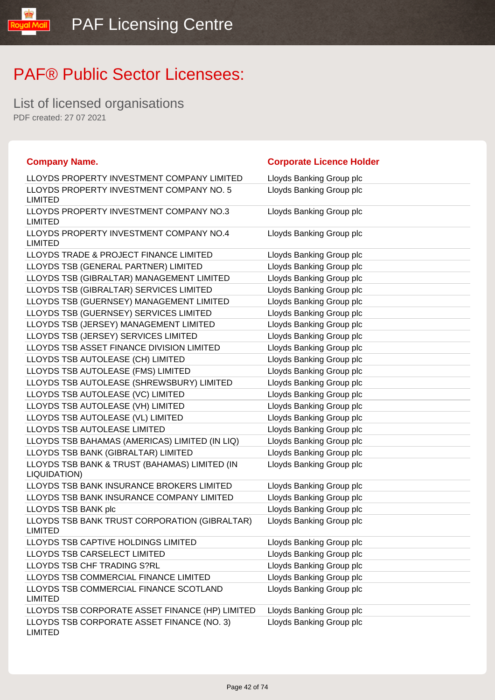List of licensed organisations PDF created: 27 07 2021

**loual** 

| <b>Company Name.</b>                                            | <b>Corporate Licence Holder</b> |
|-----------------------------------------------------------------|---------------------------------|
| LLOYDS PROPERTY INVESTMENT COMPANY LIMITED                      | Lloyds Banking Group plc        |
| LLOYDS PROPERTY INVESTMENT COMPANY NO. 5<br><b>LIMITED</b>      | Lloyds Banking Group plc        |
| LLOYDS PROPERTY INVESTMENT COMPANY NO.3<br><b>LIMITED</b>       | Lloyds Banking Group plc        |
| LLOYDS PROPERTY INVESTMENT COMPANY NO.4<br><b>LIMITED</b>       | Lloyds Banking Group plc        |
| LLOYDS TRADE & PROJECT FINANCE LIMITED                          | Lloyds Banking Group plc        |
| LLOYDS TSB (GENERAL PARTNER) LIMITED                            | Lloyds Banking Group plc        |
| LLOYDS TSB (GIBRALTAR) MANAGEMENT LIMITED                       | Lloyds Banking Group plc        |
| LLOYDS TSB (GIBRALTAR) SERVICES LIMITED                         | Lloyds Banking Group plc        |
| LLOYDS TSB (GUERNSEY) MANAGEMENT LIMITED                        | Lloyds Banking Group plc        |
| LLOYDS TSB (GUERNSEY) SERVICES LIMITED                          | Lloyds Banking Group plc        |
| LLOYDS TSB (JERSEY) MANAGEMENT LIMITED                          | Lloyds Banking Group plc        |
| LLOYDS TSB (JERSEY) SERVICES LIMITED                            | Lloyds Banking Group plc        |
| LLOYDS TSB ASSET FINANCE DIVISION LIMITED                       | Lloyds Banking Group plc        |
| LLOYDS TSB AUTOLEASE (CH) LIMITED                               | Lloyds Banking Group plc        |
| LLOYDS TSB AUTOLEASE (FMS) LIMITED                              | Lloyds Banking Group plc        |
| LLOYDS TSB AUTOLEASE (SHREWSBURY) LIMITED                       | Lloyds Banking Group plc        |
| LLOYDS TSB AUTOLEASE (VC) LIMITED                               | Lloyds Banking Group plc        |
| LLOYDS TSB AUTOLEASE (VH) LIMITED                               | Lloyds Banking Group plc        |
| LLOYDS TSB AUTOLEASE (VL) LIMITED                               | Lloyds Banking Group plc        |
| LLOYDS TSB AUTOLEASE LIMITED                                    | Lloyds Banking Group plc        |
| LLOYDS TSB BAHAMAS (AMERICAS) LIMITED (IN LIQ)                  | Lloyds Banking Group plc        |
| LLOYDS TSB BANK (GIBRALTAR) LIMITED                             | Lloyds Banking Group plc        |
| LLOYDS TSB BANK & TRUST (BAHAMAS) LIMITED (IN<br>LIQUIDATION)   | Lloyds Banking Group plc        |
| LLOYDS TSB BANK INSURANCE BROKERS LIMITED                       | Lloyds Banking Group plc        |
| LLOYDS TSB BANK INSURANCE COMPANY LIMITED                       | Lloyds Banking Group plc        |
| LLOYDS TSB BANK plc                                             | Lloyds Banking Group plc        |
| LLOYDS TSB BANK TRUST CORPORATION (GIBRALTAR)<br><b>LIMITED</b> | Lloyds Banking Group plc        |
| LLOYDS TSB CAPTIVE HOLDINGS LIMITED                             | Lloyds Banking Group plc        |
| LLOYDS TSB CARSELECT LIMITED                                    | Lloyds Banking Group plc        |
| LLOYDS TSB CHF TRADING S?RL                                     | Lloyds Banking Group plc        |
| LLOYDS TSB COMMERCIAL FINANCE LIMITED                           | Lloyds Banking Group plc        |
| LLOYDS TSB COMMERCIAL FINANCE SCOTLAND<br><b>LIMITED</b>        | Lloyds Banking Group plc        |
| LLOYDS TSB CORPORATE ASSET FINANCE (HP) LIMITED                 | Lloyds Banking Group plc        |
| LLOYDS TSB CORPORATE ASSET FINANCE (NO. 3)<br><b>LIMITED</b>    | Lloyds Banking Group plc        |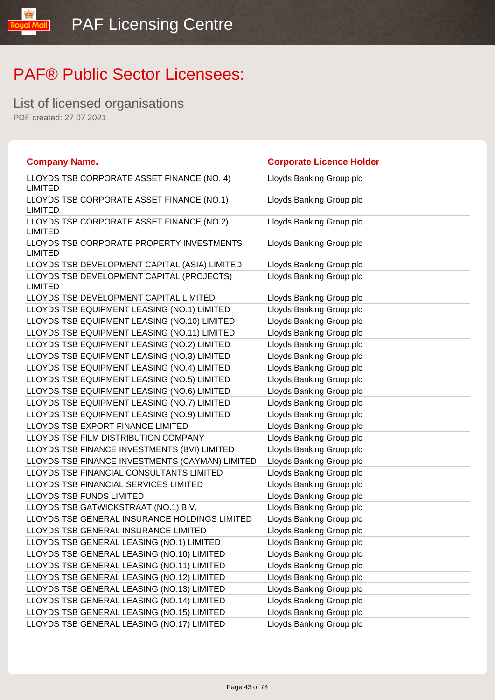List of licensed organisations PDF created: 27 07 2021

**Oual Mail** 

| <b>Company Name.</b>                                         | <b>Corporate Licence Holder</b> |
|--------------------------------------------------------------|---------------------------------|
| LLOYDS TSB CORPORATE ASSET FINANCE (NO. 4)<br><b>LIMITED</b> | Lloyds Banking Group plc        |
| LLOYDS TSB CORPORATE ASSET FINANCE (NO.1)<br><b>LIMITED</b>  | Lloyds Banking Group plc        |
| LLOYDS TSB CORPORATE ASSET FINANCE (NO.2)<br><b>LIMITED</b>  | Lloyds Banking Group plc        |
| LLOYDS TSB CORPORATE PROPERTY INVESTMENTS<br><b>LIMITED</b>  | Lloyds Banking Group plc        |
| LLOYDS TSB DEVELOPMENT CAPITAL (ASIA) LIMITED                | Lloyds Banking Group plc        |
| LLOYDS TSB DEVELOPMENT CAPITAL (PROJECTS)<br><b>LIMITED</b>  | Lloyds Banking Group plc        |
| LLOYDS TSB DEVELOPMENT CAPITAL LIMITED                       | Lloyds Banking Group plc        |
| LLOYDS TSB EQUIPMENT LEASING (NO.1) LIMITED                  | Lloyds Banking Group plc        |
| LLOYDS TSB EQUIPMENT LEASING (NO.10) LIMITED                 | Lloyds Banking Group plc        |
| LLOYDS TSB EQUIPMENT LEASING (NO.11) LIMITED                 | Lloyds Banking Group plc        |
| LLOYDS TSB EQUIPMENT LEASING (NO.2) LIMITED                  | Lloyds Banking Group plc        |
| LLOYDS TSB EQUIPMENT LEASING (NO.3) LIMITED                  | Lloyds Banking Group plc        |
| LLOYDS TSB EQUIPMENT LEASING (NO.4) LIMITED                  | Lloyds Banking Group plc        |
| LLOYDS TSB EQUIPMENT LEASING (NO.5) LIMITED                  | Lloyds Banking Group plc        |
| LLOYDS TSB EQUIPMENT LEASING (NO.6) LIMITED                  | Lloyds Banking Group plc        |
| LLOYDS TSB EQUIPMENT LEASING (NO.7) LIMITED                  | Lloyds Banking Group plc        |
| LLOYDS TSB EQUIPMENT LEASING (NO.9) LIMITED                  | Lloyds Banking Group plc        |
| LLOYDS TSB EXPORT FINANCE LIMITED                            | Lloyds Banking Group plc        |
| LLOYDS TSB FILM DISTRIBUTION COMPANY                         | Lloyds Banking Group plc        |
| LLOYDS TSB FINANCE INVESTMENTS (BVI) LIMITED                 | Lloyds Banking Group plc        |
| LLOYDS TSB FINANCE INVESTMENTS (CAYMAN) LIMITED              | Lloyds Banking Group plc        |
| LLOYDS TSB FINANCIAL CONSULTANTS LIMITED                     | Lloyds Banking Group plc        |
| LLOYDS TSB FINANCIAL SERVICES LIMITED                        | Lloyds Banking Group plc        |
| <b>LLOYDS TSB FUNDS LIMITED</b>                              | Lloyds Banking Group plc        |
| LLOYDS TSB GATWICKSTRAAT (NO.1) B.V.                         | Lloyds Banking Group plc        |
| LLOYDS TSB GENERAL INSURANCE HOLDINGS LIMITED                | Lloyds Banking Group plc        |
| LLOYDS TSB GENERAL INSURANCE LIMITED                         | Lloyds Banking Group plc        |
| LLOYDS TSB GENERAL LEASING (NO.1) LIMITED                    | Lloyds Banking Group plc        |
| LLOYDS TSB GENERAL LEASING (NO.10) LIMITED                   | Lloyds Banking Group plc        |
| LLOYDS TSB GENERAL LEASING (NO.11) LIMITED                   | Lloyds Banking Group plc        |
| LLOYDS TSB GENERAL LEASING (NO.12) LIMITED                   | Lloyds Banking Group plc        |
| LLOYDS TSB GENERAL LEASING (NO.13) LIMITED                   | Lloyds Banking Group plc        |
| LLOYDS TSB GENERAL LEASING (NO.14) LIMITED                   | Lloyds Banking Group plc        |
| LLOYDS TSB GENERAL LEASING (NO.15) LIMITED                   | Lloyds Banking Group plc        |
| LLOYDS TSB GENERAL LEASING (NO.17) LIMITED                   | Lloyds Banking Group plc        |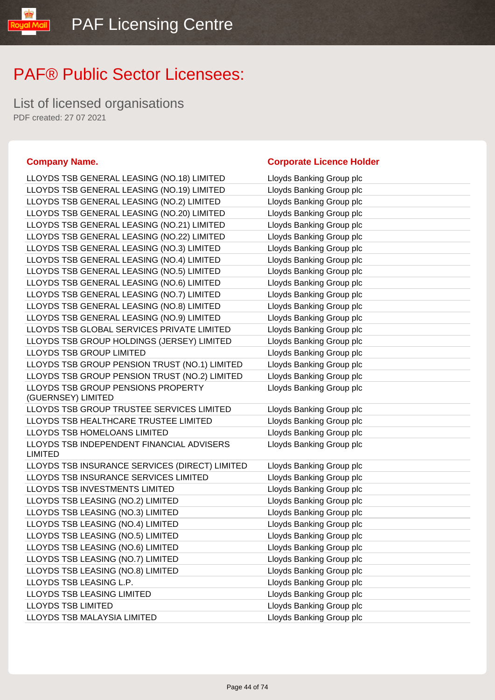List of licensed organisations PDF created: 27 07 2021

#### **Company Name. Corporate Licence Holder**

| LLOYDS TSB GENERAL LEASING (NO.18) LIMITED                                              | Lloyds Banking Group plc                             |
|-----------------------------------------------------------------------------------------|------------------------------------------------------|
| LLOYDS TSB GENERAL LEASING (NO.19) LIMITED                                              | Lloyds Banking Group plc                             |
| LLOYDS TSB GENERAL LEASING (NO.2) LIMITED                                               | Lloyds Banking Group plc                             |
| LLOYDS TSB GENERAL LEASING (NO.20) LIMITED                                              | Lloyds Banking Group plc                             |
| LLOYDS TSB GENERAL LEASING (NO.21) LIMITED                                              | Lloyds Banking Group plc                             |
| LLOYDS TSB GENERAL LEASING (NO.22) LIMITED                                              | Lloyds Banking Group plc                             |
| LLOYDS TSB GENERAL LEASING (NO.3) LIMITED                                               | Lloyds Banking Group plc                             |
| LLOYDS TSB GENERAL LEASING (NO.4) LIMITED                                               | Lloyds Banking Group plc                             |
| LLOYDS TSB GENERAL LEASING (NO.5) LIMITED                                               | Lloyds Banking Group plc                             |
| LLOYDS TSB GENERAL LEASING (NO.6) LIMITED                                               | Lloyds Banking Group plc                             |
| LLOYDS TSB GENERAL LEASING (NO.7) LIMITED                                               | Lloyds Banking Group plc                             |
| LLOYDS TSB GENERAL LEASING (NO.8) LIMITED                                               | Lloyds Banking Group plc                             |
| LLOYDS TSB GENERAL LEASING (NO.9) LIMITED                                               | Lloyds Banking Group plc                             |
| LLOYDS TSB GLOBAL SERVICES PRIVATE LIMITED                                              | Lloyds Banking Group plc                             |
| LLOYDS TSB GROUP HOLDINGS (JERSEY) LIMITED                                              | Lloyds Banking Group plc                             |
| <b>LLOYDS TSB GROUP LIMITED</b>                                                         | Lloyds Banking Group plc                             |
| LLOYDS TSB GROUP PENSION TRUST (NO.1) LIMITED                                           | Lloyds Banking Group plc                             |
| LLOYDS TSB GROUP PENSION TRUST (NO.2) LIMITED                                           | Lloyds Banking Group plc                             |
| LLOYDS TSB GROUP PENSIONS PROPERTY                                                      | Lloyds Banking Group plc                             |
| (GUERNSEY) LIMITED                                                                      |                                                      |
| LLOYDS TSB GROUP TRUSTEE SERVICES LIMITED                                               | Lloyds Banking Group plc                             |
| LLOYDS TSB HEALTHCARE TRUSTEE LIMITED                                                   | Lloyds Banking Group plc                             |
| LLOYDS TSB HOMELOANS LIMITED                                                            | Lloyds Banking Group plc                             |
| LLOYDS TSB INDEPENDENT FINANCIAL ADVISERS                                               | Lloyds Banking Group plc                             |
| <b>LIMITED</b>                                                                          |                                                      |
| LLOYDS TSB INSURANCE SERVICES (DIRECT) LIMITED<br>LLOYDS TSB INSURANCE SERVICES LIMITED | Lloyds Banking Group plc                             |
| LLOYDS TSB INVESTMENTS LIMITED                                                          | Lloyds Banking Group plc                             |
| LLOYDS TSB LEASING (NO.2) LIMITED                                                       | Lloyds Banking Group plc                             |
| LLOYDS TSB LEASING (NO.3) LIMITED                                                       | Lloyds Banking Group plc                             |
|                                                                                         | Lloyds Banking Group plc                             |
| LLOYDS TSB LEASING (NO.4) LIMITED                                                       | Lloyds Banking Group plc<br>Lloyds Banking Group plc |
| LLOYDS TSB LEASING (NO.5) LIMITED                                                       |                                                      |
| LLOYDS TSB LEASING (NO.6) LIMITED                                                       | Lloyds Banking Group plc                             |
| LLOYDS TSB LEASING (NO.7) LIMITED                                                       | Lloyds Banking Group plc                             |
| LLOYDS TSB LEASING (NO.8) LIMITED<br>LLOYDS TSB LEASING L.P.                            | Lloyds Banking Group plc                             |
|                                                                                         | Lloyds Banking Group plc                             |
| <b>LLOYDS TSB LEASING LIMITED</b>                                                       | Lloyds Banking Group plc                             |
| <b>LLOYDS TSB LIMITED</b>                                                               | Lloyds Banking Group plc                             |
| LLOYDS TSB MALAYSIA LIMITED                                                             | Lloyds Banking Group plc                             |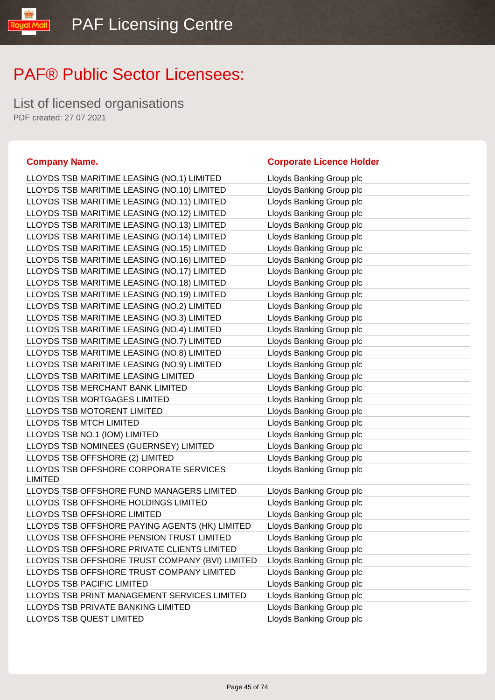List of licensed organisations PDF created: 27 07 2021

LLOYDS TSB MARITIME LEASING (NO.1) LIMITED Lloyds Banking Group plc LLOYDS TSB LLOYDS TSB LLOYDS TSB LLOYDS TSB LLOYDS TSB LLOYDS TSB LLOYDS TSB LLOYDS TSB LLOYDS TSB LLOYDS TSB LLOYDS TSB LLOYDS TSB LLOYDS TSB LLOYDS TSB LLOYDS TSB LLOYDS TSB LLOYDS TSB LLOYDS TSB LLOYDS TSB LLOYDS TSB LLOYDS TSB LLOYDS TSB LLOYDS TSB LLOYDS TSB **LLOYDS TSB** LIMITED LLOYDS TSB LLOYDS TSB LLOYDS TSB LLOYDS TSB LLOYDS TSB LLOYDS TSB LLOYDS TSB LLOYDS TSB LLOYDS TSB LLOYDS TSB LLOYDS TSB LLOYDS TSB

#### **Company Name. Corporate Licence Holder**

| MARITIME LEASING (NO.1) LIMITED      | Lloyds Banking Group pic |
|--------------------------------------|--------------------------|
| MARITIME LEASING (NO.10) LIMITED     | Lloyds Banking Group plc |
| MARITIME LEASING (NO.11) LIMITED     | Lloyds Banking Group plc |
| MARITIME LEASING (NO.12) LIMITED     | Lloyds Banking Group plc |
| MARITIME LEASING (NO.13) LIMITED     | Lloyds Banking Group plc |
| MARITIME LEASING (NO.14) LIMITED     | Lloyds Banking Group plc |
| MARITIME LEASING (NO.15) LIMITED     | Lloyds Banking Group plc |
| MARITIME LEASING (NO.16) LIMITED     | Lloyds Banking Group plc |
| MARITIME LEASING (NO.17) LIMITED     | Lloyds Banking Group plc |
| MARITIME LEASING (NO.18) LIMITED     | Lloyds Banking Group plc |
| MARITIME LEASING (NO.19) LIMITED     | Lloyds Banking Group plc |
| MARITIME LEASING (NO.2) LIMITED      | Lloyds Banking Group plc |
| MARITIME LEASING (NO.3) LIMITED      | Lloyds Banking Group plc |
| MARITIME LEASING (NO.4) LIMITED      | Lloyds Banking Group plc |
| MARITIME LEASING (NO.7) LIMITED      | Lloyds Banking Group plc |
| MARITIME LEASING (NO.8) LIMITED      | Lloyds Banking Group plc |
| MARITIME LEASING (NO.9) LIMITED      | Lloyds Banking Group plc |
| <b>MARITIME LEASING LIMITED</b>      | Lloyds Banking Group plc |
| <b>MERCHANT BANK LIMITED</b>         | Lloyds Banking Group plc |
| <b>MORTGAGES LIMITED</b>             | Lloyds Banking Group plc |
| <b>MOTORENT LIMITED</b>              | Lloyds Banking Group plc |
| <b>MTCH LIMITED</b>                  | Lloyds Banking Group plc |
| NO.1 (IOM) LIMITED                   | Lloyds Banking Group plc |
| NOMINEES (GUERNSEY) LIMITED          | Lloyds Banking Group plc |
| OFFSHORE (2) LIMITED                 | Lloyds Banking Group plc |
| OFFSHORE CORPORATE SERVICES          | Lloyds Banking Group plc |
| OFFSHORE FUND MANAGERS LIMITED       | Lloyds Banking Group plc |
| OFFSHORE HOLDINGS LIMITED            | Lloyds Banking Group plc |
| <b>OFFSHORE LIMITED</b>              | Lloyds Banking Group plc |
| OFFSHORE PAYING AGENTS (HK) LIMITED  | Lloyds Banking Group plc |
| OFFSHORE PENSION TRUST LIMITED       | Lloyds Banking Group plc |
| OFFSHORE PRIVATE CLIENTS LIMITED     | Lloyds Banking Group plc |
| OFFSHORE TRUST COMPANY (BVI) LIMITED | Lloyds Banking Group plc |
| OFFSHORE TRUST COMPANY LIMITED       | Lloyds Banking Group plc |
| PACIFIC LIMITED                      | Lloyds Banking Group plc |
| PRINT MANAGEMENT SERVICES LIMITED    | Lloyds Banking Group plc |
| PRIVATE BANKING LIMITED              | Lloyds Banking Group plc |
| <b>QUEST LIMITED</b>                 | Lloyds Banking Group plc |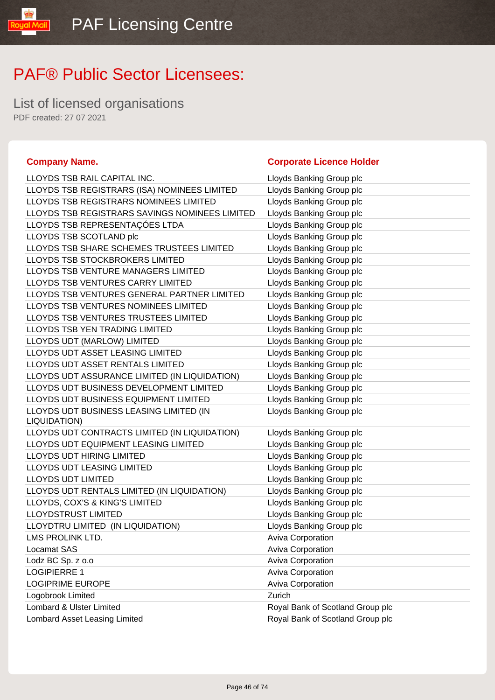List of licensed organisations PDF created: 27 07 2021

#### **Company Name. Corporate Licence Holder** LLOYDS TSB RAIL CAPITAL INC. **LLOYDS** Lloyds Banking Group plc LLOYDS TSB REGISTRARS (ISA) NOMINEES LIMITED Lloyds Banking Group plc LLOYDS TSB REGISTRARS NOMINEES LIMITED Lloyds Banking Group plc LLOYDS TSB REGISTRARS SAVINGS NOMINEES LIMITED Lloyds Banking Group plc LLOYDS TSB REPRESENTAÇÕES LTDA Lloyds Banking Group plc LLOYDS TSB SCOTLAND plc **Let up a latter of the ULOYDS** TSB SCOTLAND plc LLOYDS TSB SHARE SCHEMES TRUSTEES LIMITED Lloyds Banking Group plc LLOYDS TSB STOCKBROKERS LIMITED LIGY LIGY LOYDS Banking Group plc LLOYDS TSB VENTURE MANAGERS LIMITED Lloyds Banking Group plc LLOYDS TSB VENTURES CARRY LIMITED Lloyds Banking Group plc LLOYDS TSB VENTURES GENERAL PARTNER LIMITED Lloyds Banking Group plc LLOYDS TSB VENTURES NOMINEES LIMITED Lloyds Banking Group plc LLOYDS TSB VENTURES TRUSTEES LIMITED Lloyds Banking Group plc LLOYDS TSB YEN TRADING LIMITED LIMITED Lloyds Banking Group plc LLOYDS UDT (MARLOW) LIMITED LATE: Lloyds Banking Group plc LLOYDS UDT ASSET LEASING LIMITED LIMITED Lloyds Banking Group plc LLOYDS UDT ASSET RENTALS LIMITED LIGHT Lloyds Banking Group plc LLOYDS UDT ASSURANCE LIMITED (IN LIQUIDATION) Lloyds Banking Group plc LLOYDS UDT BUSINESS DEVELOPMENT LIMITED Lloyds Banking Group plc LLOYDS UDT BUSINESS EQUIPMENT LIMITED Lloyds Banking Group plc LLOYDS UDT BUSINESS LEASING LIMITED (IN LIQUIDATION) Lloyds Banking Group plc LLOYDS UDT CONTRACTS LIMITED (IN LIQUIDATION) Lloyds Banking Group plc LLOYDS UDT EQUIPMENT LEASING LIMITED Lloyds Banking Group plc LLOYDS UDT HIRING LIMITED LATTER LOYDS Banking Group plc LLOYDS UDT LEASING LIMITED Loyds Banking Group plc LLOYDS UDT LIMITED **Let up to a line of the ULOYDS UP TO LIMITED Let up to a line of the ULOYDS** UP to a line of the ULOYDS UP to a line of the ULOYDS UP to a line of the ULOYDS UP to a line of the ULOYDS UP to a line of LLOYDS UDT RENTALS LIMITED (IN LIQUIDATION) Lloyds Banking Group plc LLOYDS, COX'S & KING'S LIMITED LIGHT Lloyds Banking Group plc LLOYDSTRUST LIMITED **Latter and Strutter Control** Lloyds Banking Group plc LLOYDTRU LIMITED (IN LIQUIDATION) Lloyds Banking Group plc LMS PROLINK LTD. **Aviva Corporation** Aviva Corporation Locamat SAS **Aviva Corporation** Lodz BC Sp. z o.o <br>
Aviva Corporation LOGIPIERRE 1 Aviva Corporation LOGIPRIME EUROPE **Aviva Corporation** Aviva Corporation Logobrook Limited **Zurich Zurich** Lombard & Ulster Limited Royal Bank of Scotland Group plc Lombard Asset Leasing Limited Royal Bank of Scotland Group plc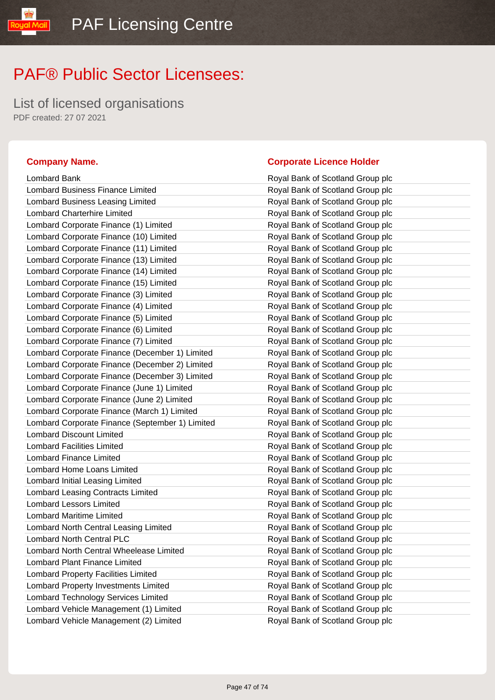List of licensed organisations PDF created: 27 07 2021

yal Mail

| Lombard Bank                                    | Royal Bank of Scotland Group plc |
|-------------------------------------------------|----------------------------------|
| <b>Lombard Business Finance Limited</b>         | Royal Bank of Scotland Group plc |
| Lombard Business Leasing Limited                | Royal Bank of Scotland Group plc |
| <b>Lombard Charterhire Limited</b>              | Royal Bank of Scotland Group plc |
| Lombard Corporate Finance (1) Limited           | Royal Bank of Scotland Group plc |
| Lombard Corporate Finance (10) Limited          | Royal Bank of Scotland Group plc |
| Lombard Corporate Finance (11) Limited          | Royal Bank of Scotland Group plc |
| Lombard Corporate Finance (13) Limited          | Royal Bank of Scotland Group plc |
| Lombard Corporate Finance (14) Limited          | Royal Bank of Scotland Group plc |
| Lombard Corporate Finance (15) Limited          | Royal Bank of Scotland Group plc |
| Lombard Corporate Finance (3) Limited           | Royal Bank of Scotland Group plc |
| Lombard Corporate Finance (4) Limited           | Royal Bank of Scotland Group plc |
| Lombard Corporate Finance (5) Limited           | Royal Bank of Scotland Group plc |
| Lombard Corporate Finance (6) Limited           | Royal Bank of Scotland Group plc |
| Lombard Corporate Finance (7) Limited           | Royal Bank of Scotland Group plc |
| Lombard Corporate Finance (December 1) Limited  | Royal Bank of Scotland Group plc |
| Lombard Corporate Finance (December 2) Limited  | Royal Bank of Scotland Group plc |
| Lombard Corporate Finance (December 3) Limited  | Royal Bank of Scotland Group plc |
| Lombard Corporate Finance (June 1) Limited      | Royal Bank of Scotland Group plc |
| Lombard Corporate Finance (June 2) Limited      | Royal Bank of Scotland Group plc |
| Lombard Corporate Finance (March 1) Limited     | Royal Bank of Scotland Group plc |
| Lombard Corporate Finance (September 1) Limited | Royal Bank of Scotland Group plc |
| <b>Lombard Discount Limited</b>                 | Royal Bank of Scotland Group plc |
| <b>Lombard Facilities Limited</b>               | Royal Bank of Scotland Group plc |
| <b>Lombard Finance Limited</b>                  | Royal Bank of Scotland Group plc |
| Lombard Home Loans Limited                      | Royal Bank of Scotland Group plc |
| Lombard Initial Leasing Limited                 | Royal Bank of Scotland Group plc |
| Lombard Leasing Contracts Limited               | Royal Bank of Scotland Group plc |
| <b>Lombard Lessors Limited</b>                  | Royal Bank of Scotland Group plc |
| <b>Lombard Maritime Limited</b>                 | Royal Bank of Scotland Group plc |
| Lombard North Central Leasing Limited           | Royal Bank of Scotland Group plc |
| Lombard North Central PLC                       | Royal Bank of Scotland Group plc |
| Lombard North Central Wheelease Limited         | Royal Bank of Scotland Group plc |
| <b>Lombard Plant Finance Limited</b>            | Royal Bank of Scotland Group plc |
| <b>Lombard Property Facilities Limited</b>      | Royal Bank of Scotland Group plc |
| Lombard Property Investments Limited            | Royal Bank of Scotland Group plc |
| Lombard Technology Services Limited             | Royal Bank of Scotland Group plc |
| Lombard Vehicle Management (1) Limited          | Royal Bank of Scotland Group plc |
| Lombard Vehicle Management (2) Limited          | Royal Bank of Scotland Group plc |

#### **Company Name. Company Name. Company Name. Company Name. Company Name. Company Name. Company Name. Company Name. Company Name. Company Name. Company Name. Company Name. Company Name. Company Name.**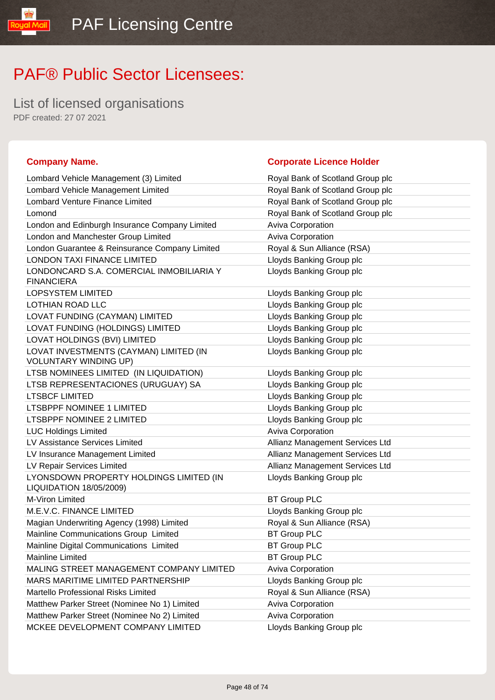List of licensed organisations PDF created: 27 07 2021

**TipM** louos

| Lombard Vehicle Management (3) Limited                                    | Royal Bank of Scotland Group plc |
|---------------------------------------------------------------------------|----------------------------------|
| Lombard Vehicle Management Limited                                        | Royal Bank of Scotland Group plc |
| Lombard Venture Finance Limited                                           | Royal Bank of Scotland Group plc |
| Lomond                                                                    | Royal Bank of Scotland Group plc |
| London and Edinburgh Insurance Company Limited                            | Aviva Corporation                |
| London and Manchester Group Limited                                       | Aviva Corporation                |
| London Guarantee & Reinsurance Company Limited                            | Royal & Sun Alliance (RSA)       |
| <b>LONDON TAXI FINANCE LIMITED</b>                                        | Lloyds Banking Group plc         |
| LONDONCARD S.A. COMERCIAL INMOBILIARIA Y<br><b>FINANCIERA</b>             | Lloyds Banking Group plc         |
| <b>LOPSYSTEM LIMITED</b>                                                  | Lloyds Banking Group plc         |
| LOTHIAN ROAD LLC                                                          | Lloyds Banking Group plc         |
| LOVAT FUNDING (CAYMAN) LIMITED                                            | Lloyds Banking Group plc         |
| LOVAT FUNDING (HOLDINGS) LIMITED                                          | Lloyds Banking Group plc         |
| LOVAT HOLDINGS (BVI) LIMITED                                              | Lloyds Banking Group plc         |
| LOVAT INVESTMENTS (CAYMAN) LIMITED (IN<br><b>VOLUNTARY WINDING UP)</b>    | Lloyds Banking Group plc         |
| LTSB NOMINEES LIMITED (IN LIQUIDATION)                                    | Lloyds Banking Group plc         |
| LTSB REPRESENTACIONES (URUGUAY) SA                                        | Lloyds Banking Group plc         |
| <b>LTSBCF LIMITED</b>                                                     | Lloyds Banking Group plc         |
| <b>LTSBPPF NOMINEE 1 LIMITED</b>                                          | Lloyds Banking Group plc         |
| LTSBPPF NOMINEE 2 LIMITED                                                 | Lloyds Banking Group plc         |
| <b>LUC Holdings Limited</b>                                               | <b>Aviva Corporation</b>         |
| LV Assistance Services Limited                                            | Allianz Management Services Ltd  |
| LV Insurance Management Limited                                           | Allianz Management Services Ltd  |
| LV Repair Services Limited                                                | Allianz Management Services Ltd  |
| LYONSDOWN PROPERTY HOLDINGS LIMITED (IN<br><b>LIQUIDATION 18/05/2009)</b> | Lloyds Banking Group plc         |
| M-Viron Limited                                                           | <b>BT Group PLC</b>              |
| M.E.V.C. FINANCE LIMITED                                                  | Lloyds Banking Group plc         |
| Magian Underwriting Agency (1998) Limited                                 | Royal & Sun Alliance (RSA)       |
| Mainline Communications Group Limited                                     | <b>BT Group PLC</b>              |
| Mainline Digital Communications Limited                                   | <b>BT Group PLC</b>              |
| Mainline Limited                                                          | <b>BT Group PLC</b>              |
| MALING STREET MANAGEMENT COMPANY LIMITED                                  | <b>Aviva Corporation</b>         |
| MARS MARITIME LIMITED PARTNERSHIP                                         | Lloyds Banking Group plc         |
| Martello Professional Risks Limited                                       | Royal & Sun Alliance (RSA)       |
| Matthew Parker Street (Nominee No 1) Limited                              | <b>Aviva Corporation</b>         |
| Matthew Parker Street (Nominee No 2) Limited                              | Aviva Corporation                |
| MCKEE DEVELOPMENT COMPANY LIMITED                                         | Lloyds Banking Group plc         |

#### **Company Name. Company Name. Company Name. Company Name. Company Name. Company Name. Company Name. Company Name. Company Name. Company Name. Company Name. Company Name. Company Name. Company Name.**

| Royal Bank of Scotland Group plc |
|----------------------------------|
| Royal Bank of Scotland Group plc |
| Royal Bank of Scotland Group plc |
| Royal Bank of Scotland Group plc |
| <b>Aviva Corporation</b>         |
| <b>Aviva Corporation</b>         |
| Royal & Sun Alliance (RSA)       |
| Lloyds Banking Group plc         |
| Lloyds Banking Group plc         |
| Lloyds Banking Group plc         |
| Lloyds Banking Group plc         |
| Lloyds Banking Group plc         |
| Lloyds Banking Group plc         |
| Lloyds Banking Group plc         |
| Lloyds Banking Group plc         |
| Lloyds Banking Group plc         |
| Lloyds Banking Group plc         |
| Lloyds Banking Group plc         |
| Lloyds Banking Group plc         |
| Lloyds Banking Group plc         |
| <b>Aviva Corporation</b>         |
| Allianz Management Services Ltd  |
| Allianz Management Services Ltd  |
| Allianz Management Services Ltd  |
| Lloyds Banking Group plc         |
| <b>BT Group PLC</b>              |
| Lloyds Banking Group plc         |
| Royal & Sun Alliance (RSA)       |
| <b>BT Group PLC</b>              |
| <b>BT Group PLC</b>              |
| <b>BT Group PLC</b>              |
| Aviva Corporation                |
| Lloyds Banking Group plc         |
| Royal & Sun Alliance (RSA)       |
| <b>Aviva Corporation</b>         |
| Aviva Corporation                |
|                                  |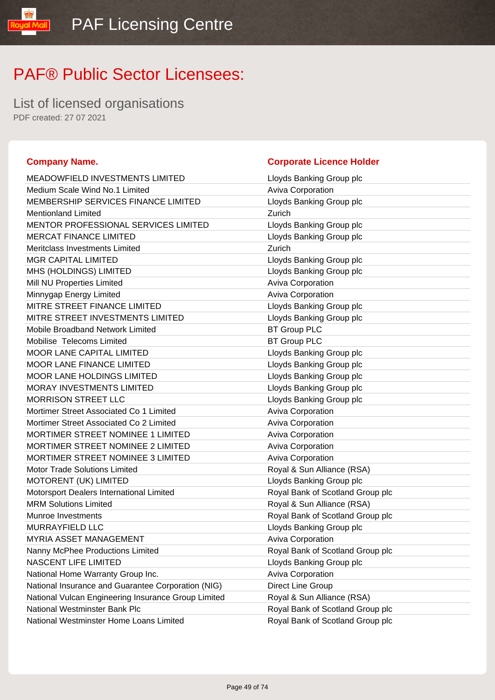List of licensed organisations PDF created: 27 07 2021

yal Mail

| <b>MEADOWFIELD INVESTMENTS LIMITED</b>              | Lloyds Banking Group plc         |
|-----------------------------------------------------|----------------------------------|
| Medium Scale Wind No.1 Limited                      | Aviva Corporation                |
| MEMBERSHIP SERVICES FINANCE LIMITED                 | Lloyds Banking Group plc         |
| <b>Mentionland Limited</b>                          | Zurich                           |
| <b>MENTOR PROFESSIONAL SERVICES LIMITED</b>         | Lloyds Banking Group plc         |
| <b>MERCAT FINANCE LIMITED</b>                       | Lloyds Banking Group plc         |
| Meritclass Investments Limited                      | Zurich                           |
| <b>MGR CAPITAL LIMITED</b>                          | Lloyds Banking Group plc         |
| MHS (HOLDINGS) LIMITED                              | Lloyds Banking Group plc         |
| Mill NU Properties Limited                          | Aviva Corporation                |
| Minnygap Energy Limited                             | Aviva Corporation                |
| MITRE STREET FINANCE LIMITED                        | Lloyds Banking Group plc         |
| MITRE STREET INVESTMENTS LIMITED                    | Lloyds Banking Group plc         |
| Mobile Broadband Network Limited                    | <b>BT Group PLC</b>              |
| Mobilise Telecoms Limited                           | <b>BT Group PLC</b>              |
| <b>MOOR LANE CAPITAL LIMITED</b>                    | Lloyds Banking Group plc         |
| <b>MOOR LANE FINANCE LIMITED</b>                    | Lloyds Banking Group plc         |
| <b>MOOR LANE HOLDINGS LIMITED</b>                   | Lloyds Banking Group plc         |
| MORAY INVESTMENTS LIMITED                           | Lloyds Banking Group plc         |
| <b>MORRISON STREET LLC</b>                          | Lloyds Banking Group plc         |
| Mortimer Street Associated Co 1 Limited             | Aviva Corporation                |
| Mortimer Street Associated Co 2 Limited             | Aviva Corporation                |
| <b>MORTIMER STREET NOMINEE 1 LIMITED</b>            | Aviva Corporation                |
| MORTIMER STREET NOMINEE 2 LIMITED                   | Aviva Corporation                |
| MORTIMER STREET NOMINEE 3 LIMITED                   | Aviva Corporation                |
| <b>Motor Trade Solutions Limited</b>                | Royal & Sun Alliance (RSA)       |
| MOTORENT (UK) LIMITED                               | Lloyds Banking Group plc         |
| Motorsport Dealers International Limited            | Royal Bank of Scotland Group plc |
| <b>MRM Solutions Limited</b>                        | Royal & Sun Alliance (RSA)       |
| Munroe Investments                                  | Royal Bank of Scotland Group plc |
| MURRAYFIELD LLC                                     | Lloyds Banking Group plc         |
| <b>MYRIA ASSET MANAGEMENT</b>                       | Aviva Corporation                |
| Nanny McPhee Productions Limited                    | Royal Bank of Scotland Group plo |
| NASCENT LIFE LIMITED                                | Lloyds Banking Group plc         |
| National Home Warranty Group Inc.                   | <b>Aviva Corporation</b>         |
| National Insurance and Guarantee Corporation (NIG)  | Direct Line Group                |
| National Vulcan Engineering Insurance Group Limited | Royal & Sun Alliance (RSA)       |
| National Westminster Bank Plc                       | Royal Bank of Scotland Group plc |
| National Westminster Home Loans Limited             | Roval Bank of Scotland Group plo |

#### **Company Name. Company Name. Company Name. Company Name. Company Name. Company Name. Company Name. Company Name. Company Name. Company Name. Company Name. Company Name. Company Name. Company Name.**

| MEADOWFIELD INVESTMENTS LIMITED                     | Lloyds Banking Group plc         |
|-----------------------------------------------------|----------------------------------|
| Medium Scale Wind No.1 Limited                      | <b>Aviva Corporation</b>         |
| MEMBERSHIP SERVICES FINANCE LIMITED                 | Lloyds Banking Group plc         |
| <b>Mentionland Limited</b>                          | Zurich                           |
| MENTOR PROFESSIONAL SERVICES LIMITED                | Lloyds Banking Group plc         |
| <b>MERCAT FINANCE LIMITED</b>                       | Lloyds Banking Group plc         |
| Meritclass Investments Limited                      | Zurich                           |
| MGR CAPITAL LIMITED                                 | Lloyds Banking Group plc         |
| MHS (HOLDINGS) LIMITED                              | Lloyds Banking Group plc         |
| Mill NU Properties Limited                          | Aviva Corporation                |
| Minnygap Energy Limited                             | Aviva Corporation                |
| MITRE STREET FINANCE LIMITED                        | Lloyds Banking Group plc         |
| MITRE STREET INVESTMENTS LIMITED                    | Lloyds Banking Group plc         |
| <b>Mobile Broadband Network Limited</b>             | <b>BT Group PLC</b>              |
| Mobilise Telecoms Limited                           | <b>BT Group PLC</b>              |
| <b>MOOR LANE CAPITAL LIMITED</b>                    | Lloyds Banking Group plc         |
| MOOR LANE FINANCE LIMITED                           | Lloyds Banking Group plc         |
| <b>MOOR LANE HOLDINGS LIMITED</b>                   | Lloyds Banking Group plc         |
| MORAY INVESTMENTS LIMITED                           | Lloyds Banking Group plc         |
| <b>MORRISON STREET LLC</b>                          | Lloyds Banking Group plc         |
| Mortimer Street Associated Co 1 Limited             | Aviva Corporation                |
| Mortimer Street Associated Co 2 Limited             | Aviva Corporation                |
| MORTIMER STREET NOMINEE 1 LIMITED                   | <b>Aviva Corporation</b>         |
| MORTIMER STREET NOMINEE 2 LIMITED                   | Aviva Corporation                |
| MORTIMER STREET NOMINEE 3 LIMITED                   | <b>Aviva Corporation</b>         |
| <b>Motor Trade Solutions Limited</b>                | Royal & Sun Alliance (RSA)       |
| <b>MOTORENT (UK) LIMITED</b>                        | Lloyds Banking Group plc         |
| Motorsport Dealers International Limited            | Royal Bank of Scotland Group plc |
| <b>MRM Solutions Limited</b>                        | Royal & Sun Alliance (RSA)       |
| Munroe Investments                                  | Royal Bank of Scotland Group plc |
| MURRAYFIELD LLC                                     | Lloyds Banking Group plc         |
| MYRIA ASSET MANAGEMENT                              | <b>Aviva Corporation</b>         |
| Nanny McPhee Productions Limited                    | Royal Bank of Scotland Group plc |
| NASCENT LIFE LIMITED                                | Lloyds Banking Group plc         |
| National Home Warranty Group Inc.                   | <b>Aviva Corporation</b>         |
| National Insurance and Guarantee Corporation (NIG)  | Direct Line Group                |
| National Vulcan Engineering Insurance Group Limited | Royal & Sun Alliance (RSA)       |
| National Westminster Bank Plc                       | Royal Bank of Scotland Group plc |
| National Westminster Home Loans Limited             | Royal Bank of Scotland Group plc |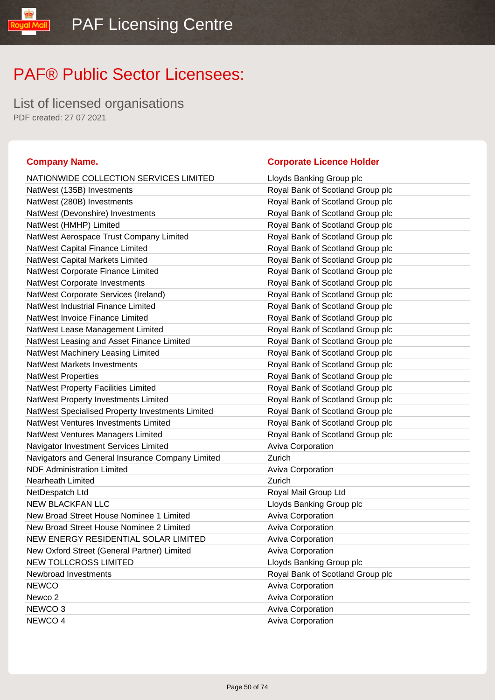List of licensed organisations PDF created: 27 07 2021

#### **Company Name. Corporate Licence Holder** NATIONWIDE COLLECTION SERVICES LIMITED Lloyds Banking Group plc NatWest (135B) Investments **Royal Bank of Scotland Group plc** NatWest (280B) Investments **Royal Bank of Scotland Group plc** NatWest (Devonshire) Investments Royal Bank of Scotland Group plc NatWest (HMHP) Limited **Royal Bank of Scotland Group plc** NatWest Aerospace Trust Company Limited Royal Bank of Scotland Group plc NatWest Capital Finance Limited **Royal Bank of Scotland Group plc** NatWest Capital Markets Limited **Royal Bank of Scotland Group plc** NatWest Corporate Finance Limited **Royal Bank of Scotland Group plc** NatWest Corporate Investments **Royal Bank of Scotland Group plc** NatWest Corporate Services (Ireland) Royal Bank of Scotland Group plc NatWest Industrial Finance Limited **Royal Bank of Scotland Group plc** NatWest Invoice Finance Limited **Royal Bank of Scotland Group plc** NatWest Lease Management Limited **Royal Bank of Scotland Group plc** NatWest Leasing and Asset Finance Limited **Royal Bank of Scotland Group plc** NatWest Machinery Leasing Limited **Royal Bank of Scotland Group plc** NatWest Markets Investments **Royal Bank of Scotland Group plc** Royal Bank of Scotland Group plc NatWest Properties **NatWest Properties** Royal Bank of Scotland Group plc NatWest Property Facilities Limited **Royal Bank of Scotland Group plc** NatWest Property Investments Limited **Royal Bank of Scotland Group plc** NatWest Specialised Property Investments Limited Royal Bank of Scotland Group plc NatWest Ventures Investments Limited **Royal Bank of Scotland Group plc** NatWest Ventures Managers Limited **Royal Bank of Scotland Group plc** Navigator Investment Services Limited **Aviva Corporation** Navigators and General Insurance Company Limited Zurich NDF Administration Limited **Aviva Corporation** Aviva Corporation Nearheath Limited **Nearheath** Limited NetDespatch Ltd **Royal Mail Group Ltd** NEW BLACKFAN LLC **NEW BLACKFAN LLO** New Broad Street House Nominee 1 Limited Aviva Corporation New Broad Street House Nominee 2 Limited Aviva Corporation NEW ENERGY RESIDENTIAL SOLAR LIMITED Aviva Corporation New Oxford Street (General Partner) Limited Aviva Corporation NEW TOLLCROSS LIMITED **Limitation** Lloyds Banking Group plc Newbroad Investments Royal Bank of Scotland Group plc NEWCO **Aviva Corporation** Newco 2 **Aviva Corporation** NEWCO 3 Aviva Corporation **Aviva Corporation** NEWCO 4 Aviva Corporation **Aviva** Corporation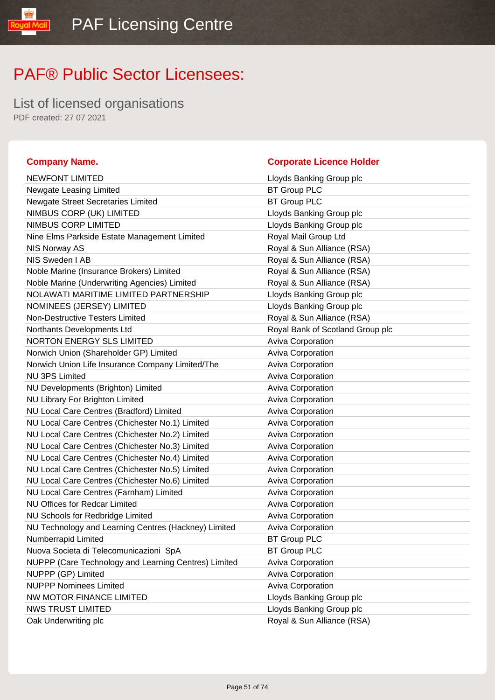List of licensed organisations PDF created: 27 07 2021

#### **Company Name. Corporate Licence Holder** NEWFONT LIMITED **Limits Contains the United States of Containing Contains Contains Contains Contains Contains Contains Contains Contains Contains Contains Contains Contains Contains Contains Contains Contains Contains Cont** Newgate Leasing Limited BT Group PLC Newgate Street Secretaries Limited BT Group PLC NIMBUS CORP (UK) LIMITED Loyds Banking Group plc NIMBUS CORP LIMITED Lloyds Banking Group plc Nine Elms Parkside Estate Management Limited Royal Mail Group Ltd NIS Norway AS **Royal & Sun Alliance (RSA)** NIS Sweden I AB **Royal & Sun Alliance (RSA)** Noble Marine (Insurance Brokers) Limited Royal & Sun Alliance (RSA) Noble Marine (Underwriting Agencies) Limited Royal & Sun Alliance (RSA) NOLAWATI MARITIME LIMITED PARTNERSHIP Lloyds Banking Group plc NOMINEES (JERSEY) LIMITED LIMITED Lloyds Banking Group plc Non-Destructive Testers Limited **Royal & Sun Alliance (RSA)** Northants Developments Ltd **Royal Bank of Scotland Group plc** NORTON ENERGY SLS LIMITED Aviva Corporation Norwich Union (Shareholder GP) Limited Aviva Corporation Norwich Union Life Insurance Company Limited/The Aviva Corporation NU 3PS Limited Aviva Corporation NU Developments (Brighton) Limited Aviva Corporation NU Library For Brighton Limited Aviva Corporation NU Local Care Centres (Bradford) Limited Aviva Corporation NU Local Care Centres (Chichester No.1) Limited Aviva Corporation NU Local Care Centres (Chichester No.2) Limited Aviva Corporation NU Local Care Centres (Chichester No.3) Limited Aviva Corporation NU Local Care Centres (Chichester No.4) Limited Aviva Corporation NU Local Care Centres (Chichester No.5) Limited Aviva Corporation NU Local Care Centres (Chichester No.6) Limited Aviva Corporation NU Local Care Centres (Farnham) Limited Aviva Corporation NU Offices for Redcar Limited **Aviva Corporation** Aviva Corporation NU Schools for Redbridge Limited **Aviva Corporation** Aviva Corporation NU Technology and Learning Centres (Hackney) Limited Aviva Corporation Numberrapid Limited **BT Group PLC** Nuova Societa di Telecomunicazioni SpA BT Group PLC NUPPP (Care Technology and Learning Centres) Limited Aviva Corporation NUPPP (GP) Limited Aviva Corporation Aviva Corporation NUPPP Nominees Limited Aviva Corporation Aviva Corporation NW MOTOR FINANCE LIMITED Law and the University Channel Lloyds Banking Group plc NWS TRUST LIMITED **Research Control Control** Lloyds Banking Group plc Oak Underwriting plc **Community** Community Royal & Sun Alliance (RSA)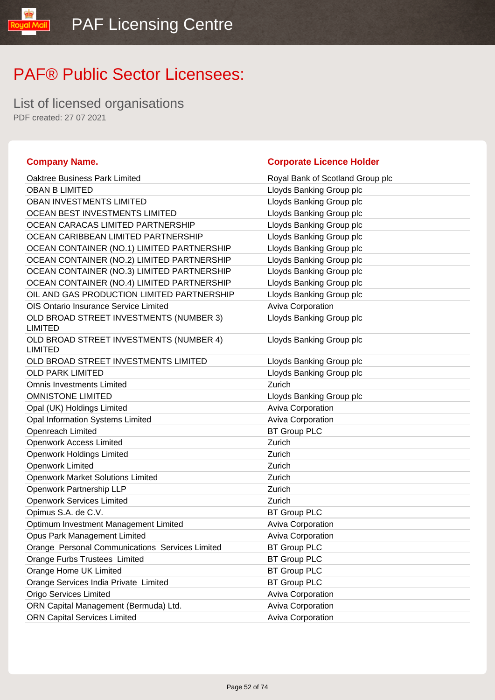List of licensed organisations PDF created: 27 07 2021

#### **Company Name. Corporate Licence Holder** Oaktree Business Park Limited Royal Bank of Scotland Group plc OBAN B LIMITED **Let us a later of the USAN B LIMITED** Lloyds Banking Group plc OBAN INVESTMENTS LIMITED LATER LATER LIMITED LOYDIS Banking Group plc OCEAN BEST INVESTMENTS LIMITED Law Lloyds Banking Group plc OCEAN CARACAS LIMITED PARTNERSHIP Lloyds Banking Group plc OCEAN CARIBBEAN LIMITED PARTNERSHIP Lloyds Banking Group plc OCEAN CONTAINER (NO.1) LIMITED PARTNERSHIP Lloyds Banking Group plc OCEAN CONTAINER (NO.2) LIMITED PARTNERSHIP Lloyds Banking Group plc OCEAN CONTAINER (NO.3) LIMITED PARTNERSHIP Lloyds Banking Group plc OCEAN CONTAINER (NO.4) LIMITED PARTNERSHIP Lloyds Banking Group plc OIL AND GAS PRODUCTION LIMITED PARTNERSHIP Lloyds Banking Group plc OIS Ontario Insurance Service Limited **Aviva Corporation** Aviva Corporation OLD BROAD STREET INVESTMENTS (NUMBER 3) LIMITED Lloyds Banking Group plc OLD BROAD STREET INVESTMENTS (NUMBER 4) LIMITED Lloyds Banking Group plc OLD BROAD STREET INVESTMENTS LIMITED Lloyds Banking Group plc OLD PARK LIMITED **Let us a control of the COLD** PARK LIMITED Omnis Investments Limited Zurich OMNISTONE LIMITED **COMING A CONSTRUCT COMMISTONE LIMITED** Opal (UK) Holdings Limited Aviva Corporation Aviva Corporation Opal Information Systems Limited **Aviva Corporation** Aviva Corporation Openreach Limited BT Group PLC Openwork Access Limited **Zurich Zurich** Openwork Holdings Limited **Zurich Zurich** Openwork Limited **Zurich Zurich** Openwork Market Solutions Limited **Zurich** Zurich Openwork Partnership LLP Zurich Openwork Services Limited **Zurich Zurich** Opimus S.A. de C.V. BT Group PLC Optimum Investment Management Limited **Aviva Corporation** Aviva Corporation Opus Park Management Limited Aviva Corporation Orange Personal Communications Services Limited BT Group PLC Orange Furbs Trustees Limited BT Group PLC Orange Home UK Limited **BT Group PLC** Orange Services India Private Limited BT Group PLC Origo Services Limited **Aviva Corporation** Aviva Corporation ORN Capital Management (Bermuda) Ltd. Aviva Corporation Aviva Corporation ORN Capital Services Limited **Aviva Corporation** Aviva Corporation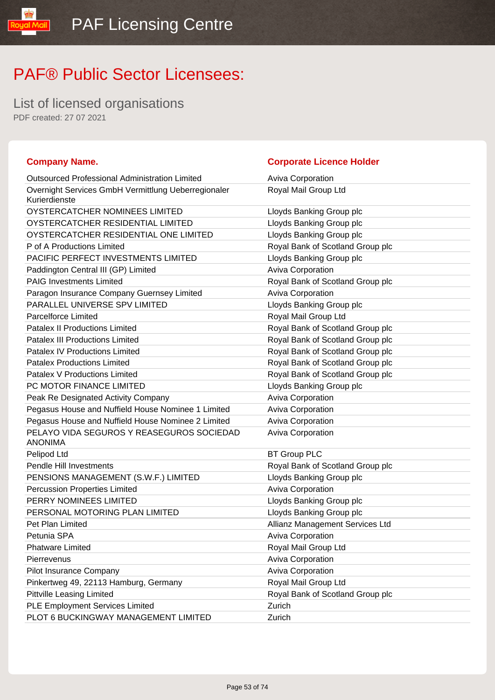List of licensed organisations PDF created: 27 07 2021

| <b>Company Name.</b>                                                 | <b>Corporate Licence Holder</b>  |
|----------------------------------------------------------------------|----------------------------------|
| <b>Outsourced Professional Administration Limited</b>                | Aviva Corporation                |
| Overnight Services GmbH Vermittlung Ueberregionaler<br>Kurierdienste | Royal Mail Group Ltd             |
| OYSTERCATCHER NOMINEES LIMITED                                       | Lloyds Banking Group plc         |
| OYSTERCATCHER RESIDENTIAL LIMITED                                    | Lloyds Banking Group plc         |
| OYSTERCATCHER RESIDENTIAL ONE LIMITED                                | Lloyds Banking Group plc         |
| P of A Productions Limited                                           | Royal Bank of Scotland Group plc |
| PACIFIC PERFECT INVESTMENTS LIMITED                                  | Lloyds Banking Group plc         |
| Paddington Central III (GP) Limited                                  | Aviva Corporation                |
| <b>PAIG Investments Limited</b>                                      | Royal Bank of Scotland Group plc |
| Paragon Insurance Company Guernsey Limited                           | <b>Aviva Corporation</b>         |
| PARALLEL UNIVERSE SPV LIMITED                                        | Lloyds Banking Group plc         |
| <b>Parcelforce Limited</b>                                           | Royal Mail Group Ltd             |
| <b>Patalex II Productions Limited</b>                                | Royal Bank of Scotland Group plc |
| <b>Patalex III Productions Limited</b>                               | Royal Bank of Scotland Group plc |
| <b>Patalex IV Productions Limited</b>                                | Royal Bank of Scotland Group plc |
| <b>Patalex Productions Limited</b>                                   | Royal Bank of Scotland Group plc |
| Patalex V Productions Limited                                        | Royal Bank of Scotland Group plc |
| PC MOTOR FINANCE LIMITED                                             | Lloyds Banking Group plc         |
| Peak Re Designated Activity Company                                  | Aviva Corporation                |
| Pegasus House and Nuffield House Nominee 1 Limited                   | Aviva Corporation                |
| Pegasus House and Nuffield House Nominee 2 Limited                   | Aviva Corporation                |
| PELAYO VIDA SEGUROS Y REASEGUROS SOCIEDAD<br><b>ANONIMA</b>          | <b>Aviva Corporation</b>         |
| Pelipod Ltd                                                          | <b>BT Group PLC</b>              |
| Pendle Hill Investments                                              | Royal Bank of Scotland Group plc |
| PENSIONS MANAGEMENT (S.W.F.) LIMITED                                 | Lloyds Banking Group plc         |
| <b>Percussion Properties Limited</b>                                 | Aviva Corporation                |
| PERRY NOMINEES LIMITED                                               | Lloyds Banking Group plc         |
| PERSONAL MOTORING PLAN LIMITED                                       | Lloyds Banking Group plc         |
| Pet Plan Limited                                                     | Allianz Management Services Ltd  |
| Petunia SPA                                                          | <b>Aviva Corporation</b>         |
| <b>Phatware Limited</b>                                              | Royal Mail Group Ltd             |
| Pierrevenus                                                          | Aviva Corporation                |
| Pilot Insurance Company                                              | Aviva Corporation                |
| Pinkertweg 49, 22113 Hamburg, Germany                                | Royal Mail Group Ltd             |
| <b>Pittville Leasing Limited</b>                                     | Royal Bank of Scotland Group plc |
| PLE Employment Services Limited                                      | Zurich                           |
| PLOT 6 BUCKINGWAY MANAGEMENT LIMITED                                 | Zurich                           |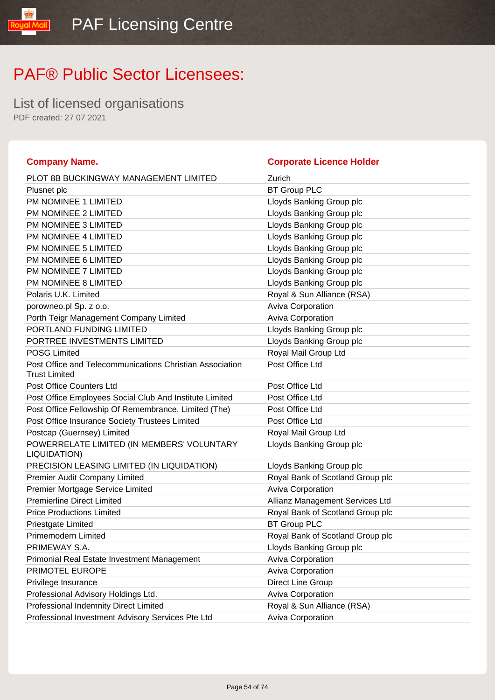List of licensed organisations PDF created: 27 07 2021

#### **Company Name. Corporate Licence Holder** PLOT 8B BUCKINGWAY MANAGEMENT LIMITED Zurich Plusnet plc BT Group PLC PM NOMINEE 1 LIMITED **Example 2** Lloyds Banking Group plc PM NOMINEE 2 LIMITED Lloyds Banking Group plc PM NOMINEE 3 LIMITED Lloyds Banking Group plc PM NOMINEE 4 LIMITED **EXAMPLE A LIMITED** Lloyds Banking Group plc PM NOMINEE 5 LIMITED **Example 2** Limit Control and Lloyds Banking Group plc PM NOMINEE 6 LIMITED **Example 2** Lloyds Banking Group plc PM NOMINEE 7 LIMITED **EXAMPLE 1 2 LIMITED** Lloyds Banking Group plc PM NOMINEE 8 LIMITED **EXAMPLE 1** Lloyds Banking Group plc Polaris U.K. Limited **Royal & Sun Alliance (RSA)** porowneo.pl Sp. z o.o. **Aviva Corporation Aviva Corporation** Porth Teigr Management Company Limited Aviva Corporation PORTLAND FUNDING LIMITED LIMITED LIDYD LOYDS Banking Group plc PORTREE INVESTMENTS LIMITED Later and the University Cross Panking Group plc POSG Limited **Royal Mail Group Ltd** Royal Mail Group Ltd Post Office and Telecommunications Christian Association Trust Limited Post Office Ltd Post Office Counters Ltd **Post Office Ltd** Post Office Employees Social Club And Institute Limited Post Office Ltd Post Office Fellowship Of Remembrance, Limited (The) Post Office Ltd Post Office Insurance Society Trustees Limited Post Office Ltd Postcap (Guernsey) Limited **Royal Mail Group Ltd** Royal Mail Group Ltd POWERRELATE LIMITED (IN MEMBERS' VOLUNTARY LIQUIDATION) Lloyds Banking Group plc PRECISION LEASING LIMITED (IN LIQUIDATION) Lloyds Banking Group plc Premier Audit Company Limited Royal Bank of Scotland Group plc Premier Mortgage Service Limited **Aviva Corporation** Aviva Corporation Premierline Direct Limited Allianz Management Services Ltd Price Productions Limited **Royal Bank of Scotland Group plc** Priestgate Limited **BT Group PLC** Primemodern Limited Royal Bank of Scotland Group plc PRIMEWAY S.A. **Lloyds Banking Group plc** Primonial Real Estate Investment Management Management Aviva Corporation **PRIMOTEL EUROPE Aviva Corporation Aviva Corporation** Privilege Insurance **Direct Line Group** Professional Advisory Holdings Ltd. **Aviva Corporation** Aviva Corporation Professional Indemnity Direct Limited Royal & Sun Alliance (RSA) Professional Investment Advisory Services Pte Ltd Aviva Corporation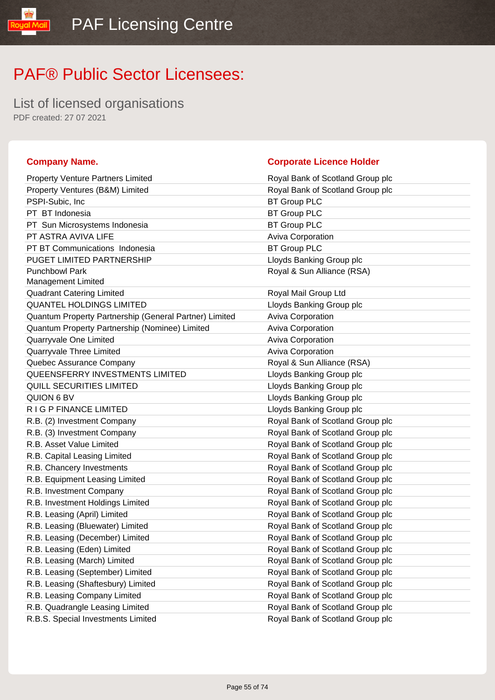List of licensed organisations PDF created: 27 07 2021

yal Mail

| <b>Property Venture Partners Limited</b>               | Royal Bank of Scotland Group plc |
|--------------------------------------------------------|----------------------------------|
| Property Ventures (B&M) Limited                        | Royal Bank of Scotland Group plc |
| PSPI-Subic, Inc.                                       | <b>BT Group PLC</b>              |
| PT BT Indonesia                                        | <b>BT Group PLC</b>              |
| PT Sun Microsystems Indonesia                          | <b>BT Group PLC</b>              |
| PT ASTRA AVIVA LIFE                                    | Aviva Corporation                |
| PT BT Communications Indonesia                         | <b>BT Group PLC</b>              |
| <b>PUGET LIMITED PARTNERSHIP</b>                       | Lloyds Banking Group plc         |
| <b>Punchbowl Park</b><br><b>Management Limited</b>     | Royal & Sun Alliance (RSA)       |
| <b>Quadrant Catering Limited</b>                       | Royal Mail Group Ltd             |
| <b>QUANTEL HOLDINGS LIMITED</b>                        | Lloyds Banking Group plc         |
| Quantum Property Partnership (General Partner) Limited | <b>Aviva Corporation</b>         |
| Quantum Property Partnership (Nominee) Limited         | Aviva Corporation                |
| Quarryvale One Limited                                 | Aviva Corporation                |
| Quarryvale Three Limited                               | Aviva Corporation                |
| Quebec Assurance Company                               | Royal & Sun Alliance (RSA)       |
| QUEENSFERRY INVESTMENTS LIMITED                        | Lloyds Banking Group plc         |
| <b>QUILL SECURITIES LIMITED</b>                        | Lloyds Banking Group plc         |
| QUION 6 BV                                             | Lloyds Banking Group plc         |
| R I G P FINANCE LIMITED                                | Lloyds Banking Group plc         |
| R.B. (2) Investment Company                            | Royal Bank of Scotland Group plc |
| R.B. (3) Investment Company                            | Royal Bank of Scotland Group plc |
| R.B. Asset Value Limited                               | Royal Bank of Scotland Group plc |
| R.B. Capital Leasing Limited                           | Royal Bank of Scotland Group plc |
| R.B. Chancery Investments                              | Royal Bank of Scotland Group plc |
| R.B. Equipment Leasing Limited                         | Royal Bank of Scotland Group plc |
| R.B. Investment Company                                | Royal Bank of Scotland Group plc |
| R.B. Investment Holdings Limited                       | Royal Bank of Scotland Group plc |
| R.B. Leasing (April) Limited                           | Royal Bank of Scotland Group plc |
| R.B. Leasing (Bluewater) Limited                       | Royal Bank of Scotland Group plc |
| R.B. Leasing (December) Limited                        | Royal Bank of Scotland Group plc |
| R.B. Leasing (Eden) Limited                            | Royal Bank of Scotland Group plc |
| R.B. Leasing (March) Limited                           | Royal Bank of Scotland Group plc |
| R.B. Leasing (September) Limited                       | Royal Bank of Scotland Group plc |
| R.B. Leasing (Shaftesbury) Limited                     | Royal Bank of Scotland Group plc |
| R.B. Leasing Company Limited                           | Royal Bank of Scotland Group plc |
| R.B. Quadrangle Leasing Limited                        | Royal Bank of Scotland Group plc |
|                                                        |                                  |

#### **Company Name. Company Name. Company Name. Company Name. Company Name. Company Name. Company Name. Company Name. Company Name. Company Name. Company Name. Company Name. Company Name. Company Name.**

| <b>Property Venture Partners Limited</b>               | Royal Bank of Scotland Group plc |
|--------------------------------------------------------|----------------------------------|
| Property Ventures (B&M) Limited                        | Royal Bank of Scotland Group plc |
| PSPI-Subic, Inc.                                       | <b>BT Group PLC</b>              |
| PT BT Indonesia                                        | <b>BT Group PLC</b>              |
| PT Sun Microsystems Indonesia                          | <b>BT Group PLC</b>              |
| PT ASTRA AVIVA LIFE                                    | Aviva Corporation                |
| PT BT Communications Indonesia                         | <b>BT Group PLC</b>              |
| PUGET LIMITED PARTNERSHIP                              | Lloyds Banking Group plc         |
| <b>Punchbowl Park</b>                                  | Royal & Sun Alliance (RSA)       |
| Management Limited                                     |                                  |
| <b>Quadrant Catering Limited</b>                       | Royal Mail Group Ltd             |
| <b>QUANTEL HOLDINGS LIMITED</b>                        | Lloyds Banking Group plc         |
| Quantum Property Partnership (General Partner) Limited | Aviva Corporation                |
| Quantum Property Partnership (Nominee) Limited         | Aviva Corporation                |
| Quarryvale One Limited                                 | Aviva Corporation                |
| Quarryvale Three Limited                               | Aviva Corporation                |
| Quebec Assurance Company                               | Royal & Sun Alliance (RSA)       |
| QUEENSFERRY INVESTMENTS LIMITED                        | Lloyds Banking Group plc         |
| QUILL SECURITIES LIMITED                               | Lloyds Banking Group plc         |
| QUION 6 BV                                             | Lloyds Banking Group plc         |
| R I G P FINANCE LIMITED                                | Lloyds Banking Group plc         |
| R.B. (2) Investment Company                            | Royal Bank of Scotland Group plc |
| R.B. (3) Investment Company                            | Royal Bank of Scotland Group plc |
| R.B. Asset Value Limited                               | Royal Bank of Scotland Group plc |
| R.B. Capital Leasing Limited                           | Royal Bank of Scotland Group plc |
| R.B. Chancery Investments                              | Royal Bank of Scotland Group plc |
| R.B. Equipment Leasing Limited                         | Royal Bank of Scotland Group plc |
| R.B. Investment Company                                | Royal Bank of Scotland Group plc |
| R.B. Investment Holdings Limited                       | Royal Bank of Scotland Group plc |
| R.B. Leasing (April) Limited                           | Royal Bank of Scotland Group plc |
| R.B. Leasing (Bluewater) Limited                       | Royal Bank of Scotland Group plc |
| R.B. Leasing (December) Limited                        | Royal Bank of Scotland Group plc |
| R.B. Leasing (Eden) Limited                            | Royal Bank of Scotland Group plc |
| R.B. Leasing (March) Limited                           | Royal Bank of Scotland Group plc |
| R.B. Leasing (September) Limited                       | Royal Bank of Scotland Group plc |
| R.B. Leasing (Shaftesbury) Limited                     | Royal Bank of Scotland Group plc |
| R.B. Leasing Company Limited                           | Royal Bank of Scotland Group plc |
| R.B. Quadrangle Leasing Limited                        | Royal Bank of Scotland Group plc |
| R.B.S. Special Investments Limited                     | Royal Bank of Scotland Group plc |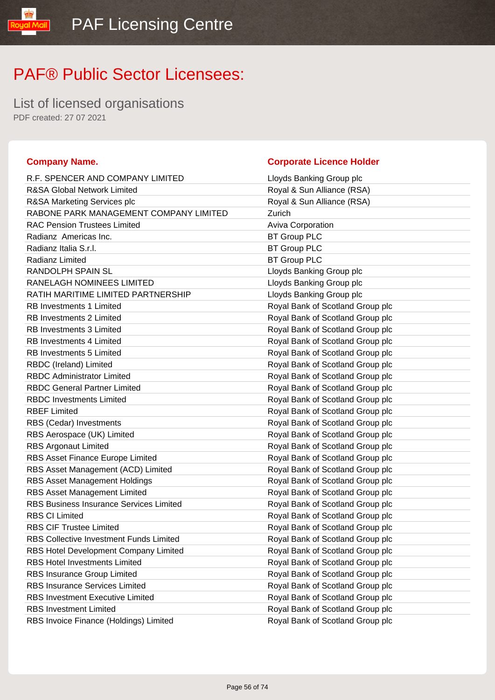List of licensed organisations PDF created: 27 07 2021

#### **Company Name. Corporate Licence Holder** R.F. SPENCER AND COMPANY LIMITED Loyds Banking Group plc R&SA Global Network Limited Royal & Sun Alliance (RSA) R&SA Marketing Services plc **Royal & Sun Alliance (RSA)** RABONE PARK MANAGEMENT COMPANY LIMITED Zurich RAC Pension Trustees Limited **Aviva Corporation** Aviva Corporation Radianz Americas Inc. **BT Group PLC** Radianz Italia S.r.l. **BT Group PLC** Radianz Limited BT Group PLC RANDOLPH SPAIN SL **RANDOLPH SPAIN SL** RANELAGH NOMINEES LIMITED LIMITED LIDYds Banking Group plc RATIH MARITIME LIMITED PARTNERSHIP Loyds Banking Group plc RB Investments 1 Limited **Royal Bank of Scotland Group plc** RB Investments 2 Limited **Royal Bank of Scotland Group plc** RB Investments 3 Limited **Royal Bank of Scotland Group plc** RB Investments 4 Limited **Royal Bank of Scotland Group plc** RB Investments 5 Limited **Royal Bank of Scotland Group plc** RBDC (Ireland) Limited **Royal Bank of Scotland Group plc** RBDC Administrator Limited Royal Bank of Scotland Group plc RBDC General Partner Limited Royal Bank of Scotland Group plc RBDC Investments Limited **Royal Bank of Scotland Group plc** RBEF Limited **Royal Bank of Scotland Group plc** RBS (Cedar) Investments **Royal Bank of Scotland Group plc** Royal Bank of Scotland Group plc RBS Aerospace (UK) Limited **Royal Bank of Scotland Group plc** Royal Bank of Scotland Group plc RBS Argonaut Limited **Royal Bank of Scotland Group plc** RBS Asset Finance Europe Limited **Royal Bank of Scotland Group plc** RBS Asset Management (ACD) Limited Royal Bank of Scotland Group plc RBS Asset Management Holdings **Royal Bank of Scotland Group plc** Royal Bank of Scotland Group plc RBS Asset Management Limited Royal Bank of Scotland Group plc RBS Business Insurance Services Limited Royal Bank of Scotland Group plc RBS CI Limited Royal Bank of Scotland Group plc RBS CIF Trustee Limited **Royal Bank of Scotland Group plc** RBS Collective Investment Funds Limited Royal Bank of Scotland Group plc RBS Hotel Development Company Limited **Royal Bank of Scotland Group plc** RBS Hotel Investments Limited **Royal Bank of Scotland Group plc** RBS Insurance Group Limited **Royal Bank of Scotland Group plc** RBS Insurance Services Limited Royal Bank of Scotland Group plc RBS Investment Executive Limited **Royal Bank of Scotland Group plc** RBS Investment Limited **Royal Bank of Scotland Group plc** RBS Invoice Finance (Holdings) Limited Royal Bank of Scotland Group plc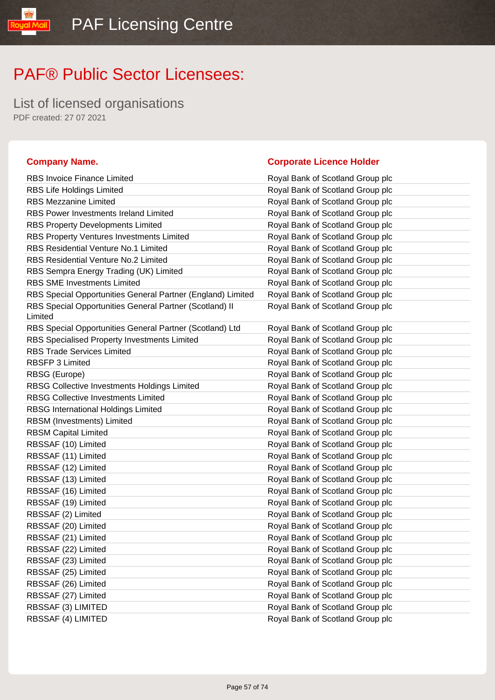List of licensed organisations PDF created: 27 07 2021

#### **Company Name. Corporate Licence Holder** RBS Invoice Finance Limited **Royal Bank of Scotland Group plc** RBS Life Holdings Limited Royal Bank of Scotland Group plc RBS Mezzanine Limited **Royal Bank of Scotland Group plc** Royal Bank of Scotland Group plc RBS Power Investments Ireland Limited Royal Bank of Scotland Group plc RBS Property Developments Limited Royal Bank of Scotland Group plc RBS Property Ventures Investments Limited **Royal Bank of Scotland Group plc** RBS Residential Venture No.1 Limited Royal Bank of Scotland Group plc RBS Residential Venture No.2 Limited Royal Bank of Scotland Group plc RBS Sempra Energy Trading (UK) Limited Royal Bank of Scotland Group plc RBS SME Investments Limited Royal Bank of Scotland Group plc RBS Special Opportunities General Partner (England) Limited Royal Bank of Scotland Group plc RBS Special Opportunities General Partner (Scotland) II Limited Royal Bank of Scotland Group plc RBS Special Opportunities General Partner (Scotland) Ltd Royal Bank of Scotland Group plc RBS Specialised Property Investments Limited Royal Bank of Scotland Group plc RBS Trade Services Limited Royal Bank of Scotland Group plc RBSFP 3 Limited Royal Bank of Scotland Group plc RBSG (Europe) **RBSG** (Europe) **Royal Bank of Scotland Group plc** RBSG Collective Investments Holdings Limited Royal Bank of Scotland Group plc RBSG Collective Investments Limited Royal Bank of Scotland Group plc RBSG International Holdings Limited **Royal Bank of Scotland Group plc** RBSM (Investments) Limited **Royal Bank of Scotland Group plc** Royal Bank of Scotland Group plc RBSM Capital Limited **RBSM Capital Limited** Royal Bank of Scotland Group plc RBSSAF (10) Limited **Royal Bank of Scotland Group plc** RBSSAF (11) Limited **Royal Bank of Scotland Group plc** RBSSAF (12) Limited **Royal Bank of Scotland Group plc** RBSSAF (13) Limited **Royal Bank of Scotland Group plc** RBSSAF (16) Limited **Royal Bank of Scotland Group plc** RBSSAF (19) Limited **Royal Bank of Scotland Group plc** RBSSAF (2) Limited **Royal Bank of Scotland Group plc** RBSSAF (20) Limited **Royal Bank of Scotland Group plc** RBSSAF (21) Limited **Royal Bank of Scotland Group plc** RBSSAF (22) Limited **Royal Bank of Scotland Group plc** RBSSAF (23) Limited **Royal Bank of Scotland Group plc** RBSSAF (25) Limited **Royal Bank of Scotland Group plc** RBSSAF (26) Limited **Royal Bank of Scotland Group plc** RBSSAF (27) Limited **Royal Bank of Scotland Group plc** RBSSAF (3) LIMITED **Royal Bank of Scotland Group plc**

RBSSAF (4) LIMITED **Royal Bank of Scotland Group plc**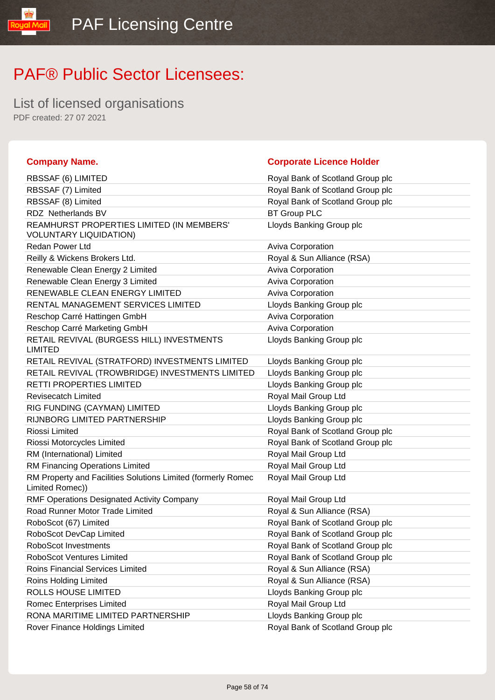List of licensed organisations PDF created: 27 07 2021

libMail

| <b>Company Name.</b>                                                            | <b>Corporate Licence Holder</b>  |
|---------------------------------------------------------------------------------|----------------------------------|
| RBSSAF (6) LIMITED                                                              | Royal Bank of Scotland Group plc |
| RBSSAF (7) Limited                                                              | Royal Bank of Scotland Group plc |
| RBSSAF (8) Limited                                                              | Royal Bank of Scotland Group plc |
| RDZ Netherlands BV                                                              | <b>BT Group PLC</b>              |
| REAMHURST PROPERTIES LIMITED (IN MEMBERS'<br><b>VOLUNTARY LIQUIDATION)</b>      | Lloyds Banking Group plc         |
| <b>Redan Power Ltd</b>                                                          | Aviva Corporation                |
| Reilly & Wickens Brokers Ltd.                                                   | Royal & Sun Alliance (RSA)       |
| Renewable Clean Energy 2 Limited                                                | Aviva Corporation                |
| Renewable Clean Energy 3 Limited                                                | Aviva Corporation                |
| RENEWABLE CLEAN ENERGY LIMITED                                                  | Aviva Corporation                |
| RENTAL MANAGEMENT SERVICES LIMITED                                              | Lloyds Banking Group plc         |
| Reschop Carré Hattingen GmbH                                                    | Aviva Corporation                |
| Reschop Carré Marketing GmbH                                                    | Aviva Corporation                |
| RETAIL REVIVAL (BURGESS HILL) INVESTMENTS<br><b>LIMITED</b>                     | Lloyds Banking Group plc         |
| RETAIL REVIVAL (STRATFORD) INVESTMENTS LIMITED                                  | Lloyds Banking Group plc         |
| RETAIL REVIVAL (TROWBRIDGE) INVESTMENTS LIMITED                                 | Lloyds Banking Group plc         |
| <b>RETTI PROPERTIES LIMITED</b>                                                 | Lloyds Banking Group plc         |
| <b>Revisecatch Limited</b>                                                      | Royal Mail Group Ltd             |
| RIG FUNDING (CAYMAN) LIMITED                                                    | Lloyds Banking Group plc         |
| RIJNBORG LIMITED PARTNERSHIP                                                    | Lloyds Banking Group plc         |
| Riossi Limited                                                                  | Royal Bank of Scotland Group plc |
| Riossi Motorcycles Limited                                                      | Royal Bank of Scotland Group plc |
| RM (International) Limited                                                      | Royal Mail Group Ltd             |
| RM Financing Operations Limited                                                 | Royal Mail Group Ltd             |
| RM Property and Facilities Solutions Limited (formerly Romec<br>Limited Romec)) | Royal Mail Group Ltd             |
| <b>RMF Operations Designated Activity Company</b>                               | Royal Mail Group Ltd             |
| Road Runner Motor Trade Limited                                                 | Royal & Sun Alliance (RSA)       |
| RoboScot (67) Limited                                                           | Royal Bank of Scotland Group plc |
| RoboScot DevCap Limited                                                         | Royal Bank of Scotland Group plc |
| RoboScot Investments                                                            | Royal Bank of Scotland Group plc |
| <b>RoboScot Ventures Limited</b>                                                | Royal Bank of Scotland Group plc |
| Roins Financial Services Limited                                                | Royal & Sun Alliance (RSA)       |
| Roins Holding Limited                                                           | Royal & Sun Alliance (RSA)       |
| ROLLS HOUSE LIMITED                                                             | Lloyds Banking Group plc         |
| Romec Enterprises Limited                                                       | Royal Mail Group Ltd             |
| RONA MARITIME LIMITED PARTNERSHIP                                               | Lloyds Banking Group plc         |
| Rover Finance Holdings Limited                                                  | Royal Bank of Scotland Group plc |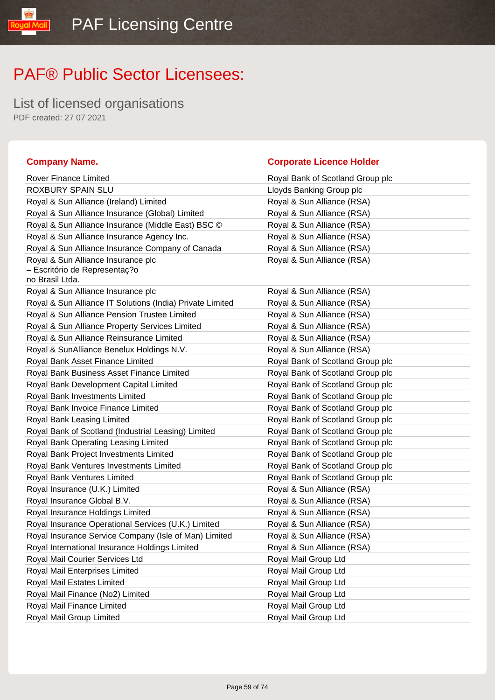List of licensed organisations PDF created: 27 07 2021

yal Mail

#### **Company Name. Company Name. Company Name. Company Name. Company Name. Company Name. Company Name. Company Name. Company Name. Company Name. Company Name. Company Name. Company Name. Company Name.**

| Rover Finance Limited                                               | Royal Bank of Scotland Group plc |
|---------------------------------------------------------------------|----------------------------------|
| ROXBURY SPAIN SLU                                                   | Lloyds Banking Group plc         |
| Royal & Sun Alliance (Ireland) Limited                              | Royal & Sun Alliance (RSA)       |
| Royal & Sun Alliance Insurance (Global) Limited                     | Royal & Sun Alliance (RSA)       |
| Royal & Sun Alliance Insurance (Middle East) BSC ©                  | Royal & Sun Alliance (RSA)       |
| Royal & Sun Alliance Insurance Agency Inc.                          | Royal & Sun Alliance (RSA)       |
| Royal & Sun Alliance Insurance Company of Canada                    | Royal & Sun Alliance (RSA)       |
| Royal & Sun Alliance Insurance plc<br>- Escritório de Representaç?o | Royal & Sun Alliance (RSA)       |
| no Brasil Ltda.                                                     |                                  |
| Royal & Sun Alliance Insurance plc                                  | Royal & Sun Alliance (RSA)       |
| Royal & Sun Alliance IT Solutions (India) Private Limited           | Royal & Sun Alliance (RSA)       |
| Royal & Sun Alliance Pension Trustee Limited                        | Royal & Sun Alliance (RSA)       |
| Royal & Sun Alliance Property Services Limited                      | Royal & Sun Alliance (RSA)       |
| Royal & Sun Alliance Reinsurance Limited                            | Royal & Sun Alliance (RSA)       |
| Royal & SunAlliance Benelux Holdings N.V.                           | Royal & Sun Alliance (RSA)       |
| Royal Bank Asset Finance Limited                                    | Royal Bank of Scotland Group plc |
| Royal Bank Business Asset Finance Limited                           | Royal Bank of Scotland Group plc |
| Royal Bank Development Capital Limited                              | Royal Bank of Scotland Group plc |
| Royal Bank Investments Limited                                      | Royal Bank of Scotland Group plc |
| Royal Bank Invoice Finance Limited                                  | Royal Bank of Scotland Group plc |
| Royal Bank Leasing Limited                                          | Royal Bank of Scotland Group plc |
| Royal Bank of Scotland (Industrial Leasing) Limited                 | Royal Bank of Scotland Group plc |
| Royal Bank Operating Leasing Limited                                | Royal Bank of Scotland Group plc |
| Royal Bank Project Investments Limited                              | Royal Bank of Scotland Group plc |
| Royal Bank Ventures Investments Limited                             | Royal Bank of Scotland Group plc |
| Royal Bank Ventures Limited                                         | Royal Bank of Scotland Group plc |
| Royal Insurance (U.K.) Limited                                      | Royal & Sun Alliance (RSA)       |
| Royal Insurance Global B.V.                                         | Royal & Sun Alliance (RSA)       |
| Royal Insurance Holdings Limited                                    | Royal & Sun Alliance (RSA)       |
| Royal Insurance Operational Services (U.K.) Limited                 | Royal & Sun Alliance (RSA)       |
| Royal Insurance Service Company (Isle of Man) Limited               | Royal & Sun Alliance (RSA)       |
| Royal International Insurance Holdings Limited                      | Royal & Sun Alliance (RSA)       |
| Royal Mail Courier Services Ltd                                     | Royal Mail Group Ltd             |
| Royal Mail Enterprises Limited                                      | Royal Mail Group Ltd             |
| Royal Mail Estates Limited                                          | Royal Mail Group Ltd             |
| Royal Mail Finance (No2) Limited                                    | Royal Mail Group Ltd             |
| Royal Mail Finance Limited                                          | Royal Mail Group Ltd             |
| Royal Mail Group Limited                                            | Royal Mail Group Ltd             |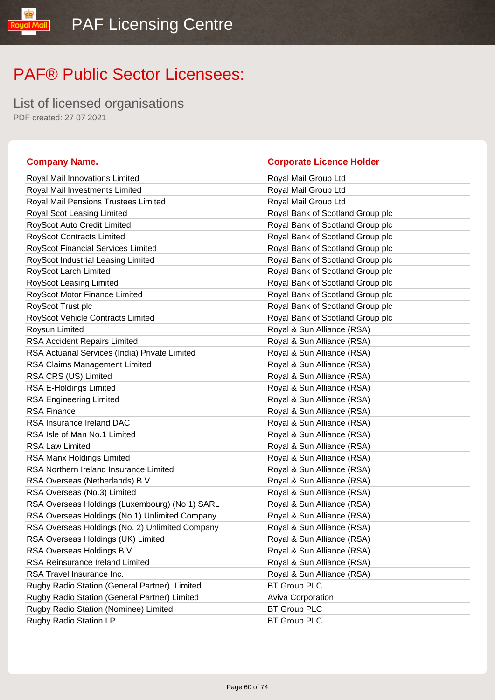List of licensed organisations PDF created: 27 07 2021

#### **Company Name. Corporate Licence Holder**

#### Royal Mail Innovations Limited **Royal Mail Group Ltd** Royal Mail Investments Limited Royal Mail Group Ltd Royal Mail Pensions Trustees Limited **Royal Mail Group Ltd** Royal Scot Leasing Limited **Royal Bank of Scotland Group plc** RoyScot Auto Credit Limited **RoyScot Auto Credit Limited** Royal Bank of Scotland Group plc RoyScot Contracts Limited **RoyScot Contracts Limited** Royal Bank of Scotland Group plc RoyScot Financial Services Limited **Royal Bank of Scotland Group plc** RoyScot Industrial Leasing Limited **Royal Bank of Scotland Group plc** RoyScot Larch Limited **RoyScot Larch Limited** Royal Bank of Scotland Group plc RoyScot Leasing Limited **RoyScot Leasing Limited** Royal Bank of Scotland Group plc RoyScot Motor Finance Limited **RoyScot Motor Finance Limited** Royal Bank of Scotland Group plc RoyScot Trust plc **RoyScot Trust plc** Royal Bank of Scotland Group plc RoyScot Vehicle Contracts Limited **RoyScot Vehicle Contracts Limited** Royal Bank of Scotland Group plc Roysun Limited **Royal & Sun Alliance (RSA)** RSA Accident Repairs Limited **Royal & Sun Alliance (RSA)** RSA Actuarial Services (India) Private Limited Royal & Sun Alliance (RSA) RSA Claims Management Limited **Royal & Sun Alliance (RSA)** RSA CRS (US) Limited RSA CRS (US) Limited RSA CRS (US) Limited RSA E-Holdings Limited **Royal & Sun Alliance (RSA)** RSA Engineering Limited **Royal & Sun Alliance (RSA)** RSA Finance **Royal & Sun Alliance** (RSA) RSA Insurance Ireland DAC Royal & Sun Alliance (RSA) RSA Isle of Man No.1 Limited **Royal & Sun Alliance (RSA)** RSA Law Limited **Royal & Sun Alliance (RSA)** RSA Manx Holdings Limited **Royal & Sun Alliance (RSA)** RSA Northern Ireland Insurance Limited **Royal & Sun Alliance (RSA)** RSA Overseas (Netherlands) B.V. Royal & Sun Alliance (RSA) RSA Overseas (No.3) Limited **Royal & Sun Alliance (RSA)** RSA Overseas Holdings (Luxembourg) (No 1) SARL Royal & Sun Alliance (RSA) RSA Overseas Holdings (No 1) Unlimited Company Royal & Sun Alliance (RSA) RSA Overseas Holdings (No. 2) Unlimited Company Royal & Sun Alliance (RSA) RSA Overseas Holdings (UK) Limited Royal & Sun Alliance (RSA) RSA Overseas Holdings B.V. Royal & Sun Alliance (RSA) RSA Reinsurance Ireland Limited **Royal & Sun Alliance (RSA)** RSA Travel Insurance Inc. The Contract of the Royal & Sun Alliance (RSA) Rugby Radio Station (General Partner) Limited BT Group PLC Rugby Radio Station (General Partner) Limited Aviva Corporation Rugby Radio Station (Nominee) Limited BT Group PLC Rugby Radio Station LP BT Group PLC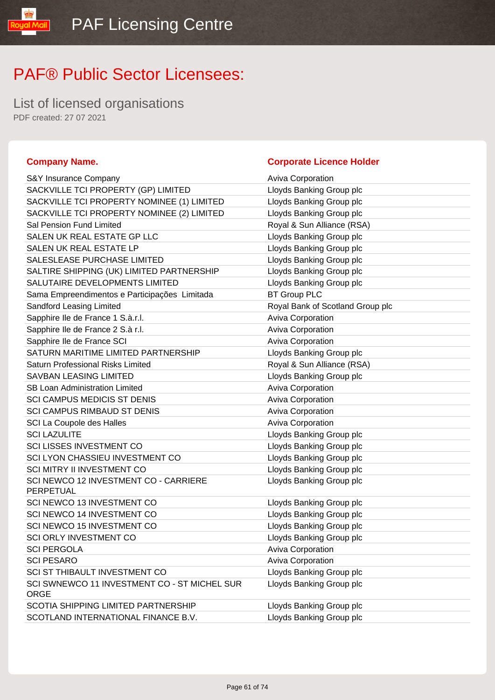List of licensed organisations PDF created: 27 07 2021

#### **Company Name. Company Name. Company Name. Company Name. Company Name. Company Name. Company Name. Company Name. Company Name. Company Name. Company Name. Company Name. Company Name. Company Name.**

yal Mail

| S&Y Insurance Company                                       | <b>Aviva Corporation</b>         |
|-------------------------------------------------------------|----------------------------------|
| SACKVILLE TCI PROPERTY (GP) LIMITED                         | Lloyds Banking Group plc         |
| SACKVILLE TCI PROPERTY NOMINEE (1) LIMITED                  | Lloyds Banking Group plc         |
| SACKVILLE TCI PROPERTY NOMINEE (2) LIMITED                  | Lloyds Banking Group plc         |
| Sal Pension Fund Limited                                    | Royal & Sun Alliance (RSA)       |
| SALEN UK REAL ESTATE GP LLC                                 | Lloyds Banking Group plc         |
| SALEN UK REAL ESTATE LP                                     | Lloyds Banking Group plc         |
| SALESLEASE PURCHASE LIMITED                                 | Lloyds Banking Group plc         |
| SALTIRE SHIPPING (UK) LIMITED PARTNERSHIP                   | Lloyds Banking Group plc         |
| SALUTAIRE DEVELOPMENTS LIMITED                              | Lloyds Banking Group plc         |
| Sama Empreendimentos e Participações Limitada               | <b>BT Group PLC</b>              |
| Sandford Leasing Limited                                    | Royal Bank of Scotland Group plc |
| Sapphire Ile de France 1 S.à.r.l.                           | Aviva Corporation                |
| Sapphire Ile de France 2 S.à r.l.                           | Aviva Corporation                |
| Sapphire Ile de France SCI                                  | Aviva Corporation                |
| SATURN MARITIME LIMITED PARTNERSHIP                         | Lloyds Banking Group plc         |
| <b>Saturn Professional Risks Limited</b>                    | Royal & Sun Alliance (RSA)       |
| <b>SAVBAN LEASING LIMITED</b>                               | Lloyds Banking Group plc         |
| <b>SB Loan Administration Limited</b>                       | Aviva Corporation                |
| <b>SCI CAMPUS MEDICIS ST DENIS</b>                          | Aviva Corporation                |
| SCI CAMPUS RIMBAUD ST DENIS                                 | Aviva Corporation                |
| SCI La Coupole des Halles                                   | Aviva Corporation                |
| <b>SCI LAZULITE</b>                                         | Lloyds Banking Group plc         |
| <b>SCI LISSES INVESTMENT CO</b>                             | Lloyds Banking Group plc         |
| SCI LYON CHASSIEU INVESTMENT CO                             | Lloyds Banking Group plc         |
| <b>SCI MITRY II INVESTMENT CO</b>                           | Lloyds Banking Group plc         |
| SCI NEWCO 12 INVESTMENT CO - CARRIERE<br>PERPETUAL          | Lloyds Banking Group plc         |
| SCI NEWCO 13 INVESTMENT CO                                  | Lloyds Banking Group plc         |
| SCI NEWCO 14 INVESTMENT CO                                  | Lloyds Banking Group plc         |
| SCI NEWCO 15 INVESTMENT CO                                  | Lloyds Banking Group plc         |
| <b>SCI ORLY INVESTMENT CO</b>                               | Lloyds Banking Group plc         |
| <b>SCI PERGOLA</b>                                          | <b>Aviva Corporation</b>         |
| <b>SCI PESARO</b>                                           | Aviva Corporation                |
| SCI ST THIBAULT INVESTMENT CO                               | Lloyds Banking Group plc         |
| SCI SWNEWCO 11 INVESTMENT CO - ST MICHEL SUR<br><b>ORGE</b> | Lloyds Banking Group plc         |
| SCOTIA SHIPPING LIMITED PARTNERSHIP                         | Lloyds Banking Group plc         |
| SCOTLAND INTERNATIONAL FINANCE B.V.                         | Lloyds Banking Group plc         |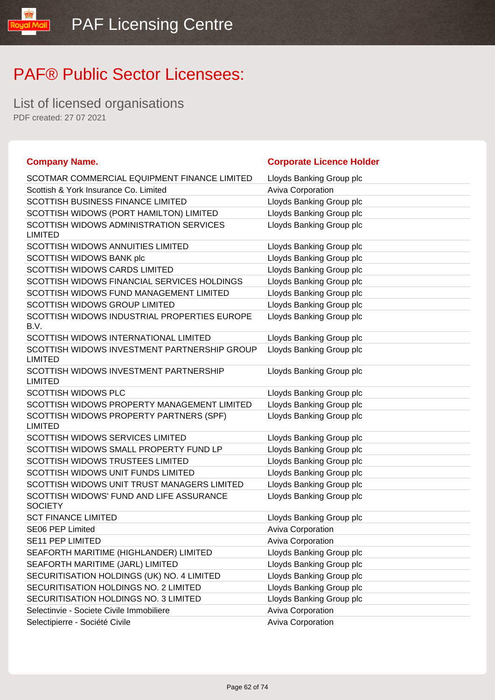List of licensed organisations PDF created: 27 07 2021

lipM lpuo!

| <b>Company Name.</b>                                           | <b>Corporate Licence Holder</b> |
|----------------------------------------------------------------|---------------------------------|
| SCOTMAR COMMERCIAL EQUIPMENT FINANCE LIMITED                   | Lloyds Banking Group plc        |
| Scottish & York Insurance Co. Limited                          | Aviva Corporation               |
| <b>SCOTTISH BUSINESS FINANCE LIMITED</b>                       | Lloyds Banking Group plc        |
| SCOTTISH WIDOWS (PORT HAMILTON) LIMITED                        | Lloyds Banking Group plc        |
| SCOTTISH WIDOWS ADMINISTRATION SERVICES                        | Lloyds Banking Group plc        |
| <b>LIMITED</b>                                                 |                                 |
| <b>SCOTTISH WIDOWS ANNUITIES LIMITED</b>                       | Lloyds Banking Group plc        |
| SCOTTISH WIDOWS BANK plc                                       | Lloyds Banking Group plc        |
| SCOTTISH WIDOWS CARDS LIMITED                                  | Lloyds Banking Group plc        |
| SCOTTISH WIDOWS FINANCIAL SERVICES HOLDINGS                    | Lloyds Banking Group plc        |
| SCOTTISH WIDOWS FUND MANAGEMENT LIMITED                        | Lloyds Banking Group plc        |
| SCOTTISH WIDOWS GROUP LIMITED                                  | Lloyds Banking Group plc        |
| SCOTTISH WIDOWS INDUSTRIAL PROPERTIES EUROPE<br>B.V.           | Lloyds Banking Group plc        |
| SCOTTISH WIDOWS INTERNATIONAL LIMITED                          | Lloyds Banking Group plc        |
| SCOTTISH WIDOWS INVESTMENT PARTNERSHIP GROUP<br><b>LIMITED</b> | Lloyds Banking Group plc        |
| SCOTTISH WIDOWS INVESTMENT PARTNERSHIP<br><b>LIMITED</b>       | Lloyds Banking Group plc        |
| <b>SCOTTISH WIDOWS PLC</b>                                     | Lloyds Banking Group plc        |
| SCOTTISH WIDOWS PROPERTY MANAGEMENT LIMITED                    | Lloyds Banking Group plc        |
| SCOTTISH WIDOWS PROPERTY PARTNERS (SPF)<br><b>LIMITED</b>      | Lloyds Banking Group plc        |
| <b>SCOTTISH WIDOWS SERVICES LIMITED</b>                        | Lloyds Banking Group plc        |
| SCOTTISH WIDOWS SMALL PROPERTY FUND LP                         | Lloyds Banking Group plc        |
| <b>SCOTTISH WIDOWS TRUSTEES LIMITED</b>                        | Lloyds Banking Group plc        |
| SCOTTISH WIDOWS UNIT FUNDS LIMITED                             | Lloyds Banking Group plc        |
| SCOTTISH WIDOWS UNIT TRUST MANAGERS LIMITED                    | Lloyds Banking Group plc        |
| SCOTTISH WIDOWS' FUND AND LIFE ASSURANCE<br><b>SOCIETY</b>     | Lloyds Banking Group plc        |
| <b>SCT FINANCE LIMITED</b>                                     | Lloyds Banking Group plc        |
| SE06 PEP Limited                                               | Aviva Corporation               |
| <b>SE11 PEP LIMITED</b>                                        | <b>Aviva Corporation</b>        |
| SEAFORTH MARITIME (HIGHLANDER) LIMITED                         | Lloyds Banking Group plc        |
| SEAFORTH MARITIME (JARL) LIMITED                               | Lloyds Banking Group plc        |
| SECURITISATION HOLDINGS (UK) NO. 4 LIMITED                     | Lloyds Banking Group plc        |
| SECURITISATION HOLDINGS NO. 2 LIMITED                          | Lloyds Banking Group plc        |
| SECURITISATION HOLDINGS NO. 3 LIMITED                          | Lloyds Banking Group plc        |
| Selectinvie - Societe Civile Immobiliere                       | <b>Aviva Corporation</b>        |
| Selectipierre - Société Civile                                 | Aviva Corporation               |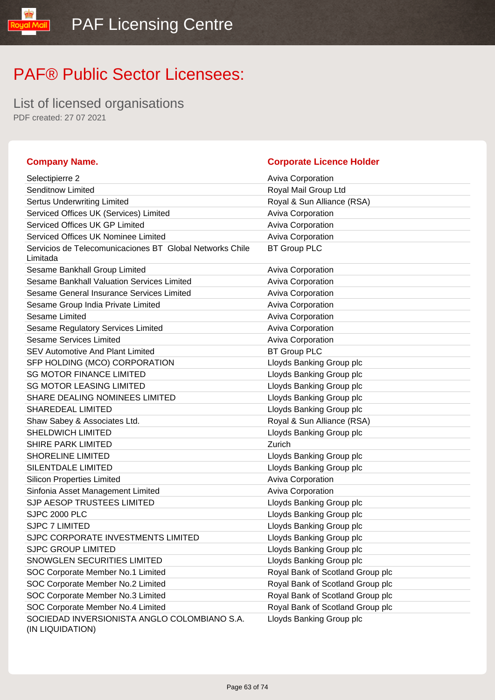List of licensed organisations PDF created: 27 07 2021

#### **Company Name. Corporate Licence Holder** Selectipierre 2 **Aviva Corporation Aviva Corporation** Senditnow Limited **Royal Mail Group Ltd** Sertus Underwriting Limited **Royal & Sun Alliance (RSA)** Serviced Offices UK (Services) Limited Aviva Corporation Serviced Offices UK GP Limited Aviva Corporation Serviced Offices UK Nominee Limited Aviva Corporation Aviva Corporation Servicios de Telecomunicaciones BT Global Networks Chile Limitada BT Group PLC Sesame Bankhall Group Limited **Aviva Corporation** Aviva Corporation Sesame Bankhall Valuation Services Limited Aviva Corporation Sesame General Insurance Services Limited Aviva Corporation Sesame Group India Private Limited **Aviva Corporation** Aviva Corporation Sesame Limited **Aviva Corporation** Aviva Corporation Sesame Regulatory Services Limited **Aviva Corporation** Aviva Corporation Sesame Services Limited **Aviva Corporation** Aviva Corporation SEV Automotive And Plant Limited BT Group PLC SFP HOLDING (MCO) CORPORATION Lloyds Banking Group plc SG MOTOR FINANCE LIMITED **Example 20 SC MOTOR** FINANCE LIMITED SG MOTOR LEASING LIMITED LIGHT Lloyds Banking Group plc SHARE DEALING NOMINEES LIMITED Limits Lloyds Banking Group plc SHAREDEAL LIMITED **SHAREDEAL LIMITED Lloyds Banking Group plc** Shaw Sabey & Associates Ltd. **Royal & Sun Alliance (RSA)** SHELDWICH LIMITED **SHELDWICH LIMITED Lloyds Banking Group plc** SHIRE PARK LIMITED Zurich SHORELINE LIMITED **SHORELINE** LIMITED SILENTDALE LIMITED Loyds Banking Group plc Silicon Properties Limited **Aviva Corporation** Aviva Corporation Sinfonia Asset Management Limited **Aviva Corporation** Aviva Corporation SJP AESOP TRUSTEES LIMITED LIDYD Lloyds Banking Group plc SJPC 2000 PLC **CONTROL** CONTROLLOYS Banking Group plc SJPC 7 LIMITED **SUPC 7 LIMITED Loyds Banking Group plc** SJPC CORPORATE INVESTMENTS LIMITED LIOYDS Banking Group plc SJPC GROUP LIMITED **SUPPER STATE ASSAULT AS A CONSTRUCT A** Lloyds Banking Group plc SNOWGLEN SECURITIES LIMITED LATTER LIMITED LOYDIS Banking Group plc SOC Corporate Member No.1 Limited Royal Bank of Scotland Group plc SOC Corporate Member No.2 Limited Royal Bank of Scotland Group plc SOC Corporate Member No.3 Limited Royal Bank of Scotland Group plc SOC Corporate Member No.4 Limited Royal Bank of Scotland Group plc SOCIEDAD INVERSIONISTA ANGLO COLOMBIANO S.A. (IN LIQUIDATION) Lloyds Banking Group plc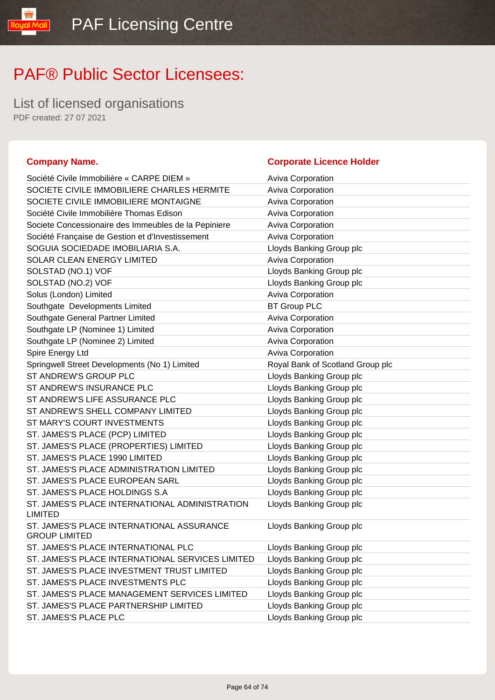List of licensed organisations PDF created: 27 07 2021

#### **Company Name. Company Name. Company Name. Company Name. Company Name. Company Name. Company Name. Company Name. Company Name. Company Name. Company Name. Company Name. Company Name. Company Name.**

IibM loud

| Société Civile Immobilière « CARPE DIEM »                         | <b>Aviva Corporation</b>         |
|-------------------------------------------------------------------|----------------------------------|
| SOCIETE CIVILE IMMOBILIERE CHARLES HERMITE                        | Aviva Corporation                |
| SOCIETE CIVILE IMMOBILIERE MONTAIGNE                              | <b>Aviva Corporation</b>         |
| Société Civile Immobilière Thomas Edison                          | Aviva Corporation                |
| Societe Concessionaire des Immeubles de la Pepiniere              | Aviva Corporation                |
| Société Française de Gestion et d'Investissement                  | <b>Aviva Corporation</b>         |
| SOGUIA SOCIEDADE IMOBILIARIA S.A.                                 | Lloyds Banking Group plc         |
| SOLAR CLEAN ENERGY LIMITED                                        | Aviva Corporation                |
| SOLSTAD (NO.1) VOF                                                | Lloyds Banking Group plc         |
| SOLSTAD (NO.2) VOF                                                | Lloyds Banking Group plc         |
| Solus (London) Limited                                            | Aviva Corporation                |
| Southgate Developments Limited                                    | <b>BT Group PLC</b>              |
| Southgate General Partner Limited                                 | Aviva Corporation                |
| Southgate LP (Nominee 1) Limited                                  | Aviva Corporation                |
| Southgate LP (Nominee 2) Limited                                  | <b>Aviva Corporation</b>         |
| Spire Energy Ltd                                                  | Aviva Corporation                |
| Springwell Street Developments (No 1) Limited                     | Royal Bank of Scotland Group plc |
| ST ANDREW'S GROUP PLC                                             | Lloyds Banking Group plc         |
| ST ANDREW'S INSURANCE PLC                                         | Lloyds Banking Group plc         |
| ST ANDREW'S LIFE ASSURANCE PLC                                    | Lloyds Banking Group plc         |
| ST ANDREW'S SHELL COMPANY LIMITED                                 | Lloyds Banking Group plc         |
| ST MARY'S COURT INVESTMENTS                                       | Lloyds Banking Group plc         |
| ST. JAMES'S PLACE (PCP) LIMITED                                   | Lloyds Banking Group plc         |
| ST. JAMES'S PLACE (PROPERTIES) LIMITED                            | Lloyds Banking Group plc         |
| ST. JAMES'S PLACE 1990 LIMITED                                    | Lloyds Banking Group plc         |
| ST. JAMES'S PLACE ADMINISTRATION LIMITED                          | Lloyds Banking Group plc         |
| ST. JAMES'S PLACE EUROPEAN SARL                                   | Lloyds Banking Group plc         |
| ST. JAMES'S PLACE HOLDINGS S.A                                    | Lloyds Banking Group plc         |
| ST. JAMES'S PLACE INTERNATIONAL ADMINISTRATION<br><b>LIMITED</b>  | Lloyds Banking Group plc         |
| ST. JAMES'S PLACE INTERNATIONAL ASSURANCE<br><b>GROUP LIMITED</b> | Lloyds Banking Group plc         |
| ST. JAMES'S PLACE INTERNATIONAL PLC                               | Lloyds Banking Group plc         |
| ST. JAMES'S PLACE INTERNATIONAL SERVICES LIMITED                  | Lloyds Banking Group plc         |
| ST. JAMES'S PLACE INVESTMENT TRUST LIMITED                        | Lloyds Banking Group plc         |
| ST. JAMES'S PLACE INVESTMENTS PLC                                 | Lloyds Banking Group plc         |
| ST. JAMES'S PLACE MANAGEMENT SERVICES LIMITED                     | Lloyds Banking Group plc         |
| ST. JAMES'S PLACE PARTNERSHIP LIMITED                             | Lloyds Banking Group plc         |
| ST. JAMES'S PLACE PLC                                             | Lloyds Banking Group plc         |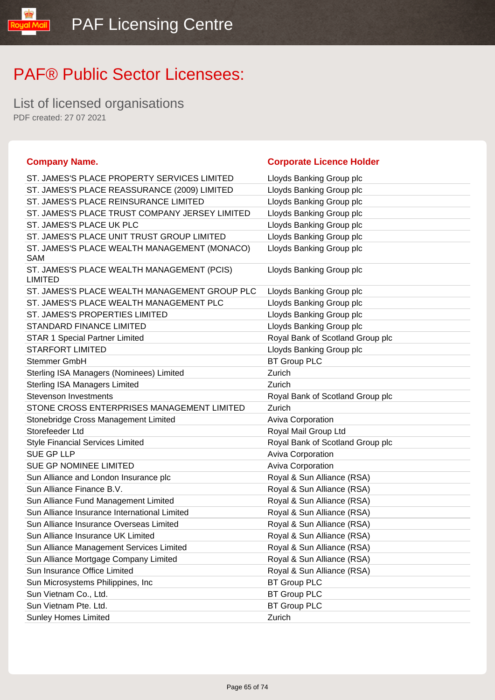**Company Name. Corporate Licence Holder**

### PAF® Public Sector Licensees:

List of licensed organisations PDF created: 27 07 2021

lipM lpuo!

|                                                              | $\frac{1}{2}$                    |
|--------------------------------------------------------------|----------------------------------|
| ST. JAMES'S PLACE PROPERTY SERVICES LIMITED                  | Lloyds Banking Group plc         |
| ST. JAMES'S PLACE REASSURANCE (2009) LIMITED                 | Lloyds Banking Group plc         |
| ST. JAMES'S PLACE REINSURANCE LIMITED                        | Lloyds Banking Group plc         |
| ST. JAMES'S PLACE TRUST COMPANY JERSEY LIMITED               | Lloyds Banking Group plc         |
| ST. JAMES'S PLACE UK PLC                                     | Lloyds Banking Group plc         |
| ST. JAMES'S PLACE UNIT TRUST GROUP LIMITED                   | Lloyds Banking Group plc         |
| ST. JAMES'S PLACE WEALTH MANAGEMENT (MONACO)<br>SAM          | Lloyds Banking Group plc         |
| ST. JAMES'S PLACE WEALTH MANAGEMENT (PCIS)<br><b>LIMITED</b> | Lloyds Banking Group plc         |
| ST. JAMES'S PLACE WEALTH MANAGEMENT GROUP PLC                | Lloyds Banking Group plc         |
| ST. JAMES'S PLACE WEALTH MANAGEMENT PLC                      | Lloyds Banking Group plc         |
| <b>ST. JAMES'S PROPERTIES LIMITED</b>                        | Lloyds Banking Group plc         |
| <b>STANDARD FINANCE LIMITED</b>                              | Lloyds Banking Group plc         |
| STAR 1 Special Partner Limited                               | Royal Bank of Scotland Group plc |
| <b>STARFORT LIMITED</b>                                      | Lloyds Banking Group plc         |
| Stemmer GmbH                                                 | <b>BT Group PLC</b>              |
| Sterling ISA Managers (Nominees) Limited                     | Zurich                           |
| <b>Sterling ISA Managers Limited</b>                         | Zurich                           |
| <b>Stevenson Investments</b>                                 | Royal Bank of Scotland Group plc |
| STONE CROSS ENTERPRISES MANAGEMENT LIMITED                   | Zurich                           |
| Stonebridge Cross Management Limited                         | Aviva Corporation                |
| Storefeeder Ltd                                              | Royal Mail Group Ltd             |
| <b>Style Financial Services Limited</b>                      | Royal Bank of Scotland Group plc |
| SUE GP LLP                                                   | <b>Aviva Corporation</b>         |
| SUE GP NOMINEE LIMITED                                       | Aviva Corporation                |
| Sun Alliance and London Insurance plc                        | Royal & Sun Alliance (RSA)       |
| Sun Alliance Finance B.V.                                    | Royal & Sun Alliance (RSA)       |
| Sun Alliance Fund Management Limited                         | Royal & Sun Alliance (RSA)       |
| Sun Alliance Insurance International Limited                 | Royal & Sun Alliance (RSA)       |
| Sun Alliance Insurance Overseas Limited                      | Royal & Sun Alliance (RSA)       |
| Sun Alliance Insurance UK Limited                            | Royal & Sun Alliance (RSA)       |
| Sun Alliance Management Services Limited                     | Royal & Sun Alliance (RSA)       |
| Sun Alliance Mortgage Company Limited                        | Royal & Sun Alliance (RSA)       |
| Sun Insurance Office Limited                                 | Royal & Sun Alliance (RSA)       |
| Sun Microsystems Philippines, Inc                            | <b>BT Group PLC</b>              |
| Sun Vietnam Co., Ltd.                                        | <b>BT Group PLC</b>              |
| Sun Vietnam Pte. Ltd.                                        | <b>BT Group PLC</b>              |
| <b>Sunley Homes Limited</b>                                  | Zurich                           |
|                                                              |                                  |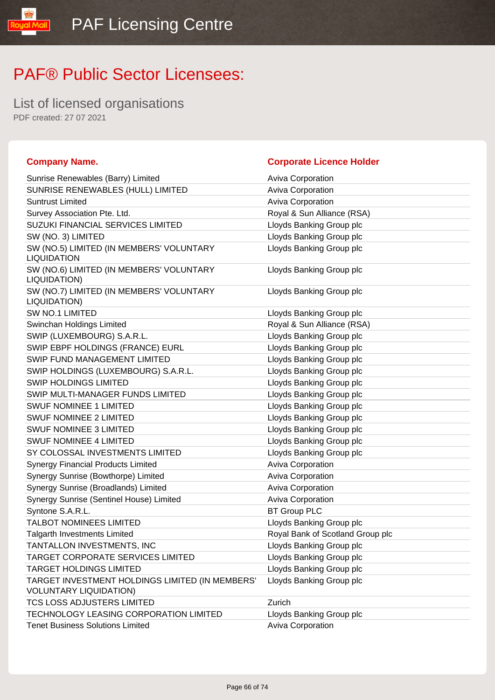List of licensed organisations PDF created: 27 07 2021

**IipM louo** 

| <b>Company Name.</b>                                                             | <b>Corporate Licence Holder</b>  |
|----------------------------------------------------------------------------------|----------------------------------|
| Sunrise Renewables (Barry) Limited                                               | <b>Aviva Corporation</b>         |
| SUNRISE RENEWABLES (HULL) LIMITED                                                | <b>Aviva Corporation</b>         |
| <b>Suntrust Limited</b>                                                          | Aviva Corporation                |
| Survey Association Pte. Ltd.                                                     | Royal & Sun Alliance (RSA)       |
| SUZUKI FINANCIAL SERVICES LIMITED                                                | Lloyds Banking Group plc         |
| SW (NO. 3) LIMITED                                                               | Lloyds Banking Group plc         |
| SW (NO.5) LIMITED (IN MEMBERS' VOLUNTARY<br><b>LIQUIDATION</b>                   | Lloyds Banking Group plc         |
| SW (NO.6) LIMITED (IN MEMBERS' VOLUNTARY<br>LIQUIDATION)                         | Lloyds Banking Group plc         |
| SW (NO.7) LIMITED (IN MEMBERS' VOLUNTARY<br>LIQUIDATION)                         | Lloyds Banking Group plc         |
| <b>SW NO.1 LIMITED</b>                                                           | Lloyds Banking Group plc         |
| Swinchan Holdings Limited                                                        | Royal & Sun Alliance (RSA)       |
| SWIP (LUXEMBOURG) S.A.R.L.                                                       | Lloyds Banking Group plc         |
| SWIP EBPF HOLDINGS (FRANCE) EURL                                                 | Lloyds Banking Group plc         |
| SWIP FUND MANAGEMENT LIMITED                                                     | Lloyds Banking Group plc         |
| SWIP HOLDINGS (LUXEMBOURG) S.A.R.L.                                              | Lloyds Banking Group plc         |
| <b>SWIP HOLDINGS LIMITED</b>                                                     | Lloyds Banking Group plc         |
| SWIP MULTI-MANAGER FUNDS LIMITED                                                 | Lloyds Banking Group plc         |
| <b>SWUF NOMINEE 1 LIMITED</b>                                                    | Lloyds Banking Group plc         |
| SWUF NOMINEE 2 LIMITED                                                           | Lloyds Banking Group plc         |
| <b>SWUF NOMINEE 3 LIMITED</b>                                                    | Lloyds Banking Group plc         |
| <b>SWUF NOMINEE 4 LIMITED</b>                                                    | Lloyds Banking Group plc         |
| SY COLOSSAL INVESTMENTS LIMITED                                                  | Lloyds Banking Group plc         |
| <b>Synergy Financial Products Limited</b>                                        | Aviva Corporation                |
| Synergy Sunrise (Bowthorpe) Limited                                              | Aviva Corporation                |
| Synergy Sunrise (Broadlands) Limited                                             | Aviva Corporation                |
| Synergy Sunrise (Sentinel House) Limited                                         | Aviva Corporation                |
| Syntone S.A.R.L.                                                                 | <b>BT Group PLC</b>              |
| <b>TALBOT NOMINEES LIMITED</b>                                                   | Lloyds Banking Group plc         |
| <b>Talgarth Investments Limited</b>                                              | Royal Bank of Scotland Group plc |
| TANTALLON INVESTMENTS, INC                                                       | Lloyds Banking Group plc         |
| TARGET CORPORATE SERVICES LIMITED                                                | Lloyds Banking Group plc         |
| <b>TARGET HOLDINGS LIMITED</b>                                                   | Lloyds Banking Group plc         |
| TARGET INVESTMENT HOLDINGS LIMITED (IN MEMBERS'<br><b>VOLUNTARY LIQUIDATION)</b> | Lloyds Banking Group plc         |
| TCS LOSS ADJUSTERS LIMITED                                                       | Zurich                           |
| TECHNOLOGY LEASING CORPORATION LIMITED                                           | Lloyds Banking Group plc         |
| <b>Tenet Business Solutions Limited</b>                                          | Aviva Corporation                |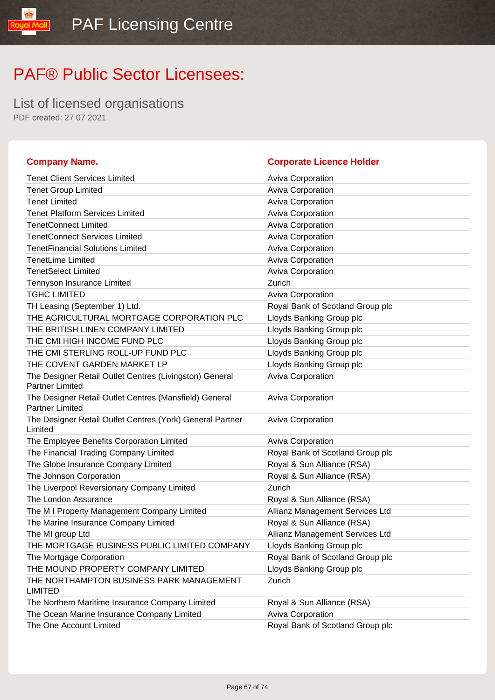List of licensed organisations PDF created: 27 07 2021

oyal Mail

| <b>Company Name.</b>                                                              | <b>Corporate Licence Holder</b>  |
|-----------------------------------------------------------------------------------|----------------------------------|
| <b>Tenet Client Services Limited</b>                                              | <b>Aviva Corporation</b>         |
| <b>Tenet Group Limited</b>                                                        | Aviva Corporation                |
| <b>Tenet Limited</b>                                                              | Aviva Corporation                |
| <b>Tenet Platform Services Limited</b>                                            | Aviva Corporation                |
| <b>TenetConnect Limited</b>                                                       | Aviva Corporation                |
| <b>TenetConnect Services Limited</b>                                              | Aviva Corporation                |
| <b>TenetFinancial Solutions Limited</b>                                           | Aviva Corporation                |
| <b>TenetLime Limited</b>                                                          | Aviva Corporation                |
| <b>TenetSelect Limited</b>                                                        | Aviva Corporation                |
| Tennyson Insurance Limited                                                        | Zurich                           |
| <b>TGHC LIMITED</b>                                                               | Aviva Corporation                |
| TH Leasing (September 1) Ltd.                                                     | Royal Bank of Scotland Group plc |
| THE AGRICULTURAL MORTGAGE CORPORATION PLC                                         | Lloyds Banking Group plc         |
| THE BRITISH LINEN COMPANY LIMITED                                                 | Lloyds Banking Group plc         |
| THE CMI HIGH INCOME FUND PLC                                                      | Lloyds Banking Group plc         |
| THE CMI STERLING ROLL-UP FUND PLC                                                 | Lloyds Banking Group plc         |
| THE COVENT GARDEN MARKET LP                                                       | Lloyds Banking Group plc         |
| The Designer Retail Outlet Centres (Livingston) General<br><b>Partner Limited</b> | Aviva Corporation                |
| The Designer Retail Outlet Centres (Mansfield) General<br><b>Partner Limited</b>  | <b>Aviva Corporation</b>         |
| The Designer Retail Outlet Centres (York) General Partner<br>Limited              | <b>Aviva Corporation</b>         |
| The Employee Benefits Corporation Limited                                         | Aviva Corporation                |
| The Financial Trading Company Limited                                             | Royal Bank of Scotland Group plc |
| The Globe Insurance Company Limited                                               | Royal & Sun Alliance (RSA)       |
| The Johnson Corporation                                                           | Royal & Sun Alliance (RSA)       |
| The Liverpool Reversionary Company Limited                                        | Zurich                           |
| The London Assurance                                                              | Royal & Sun Alliance (RSA)       |
| The M I Property Management Company Limited                                       | Allianz Management Services Ltd  |
| The Marine Insurance Company Limited                                              | Royal & Sun Alliance (RSA)       |
| The MI group Ltd                                                                  | Allianz Management Services Ltd  |
| THE MORTGAGE BUSINESS PUBLIC LIMITED COMPANY                                      | Lloyds Banking Group plc         |
| The Mortgage Corporation                                                          | Royal Bank of Scotland Group plc |
| THE MOUND PROPERTY COMPANY LIMITED                                                | Lloyds Banking Group plc         |
| THE NORTHAMPTON BUSINESS PARK MANAGEMENT<br><b>LIMITED</b>                        | Zurich                           |
| The Northern Maritime Insurance Company Limited                                   | Royal & Sun Alliance (RSA)       |
| The Ocean Marine Insurance Company Limited                                        | Aviva Corporation                |
| The One Account Limited                                                           | Royal Bank of Scotland Group plc |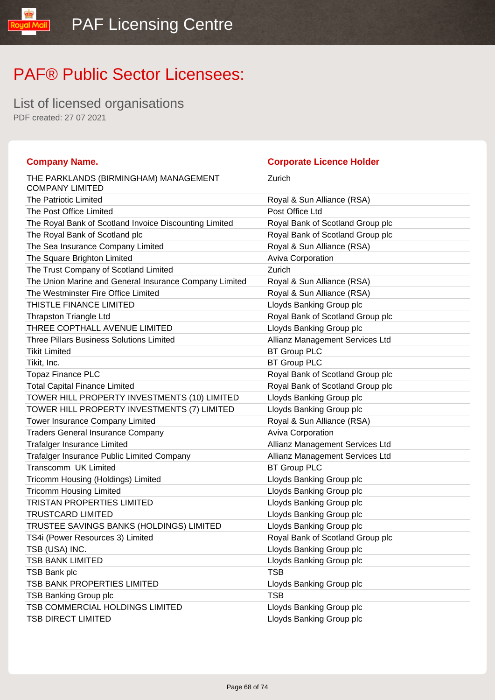List of licensed organisations PDF created: 27 07 2021

#### **Company Name. Corporate Licence Holder** THE PARKLANDS (BIRMINGHAM) MANAGEMENT COMPANY LIMITED Zurich The Patriotic Limited **Royal & Sun Alliance (RSA)** The Post Office Limited **Post Office Limited** Post Office Ltd The Royal Bank of Scotland Invoice Discounting Limited Royal Bank of Scotland Group plc The Royal Bank of Scotland plc **Royal Bank of Scotland Group plc** Royal Bank of Scotland Group plc The Sea Insurance Company Limited Royal & Sun Alliance (RSA) The Square Brighton Limited Aviva Corporation The Trust Company of Scotland Limited **Zurich** Zurich The Union Marine and General Insurance Company Limited Royal & Sun Alliance (RSA) The Westminster Fire Office Limited **Royal & Sun Alliance (RSA)** THISTLE FINANCE LIMITED **Example 2** Lloyds Banking Group plc Thrapston Triangle Ltd **Royal Bank of Scotland Group plc** Royal Bank of Scotland Group plc THREE COPTHALL AVENUE LIMITED LIMITED LIDYDS Banking Group plc Three Pillars Business Solutions Limited Allianz Management Services Ltd Tikit Limited **BT Group PLC** Tikit, Inc. BT Group PLC Topaz Finance PLC **The Contract of Scotland Group plc** Royal Bank of Scotland Group plc Total Capital Finance Limited **Royal Bank of Scotland Group plc** TOWER HILL PROPERTY INVESTMENTS (10) LIMITED Lloyds Banking Group plc TOWER HILL PROPERTY INVESTMENTS (7) LIMITED Lloyds Banking Group plc Tower Insurance Company Limited **Royal & Sun Alliance (RSA)** Traders General Insurance Company **Aviva Corporation** Aviva Corporation Trafalger Insurance Limited Allianz Management Services Ltd Trafalger Insurance Public Limited Company **Allianz Management Services Ltd** Transcomm UK Limited BT Group PLC Tricomm Housing (Holdings) Limited Limited Lloyds Banking Group plc Tricomm Housing Limited **Limited** Lloyds Banking Group plc TRISTAN PROPERTIES LIMITED LIGHT Lloyds Banking Group plc TRUSTCARD LIMITED Lloyds Banking Group plc TRUSTEE SAVINGS BANKS (HOLDINGS) LIMITED Lloyds Banking Group plc TS4i (Power Resources 3) Limited Royal Bank of Scotland Group plc TSB (USA) INC. THE STATE OF THE LIGHT CONSTRUCTION CONTROL CONSTRUCTS AND LOOP OF THE STATE OF THE STATE OF THE STATE OF THE STATE OF THE STATE OF THE STATE OF THE STATE OF THE STATE OF THE STATE OF THE STATE OF THE STATE TSB BANK LIMITED **Example 20** Separate Control and Separate Control and Separate Control and Separate Control and Separate Control and Separate Control and Separate Control and Separate Control and Separate Control and Sep TSB Bank plc TSB 3 and TSB 3 and TSB 3 and TSB 3 and TSB 3 and TSB 3 and TSB 3 and TSB 3 and TSB 3 and TSB 3 and TSB TSB BANK PROPERTIES LIMITED Lattitude the Lloyds Banking Group plc TSB Banking Group plc TSB TSB TSB COMMERCIAL HOLDINGS LIMITED Lloyds Banking Group plc TSB DIRECT LIMITED **Loyds Banking Group plc**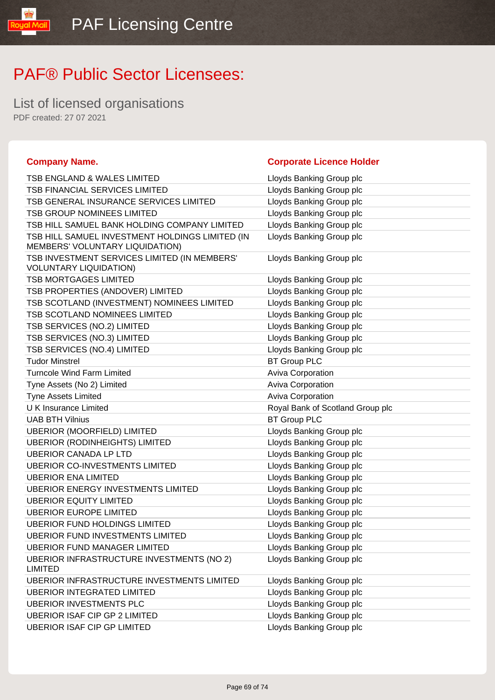**Company Name. Corporate Licence Holder**

### PAF® Public Sector Licensees:

List of licensed organisations PDF created: 27 07 2021

lipM lpuo!

| <b>TSB ENGLAND &amp; WALES LIMITED</b>                                             | Lloyds Banking Group plc                             |
|------------------------------------------------------------------------------------|------------------------------------------------------|
| TSB FINANCIAL SERVICES LIMITED                                                     | Lloyds Banking Group plc                             |
| TSB GENERAL INSURANCE SERVICES LIMITED                                             | Lloyds Banking Group plc                             |
| <b>TSB GROUP NOMINEES LIMITED</b>                                                  | Lloyds Banking Group plc                             |
| TSB HILL SAMUEL BANK HOLDING COMPANY LIMITED                                       | Lloyds Banking Group plc                             |
| TSB HILL SAMUEL INVESTMENT HOLDINGS LIMITED (IN<br>MEMBERS' VOLUNTARY LIQUIDATION) | Lloyds Banking Group plc                             |
| TSB INVESTMENT SERVICES LIMITED (IN MEMBERS'<br><b>VOLUNTARY LIQUIDATION)</b>      | Lloyds Banking Group plc                             |
| <b>TSB MORTGAGES LIMITED</b>                                                       | Lloyds Banking Group plc                             |
| TSB PROPERTIES (ANDOVER) LIMITED                                                   | Lloyds Banking Group plc                             |
| TSB SCOTLAND (INVESTMENT) NOMINEES LIMITED                                         | Lloyds Banking Group plc                             |
| TSB SCOTLAND NOMINEES LIMITED                                                      | Lloyds Banking Group plc                             |
| TSB SERVICES (NO.2) LIMITED                                                        | Lloyds Banking Group plc                             |
| TSB SERVICES (NO.3) LIMITED                                                        | Lloyds Banking Group plc                             |
| TSB SERVICES (NO.4) LIMITED                                                        | Lloyds Banking Group plc                             |
| <b>Tudor Minstrel</b>                                                              | <b>BT Group PLC</b>                                  |
| <b>Turncole Wind Farm Limited</b>                                                  | Aviva Corporation                                    |
| Tyne Assets (No 2) Limited                                                         | Aviva Corporation                                    |
| <b>Tyne Assets Limited</b>                                                         | Aviva Corporation                                    |
| <b>UK Insurance Limited</b>                                                        | Royal Bank of Scotland Group plc                     |
| <b>UAB BTH Vilnius</b>                                                             | <b>BT Group PLC</b>                                  |
| <b>UBERIOR (MOORFIELD) LIMITED</b>                                                 | Lloyds Banking Group plc                             |
| <b>UBERIOR (RODINHEIGHTS) LIMITED</b>                                              | Lloyds Banking Group plc                             |
| <b>UBERIOR CANADA LP LTD</b>                                                       | Lloyds Banking Group plc                             |
| <b>UBERIOR CO-INVESTMENTS LIMITED</b>                                              | Lloyds Banking Group plc                             |
| <b>UBERIOR ENA LIMITED</b>                                                         | Lloyds Banking Group plc                             |
| <b>UBERIOR ENERGY INVESTMENTS LIMITED</b>                                          |                                                      |
|                                                                                    | Lloyds Banking Group plc                             |
| <b>UBERIOR EQUITY LIMITED</b>                                                      | Lloyds Banking Group plc                             |
| <b>UBERIOR EUROPE LIMITED</b>                                                      | Lloyds Banking Group plc                             |
| <b>UBERIOR FUND HOLDINGS LIMITED</b>                                               | Lloyds Banking Group plc                             |
| UBERIOR FUND INVESTMENTS LIMITED                                                   | Lloyds Banking Group plc                             |
| <b>UBERIOR FUND MANAGER LIMITED</b>                                                | Lloyds Banking Group plc                             |
| <b>UBERIOR INFRASTRUCTURE INVESTMENTS (NO 2)</b><br><b>LIMITED</b>                 | Lloyds Banking Group plc                             |
| UBERIOR INFRASTRUCTURE INVESTMENTS LIMITED                                         | Lloyds Banking Group plc                             |
| <b>UBERIOR INTEGRATED LIMITED</b>                                                  | Lloyds Banking Group plc                             |
| <b>UBERIOR INVESTMENTS PLC</b>                                                     | Lloyds Banking Group plc                             |
| <b>UBERIOR ISAF CIP GP 2 LIMITED</b><br><b>UBERIOR ISAF CIP GP LIMITED</b>         | Lloyds Banking Group plc<br>Lloyds Banking Group plc |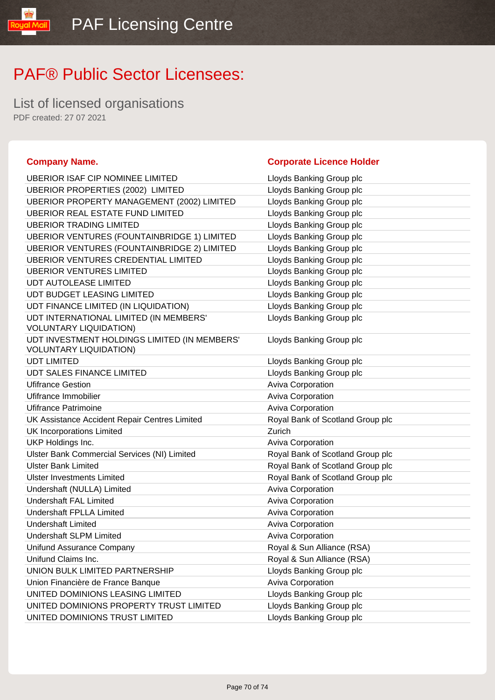List of licensed organisations PDF created: 27 07 2021

#### **Company Name. Corporate Licence Holder** UBERIOR ISAF CIP NOMINEE LIMITED LIGY Lloyds Banking Group plc UBERIOR PROPERTIES (2002) LIMITED Lloyds Banking Group plc UBERIOR PROPERTY MANAGEMENT (2002) LIMITED Lloyds Banking Group plc UBERIOR REAL ESTATE FUND LIMITED LIMITED Lloyds Banking Group plc UBERIOR TRADING LIMITED LETTER LOYD LOYDS Banking Group plc UBERIOR VENTURES (FOUNTAINBRIDGE 1) LIMITED Lloyds Banking Group plc UBERIOR VENTURES (FOUNTAINBRIDGE 2) LIMITED Lloyds Banking Group plc UBERIOR VENTURES CREDENTIAL LIMITED Lloyds Banking Group plc UBERIOR VENTURES LIMITED Latter than the USERIOR VENTURES LIMITED UDT AUTOLEASE LIMITED **Limitation** Lloyds Banking Group plc UDT BUDGET LEASING LIMITED LIGHT LOYD LIOYDS Banking Group plc UDT FINANCE LIMITED (IN LIQUIDATION) Lloyds Banking Group plc UDT INTERNATIONAL LIMITED (IN MEMBERS' VOLUNTARY LIQUIDATION) Lloyds Banking Group plc UDT INVESTMENT HOLDINGS LIMITED (IN MEMBERS' VOLUNTARY LIQUIDATION) Lloyds Banking Group plc UDT LIMITED **Limited** Contact Contact Contact Contact Contact Contact Contact Contact Contact Contact Contact Contact Contact Contact Contact Contact Contact Contact Contact Contact Contact Contact Contact Contact Contact UDT SALES FINANCE LIMITED LIGHT Lloyds Banking Group plc Ufifrance Gestion **Aviva Corporation** Aviva Corporation Ufifrance Immobilier **Aviva Corporation Aviva Corporation** Ufifrance Patrimoine **Aviva Corporation** Aviva Corporation UK Assistance Accident Repair Centres Limited Royal Bank of Scotland Group plc UK Incorporations Limited Zurich UKP Holdings Inc. **Aviva Corporation COVID-10** Aviva Corporation Ulster Bank Commercial Services (NI) Limited **Royal Bank of Scotland Group plc** Ulster Bank Limited Royal Bank of Scotland Group plc Ulster Investments Limited **No. 2018** Royal Bank of Scotland Group plc Undershaft (NULLA) Limited Aviva Corporation Aviva Corporation Undershaft FAL Limited **Aviva Corporation** Aviva Corporation Undershaft FPLLA Limited Aviva Corporation Undershaft Limited **Aviva Corporation** Aviva Corporation Undershaft SLPM Limited Aviva Corporation Aviva Corporation Unifund Assurance Company **Royal & Sun Alliance (RSA)** Unifund Claims Inc. **Royal & Sun Alliance (RSA)** UNION BULK LIMITED PARTNERSHIP Lloyds Banking Group plc Union Financière de France Banque **Aviva Corporation** UNITED DOMINIONS LEASING LIMITED LIMITED LIDYds Banking Group plc UNITED DOMINIONS PROPERTY TRUST LIMITED Lloyds Banking Group plc UNITED DOMINIONS TRUST LIMITED **Limit Community** Lloyds Banking Group plc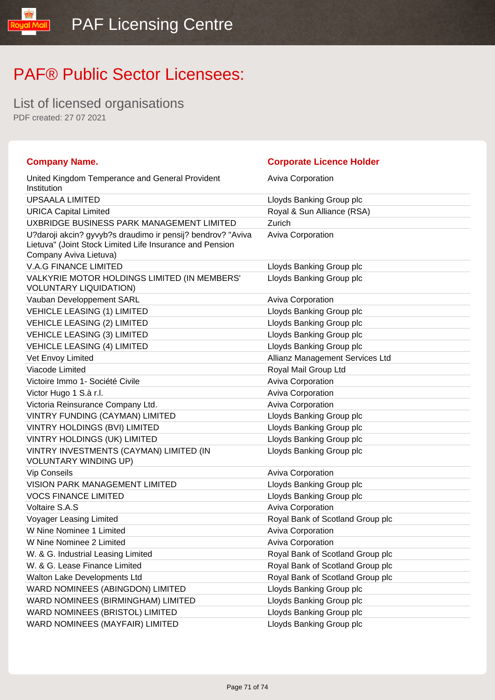List of licensed organisations PDF created: 27 07 2021

**TipM louos** 

| <b>Company Name.</b>                                                                                                                              | <b>Corporate Licence Holder</b>  |
|---------------------------------------------------------------------------------------------------------------------------------------------------|----------------------------------|
| United Kingdom Temperance and General Provident<br>Institution                                                                                    | <b>Aviva Corporation</b>         |
| <b>UPSAALA LIMITED</b>                                                                                                                            | Lloyds Banking Group plc         |
| <b>URICA Capital Limited</b>                                                                                                                      | Royal & Sun Alliance (RSA)       |
| UXBRIDGE BUSINESS PARK MANAGEMENT LIMITED                                                                                                         | Zurich                           |
| U?daroji akcin? gyvyb?s draudimo ir pensij? bendrov? "Aviva<br>Lietuva" (Joint Stock Limited Life Insurance and Pension<br>Company Aviva Lietuva) | <b>Aviva Corporation</b>         |
| <b>V.A.G FINANCE LIMITED</b>                                                                                                                      | Lloyds Banking Group plc         |
| VALKYRIE MOTOR HOLDINGS LIMITED (IN MEMBERS'<br><b>VOLUNTARY LIQUIDATION)</b>                                                                     | Lloyds Banking Group plc         |
| Vauban Developpement SARL                                                                                                                         | <b>Aviva Corporation</b>         |
| <b>VEHICLE LEASING (1) LIMITED</b>                                                                                                                | Lloyds Banking Group plc         |
| <b>VEHICLE LEASING (2) LIMITED</b>                                                                                                                | Lloyds Banking Group plc         |
| <b>VEHICLE LEASING (3) LIMITED</b>                                                                                                                | Lloyds Banking Group plc         |
| <b>VEHICLE LEASING (4) LIMITED</b>                                                                                                                | Lloyds Banking Group plc         |
| Vet Envoy Limited                                                                                                                                 | Allianz Management Services Ltd  |
| Viacode Limited                                                                                                                                   | Royal Mail Group Ltd             |
| Victoire Immo 1- Société Civile                                                                                                                   | <b>Aviva Corporation</b>         |
| Victor Hugo 1 S.à r.l.                                                                                                                            | <b>Aviva Corporation</b>         |
| Victoria Reinsurance Company Ltd.                                                                                                                 | Aviva Corporation                |
| VINTRY FUNDING (CAYMAN) LIMITED                                                                                                                   | Lloyds Banking Group plc         |
| VINTRY HOLDINGS (BVI) LIMITED                                                                                                                     | Lloyds Banking Group plc         |
| VINTRY HOLDINGS (UK) LIMITED                                                                                                                      | Lloyds Banking Group plc         |
| VINTRY INVESTMENTS (CAYMAN) LIMITED (IN<br><b>VOLUNTARY WINDING UP)</b>                                                                           | Lloyds Banking Group plc         |
| <b>Vip Conseils</b>                                                                                                                               | <b>Aviva Corporation</b>         |
| <b>VISION PARK MANAGEMENT LIMITED</b>                                                                                                             | Lloyds Banking Group plc         |
| <b>VOCS FINANCE LIMITED</b>                                                                                                                       | Lloyds Banking Group plc         |
| Voltaire S.A.S                                                                                                                                    | <b>Aviva Corporation</b>         |
| Voyager Leasing Limited                                                                                                                           | Royal Bank of Scotland Group plc |
| W Nine Nominee 1 Limited                                                                                                                          | Aviva Corporation                |
| W Nine Nominee 2 Limited                                                                                                                          | Aviva Corporation                |
| W. & G. Industrial Leasing Limited                                                                                                                | Royal Bank of Scotland Group plc |
| W. & G. Lease Finance Limited                                                                                                                     | Royal Bank of Scotland Group plc |
| Walton Lake Developments Ltd                                                                                                                      | Royal Bank of Scotland Group plc |
| WARD NOMINEES (ABINGDON) LIMITED                                                                                                                  | Lloyds Banking Group plc         |
| WARD NOMINEES (BIRMINGHAM) LIMITED                                                                                                                | Lloyds Banking Group plc         |
| WARD NOMINEES (BRISTOL) LIMITED                                                                                                                   | Lloyds Banking Group plc         |
| WARD NOMINEES (MAYFAIR) LIMITED                                                                                                                   | Lloyds Banking Group plc         |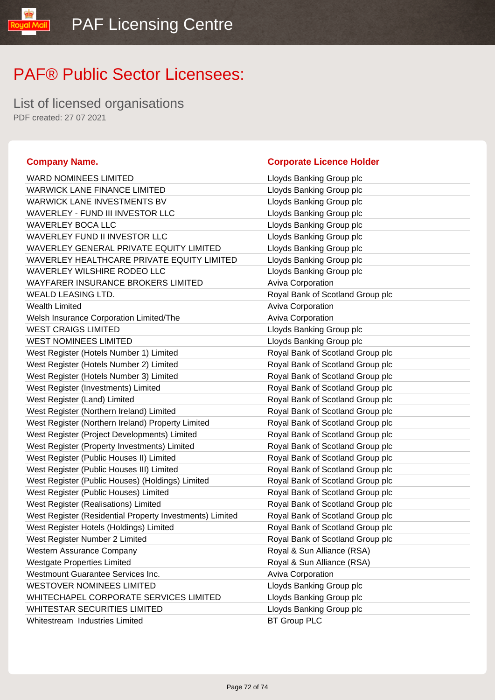List of licensed organisations PDF created: 27 07 2021

ual Mail

| <b>WARD NOMINEES LIMITED</b>                             | Lloyds Banking Group plc         |
|----------------------------------------------------------|----------------------------------|
| <b>WARWICK LANE FINANCE LIMITED</b>                      | Lloyds Banking Group plc         |
| WARWICK LANE INVESTMENTS BV                              | Lloyds Banking Group plc         |
| WAVERLEY - FUND III INVESTOR LLC                         | Lloyds Banking Group plc         |
| <b>WAVERLEY BOCA LLC</b>                                 | Lloyds Banking Group plc         |
| WAVERLEY FUND II INVESTOR LLC                            | Lloyds Banking Group plc         |
| WAVERLEY GENERAL PRIVATE EQUITY LIMITED                  | Lloyds Banking Group plc         |
| WAVERLEY HEALTHCARE PRIVATE EQUITY LIMITED               | Lloyds Banking Group plc         |
| <b>WAVERLEY WILSHIRE RODEO LLC</b>                       | Lloyds Banking Group plc         |
| WAYFARER INSURANCE BROKERS LIMITED                       | Aviva Corporation                |
| WEALD LEASING LTD.                                       | Royal Bank of Scotland Group plc |
| <b>Wealth Limited</b>                                    | Aviva Corporation                |
| Welsh Insurance Corporation Limited/The                  | <b>Aviva Corporation</b>         |
| <b>WEST CRAIGS LIMITED</b>                               | Lloyds Banking Group plc         |
| <b>WEST NOMINEES LIMITED</b>                             | Lloyds Banking Group plc         |
| West Register (Hotels Number 1) Limited                  | Royal Bank of Scotland Group plc |
| West Register (Hotels Number 2) Limited                  | Royal Bank of Scotland Group plc |
| West Register (Hotels Number 3) Limited                  | Royal Bank of Scotland Group plc |
| West Register (Investments) Limited                      | Royal Bank of Scotland Group plc |
| West Register (Land) Limited                             | Royal Bank of Scotland Group plc |
| West Register (Northern Ireland) Limited                 | Royal Bank of Scotland Group plc |
| West Register (Northern Ireland) Property Limited        | Royal Bank of Scotland Group plc |
| West Register (Project Developments) Limited             | Royal Bank of Scotland Group plc |
| West Register (Property Investments) Limited             | Royal Bank of Scotland Group plc |
| West Register (Public Houses II) Limited                 | Royal Bank of Scotland Group plc |
| West Register (Public Houses III) Limited                | Royal Bank of Scotland Group plc |
| West Register (Public Houses) (Holdings) Limited         | Royal Bank of Scotland Group plc |
| West Register (Public Houses) Limited                    | Royal Bank of Scotland Group plc |
| West Register (Realisations) Limited                     | Royal Bank of Scotland Group plc |
| West Register (Residential Property Investments) Limited | Royal Bank of Scotland Group plc |
| West Register Hotels (Holdings) Limited                  | Royal Bank of Scotland Group plc |
| West Register Number 2 Limited                           | Royal Bank of Scotland Group plc |
| Western Assurance Company                                | Royal & Sun Alliance (RSA)       |
| <b>Westgate Properties Limited</b>                       | Royal & Sun Alliance (RSA)       |
| Westmount Guarantee Services Inc.                        | <b>Aviva Corporation</b>         |
| <b>WESTOVER NOMINEES LIMITED</b>                         | Lloyds Banking Group plc         |
| WHITECHAPEL CORPORATE SERVICES LIMITED                   | Lloyds Banking Group plc         |
| <b>WHITESTAR SECURITIES LIMITED</b>                      | Lloyds Banking Group plc         |
| Whitestream Industries Limited                           | <b>BT Group PLC</b>              |

#### **Company Name. Company Name. Company Name. Company Name. Company Name. Company Name. Company Name. Company Name. Company Name. Company Name. Company Name. Company Name. Company Name. Company Name.**

|       | Lloyds Banking Group plc         |
|-------|----------------------------------|
|       | Lloyds Banking Group plc         |
|       | Lloyds Banking Group plc         |
|       | Lloyds Banking Group plc         |
|       | Lloyds Banking Group plc         |
|       | Lloyds Banking Group plc         |
|       | Lloyds Banking Group plc         |
| TED   | Lloyds Banking Group plc         |
|       | Lloyds Banking Group plc         |
|       | <b>Aviva Corporation</b>         |
|       | Royal Bank of Scotland Group plc |
|       | <b>Aviva Corporation</b>         |
|       | <b>Aviva Corporation</b>         |
|       | Lloyds Banking Group plc         |
|       | Lloyds Banking Group plc         |
|       | Royal Bank of Scotland Group plc |
|       | Royal Bank of Scotland Group plc |
|       | Royal Bank of Scotland Group plc |
|       | Royal Bank of Scotland Group plc |
|       | Royal Bank of Scotland Group plc |
|       | Royal Bank of Scotland Group plc |
|       | Royal Bank of Scotland Group plc |
|       | Royal Bank of Scotland Group plc |
|       | Royal Bank of Scotland Group plc |
|       | Royal Bank of Scotland Group plc |
|       | Royal Bank of Scotland Group plc |
|       | Royal Bank of Scotland Group plc |
|       | Royal Bank of Scotland Group plc |
|       | Royal Bank of Scotland Group plc |
| nited | Royal Bank of Scotland Group plc |
|       | Royal Bank of Scotland Group plc |
|       | Royal Bank of Scotland Group plc |
|       | Royal & Sun Alliance (RSA)       |
|       | Royal & Sun Alliance (RSA)       |
|       | Aviva Corporation                |
|       | Lloyds Banking Group plc         |
|       | Lloyds Banking Group plc         |
|       | Lloyds Banking Group plc         |
|       | <b>BT Group PLC</b>              |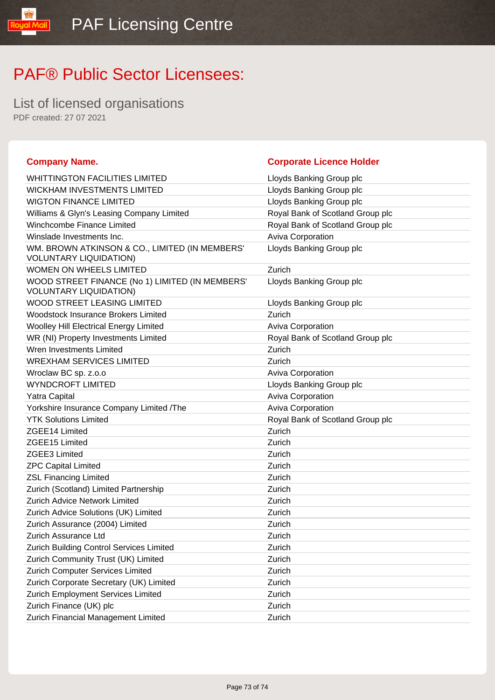## PAF® Public Sector Licensees:

List of licensed organisations PDF created: 27 07 2021

**Mail** 

**loual** 

| <b>Company Name.</b>                                                             | <b>Corporate Licence Holder</b>  |
|----------------------------------------------------------------------------------|----------------------------------|
| <b>WHITTINGTON FACILITIES LIMITED</b>                                            | Lloyds Banking Group plc         |
| <b>WICKHAM INVESTMENTS LIMITED</b>                                               | Lloyds Banking Group plc         |
| <b>WIGTON FINANCE LIMITED</b>                                                    | Lloyds Banking Group plc         |
| Williams & Glyn's Leasing Company Limited                                        | Royal Bank of Scotland Group plc |
| Winchcombe Finance Limited                                                       | Royal Bank of Scotland Group plc |
| Winslade Investments Inc.                                                        | Aviva Corporation                |
| WM. BROWN ATKINSON & CO., LIMITED (IN MEMBERS'<br><b>VOLUNTARY LIQUIDATION)</b>  | Lloyds Banking Group plc         |
| <b>WOMEN ON WHEELS LIMITED</b>                                                   | Zurich                           |
| WOOD STREET FINANCE (No 1) LIMITED (IN MEMBERS'<br><b>VOLUNTARY LIQUIDATION)</b> | Lloyds Banking Group plc         |
| WOOD STREET LEASING LIMITED                                                      | Lloyds Banking Group plc         |
| <b>Woodstock Insurance Brokers Limited</b>                                       | Zurich                           |
| Woolley Hill Electrical Energy Limited                                           | <b>Aviva Corporation</b>         |
| WR (NI) Property Investments Limited                                             | Royal Bank of Scotland Group plc |
| Wren Investments Limited                                                         | Zurich                           |
| <b>WREXHAM SERVICES LIMITED</b>                                                  | Zurich                           |
| Wroclaw BC sp. z.o.o                                                             | <b>Aviva Corporation</b>         |
| <b>WYNDCROFT LIMITED</b>                                                         | Lloyds Banking Group plc         |
| Yatra Capital                                                                    | Aviva Corporation                |
| Yorkshire Insurance Company Limited /The                                         | Aviva Corporation                |
| <b>YTK Solutions Limited</b>                                                     | Royal Bank of Scotland Group plc |
| ZGEE14 Limited                                                                   | Zurich                           |
| ZGEE15 Limited                                                                   | Zurich                           |
| <b>ZGEE3 Limited</b>                                                             | Zurich                           |
| <b>ZPC Capital Limited</b>                                                       | Zurich                           |
| <b>ZSL Financing Limited</b>                                                     | Zurich                           |
| Zurich (Scotland) Limited Partnership                                            | Zurich                           |
| <b>Zurich Advice Network Limited</b>                                             | Zurich                           |
| Zurich Advice Solutions (UK) Limited                                             | Zurich                           |
| Zurich Assurance (2004) Limited                                                  | Zurich                           |
| Zurich Assurance Ltd                                                             | Zurich                           |
| Zurich Building Control Services Limited                                         | Zurich                           |
| Zurich Community Trust (UK) Limited                                              | Zurich                           |
| Zurich Computer Services Limited                                                 | Zurich                           |
| Zurich Corporate Secretary (UK) Limited                                          | Zurich                           |
| Zurich Employment Services Limited                                               | Zurich                           |
| Zurich Finance (UK) plc                                                          | Zurich                           |
| Zurich Financial Management Limited                                              | Zurich                           |